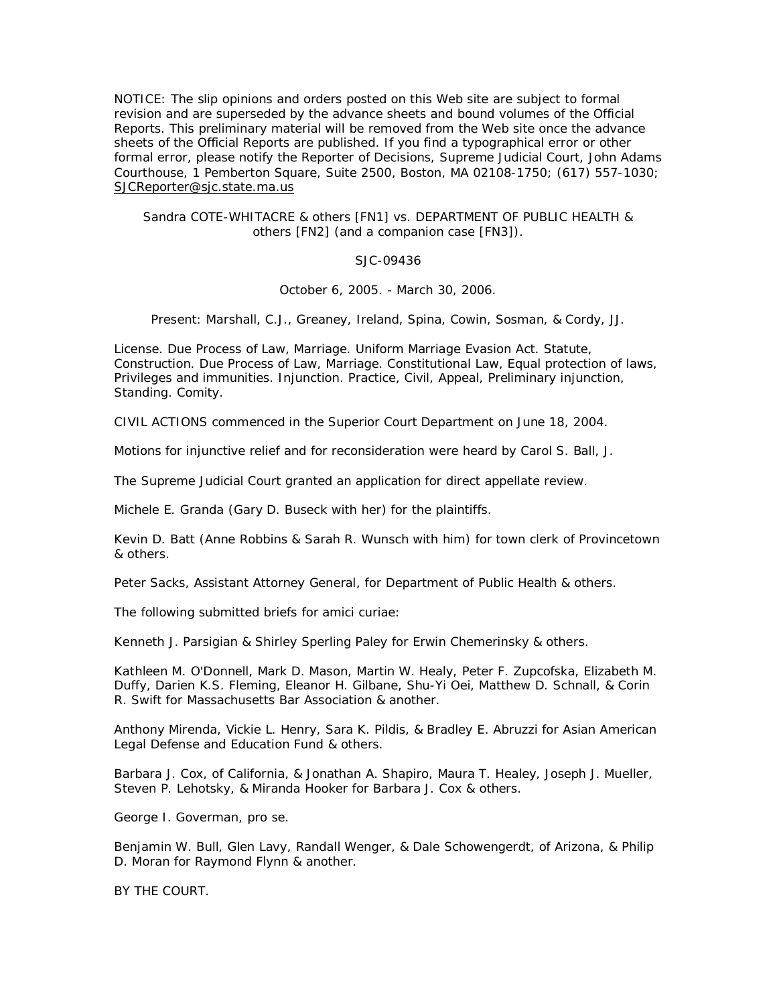NOTICE: The slip opinions and orders posted on this Web site are subject to formal revision and are superseded by the advance sheets and bound volumes of the Official Reports. This preliminary material will be removed from the Web site once the advance sheets of the Official Reports are published. If you find a typographical error or other formal error, please notify the Reporter of Decisions, Supreme Judicial Court, John Adams Courthouse, 1 Pemberton Square, Suite 2500, Boston, MA 02108-1750; (617) 557-1030; SJCReporter@sjc.state.ma.us

## Sandra COTE-WHITACRE & others [FN1] *vs.* DEPARTMENT OF PUBLIC HEALTH & others [FN2] (and a companion case [FN3]).

# SJC-09436

October 6, 2005. - March 30, 2006.

Present: Marshall, C.J., Greaney, Ireland, Spina, Cowin, Sosman, & Cordy, JJ.

*License. Due Process of Law,* Marriage. *Uniform Marriage Evasion Act. Statute,* Construction. *Due Process of Law,* Marriage. *Constitutional Law,* Equal protection of laws, Privileges and immunities. *Injunction. Practice, Civil,* Appeal, Preliminary injunction, Standing. *Comity.*

CIVIL ACTIONS commenced in the Superior Court Department on June 18, 2004.

Motions for injunctive relief and for reconsideration were heard by *Carol S. Ball,* J.

The Supreme Judicial Court granted an application for direct appellate review.

*Michele E. Granda* (*Gary D. Buseck* with her) for the plaintiffs.

*Kevin D. Batt* (*Anne Robbins & Sarah R. Wunsch* with him) for town clerk of Provincetown & others.

*Peter Sacks,* Assistant Attorney General, for Department of Public Health & others.

The following submitted briefs for amici curiae:

*Kenneth J. Parsigian & Shirley Sperling Paley* for Erwin Chemerinsky & others.

*Kathleen M. O'Donnell, Mark D. Mason, Martin W. Healy, Peter F. Zupcofska, Elizabeth M. Duffy, Darien K.S. Fleming, Eleanor H. Gilbane, Shu-Yi Oei, Matthew D. Schnall, & Corin R. Swift* for Massachusetts Bar Association & another.

*Anthony Mirenda, Vickie L. Henry, Sara K. Pildis, & Bradley E. Abruzzi* for Asian American Legal Defense and Education Fund & others.

*Barbara J. Cox,* of California, *& Jonathan A. Shapiro, Maura T. Healey, Joseph J. Mueller, Steven P. Lehotsky, & Miranda Hooker* for Barbara J. Cox & others.

*George I. Goverman,* pro se.

*Benjamin W. Bull, Glen Lavy, Randall Wenger, & Dale Schowengerdt,* of Arizona, *& Philip D. Moran* for Raymond Flynn & another.

BY THE COURT.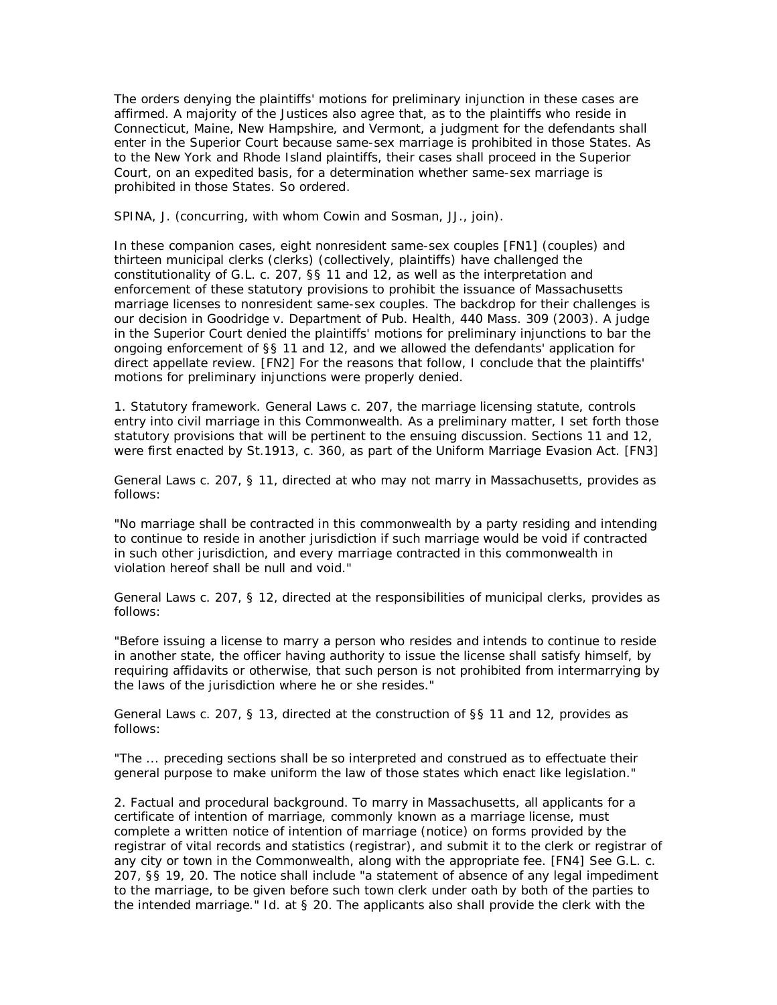The orders denying the plaintiffs' motions for preliminary injunction in these cases are affirmed. A majority of the Justices also agree that, as to the plaintiffs who reside in Connecticut, Maine, New Hampshire, and Vermont, a judgment for the defendants shall enter in the Superior Court because same-sex marriage is prohibited in those States. As to the New York and Rhode Island plaintiffs, their cases shall proceed in the Superior Court, on an expedited basis, for a determination whether same-sex marriage is prohibited in those States. *So ordered.*

SPINA, J. (concurring, with whom Cowin and Sosman, JJ., join).

In these companion cases, eight nonresident same-sex couples [FN1] (couples) and thirteen municipal clerks (clerks) (collectively, plaintiffs) have challenged the constitutionality of G.L. c. 207, §§ 11 and 12, as well as the interpretation and enforcement of these statutory provisions to prohibit the issuance of Massachusetts marriage licenses to nonresident same-sex couples. The backdrop for their challenges is our decision in *Goodridge v. Department of Pub. Health,* 440 Mass. 309 (2003). A judge in the Superior Court denied the plaintiffs' motions for preliminary injunctions to bar the ongoing enforcement of §§ 11 and 12, and we allowed the defendants' application for direct appellate review. [FN2] For the reasons that follow, I conclude that the plaintiffs' motions for preliminary injunctions were properly denied.

1. *Statutory framework.* General Laws c. 207, the marriage licensing statute, controls entry into civil marriage in this Commonwealth. As a preliminary matter, I set forth those statutory provisions that will be pertinent to the ensuing discussion. Sections 11 and 12, were first enacted by St.1913, c. 360, as part of the Uniform Marriage Evasion Act. [FN3]

General Laws c. 207, § 11, directed at who may not marry in Massachusetts, provides as follows:

"No marriage shall be contracted in this commonwealth by a party residing and intending to continue to reside in another jurisdiction if such marriage would be void if contracted in such other jurisdiction, and every marriage contracted in this commonwealth in violation hereof shall be null and void."

General Laws c. 207, § 12, directed at the responsibilities of municipal clerks, provides as follows:

"Before issuing a license to marry a person who resides and intends to continue to reside in another state, the officer having authority to issue the license shall satisfy himself, by requiring affidavits or otherwise, that such person is not prohibited from intermarrying by the laws of the jurisdiction where he or she resides."

General Laws c. 207, § 13, directed at the construction of §§ 11 and 12, provides as follows:

"The ... preceding sections shall be so interpreted and construed as to effectuate their general purpose to make uniform the law of those states which enact like legislation."

2. *Factual and procedural background.* To marry in Massachusetts, all applicants for a certificate of intention of marriage, commonly known as a marriage license, must complete a written notice of intention of marriage (notice) on forms provided by the registrar of vital records and statistics (registrar), and submit it to the clerk or registrar of any city or town in the Commonwealth, along with the appropriate fee. [FN4] See G.L. c. 207, §§ 19, 20. The notice shall include "a statement of absence of any legal impediment to the marriage, to be given before such town clerk under oath by both of the parties to the intended marriage." *Id.* at § 20. The applicants also shall provide the clerk with the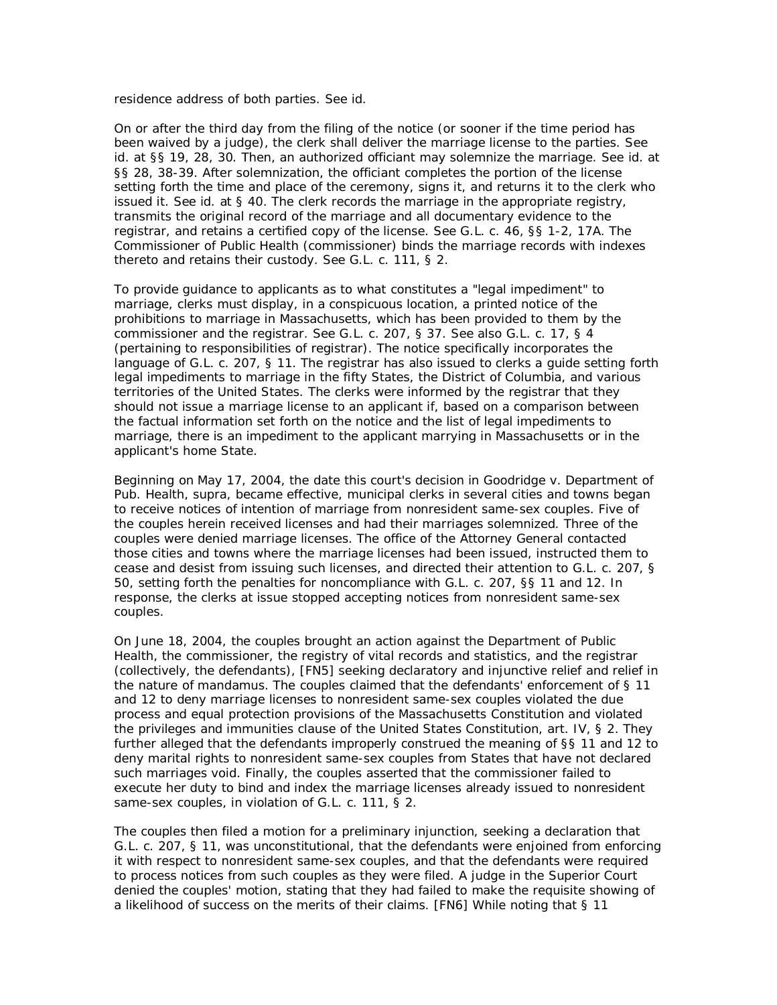residence address of both parties. See *id.*

On or after the third day from the filing of the notice (or sooner if the time period has been waived by a judge), the clerk shall deliver the marriage license to the parties. See *id.* at §§ 19, 28, 30. Then, an authorized officiant may solemnize the marriage. See *id.* at §§ 28, 38-39. After solemnization, the officiant completes the portion of the license setting forth the time and place of the ceremony, signs it, and returns it to the clerk who issued it. See *id.* at § 40. The clerk records the marriage in the appropriate registry, transmits the original record of the marriage and all documentary evidence to the registrar, and retains a certified copy of the license. See G.L. c. 46, §§ 1-2, 17A. The Commissioner of Public Health (commissioner) binds the marriage records with indexes thereto and retains their custody. See G.L. c. 111, § 2.

To provide guidance to applicants as to what constitutes a "legal impediment" to marriage, clerks must display, in a conspicuous location, a printed notice of the prohibitions to marriage in Massachusetts, which has been provided to them by the commissioner and the registrar. See G.L. c. 207, § 37. See also G.L. c. 17, § 4 (pertaining to responsibilities of registrar). The notice specifically incorporates the language of G.L. c. 207, § 11. The registrar has also issued to clerks a guide setting forth legal impediments to marriage in the fifty States, the District of Columbia, and various territories of the United States. The clerks were informed by the registrar that they should not issue a marriage license to an applicant if, based on a comparison between the factual information set forth on the notice and the list of legal impediments to marriage, there is an impediment to the applicant marrying in Massachusetts or in the applicant's home State.

Beginning on May 17, 2004, the date this court's decision in *Goodridge v. Department of Pub. Health, supra,* became effective, municipal clerks in several cities and towns began to receive notices of intention of marriage from nonresident same-sex couples. Five of the couples herein received licenses and had their marriages solemnized. Three of the couples were denied marriage licenses. The office of the Attorney General contacted those cities and towns where the marriage licenses had been issued, instructed them to cease and desist from issuing such licenses, and directed their attention to G.L. c. 207, § 50, setting forth the penalties for noncompliance with G.L. c. 207, §§ 11 and 12. In response, the clerks at issue stopped accepting notices from nonresident same-sex couples.

On June 18, 2004, the couples brought an action against the Department of Public Health, the commissioner, the registry of vital records and statistics, and the registrar (collectively, the defendants), [FN5] seeking declaratory and injunctive relief and relief in the nature of mandamus. The couples claimed that the defendants' enforcement of § 11 and 12 to deny marriage licenses to nonresident same-sex couples violated the due process and equal protection provisions of the Massachusetts Constitution and violated the privileges and immunities clause of the United States Constitution, art. IV, § 2. They further alleged that the defendants improperly construed the meaning of §§ 11 and 12 to deny marital rights to nonresident same-sex couples from States that have not declared such marriages void. Finally, the couples asserted that the commissioner failed to execute her duty to bind and index the marriage licenses already issued to nonresident same-sex couples, in violation of G.L. c. 111,  $\S$  2.

The couples then filed a motion for a preliminary injunction, seeking a declaration that G.L. c. 207, § 11, was unconstitutional, that the defendants were enjoined from enforcing it with respect to nonresident same-sex couples, and that the defendants were required to process notices from such couples as they were filed. A judge in the Superior Court denied the couples' motion, stating that they had failed to make the requisite showing of a likelihood of success on the merits of their claims. [FN6] While noting that § 11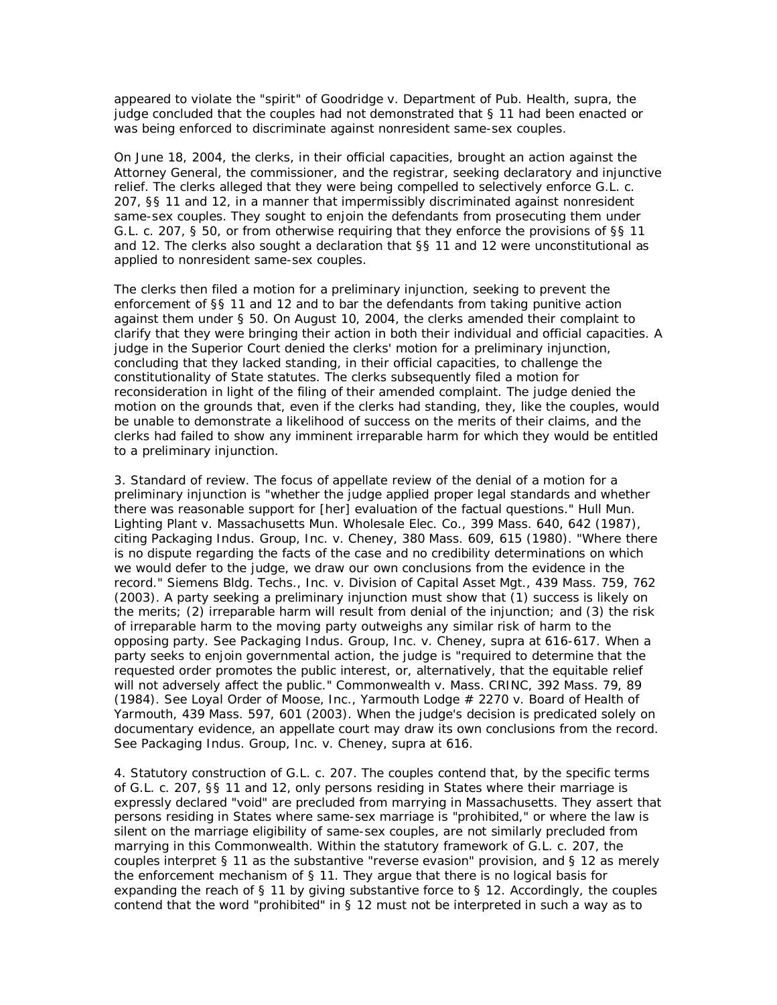appeared to violate the "spirit" of *Goodridge v. Department of Pub. Health, supra,* the judge concluded that the couples had not demonstrated that § 11 had been enacted or was being enforced to discriminate against nonresident same-sex couples.

On June 18, 2004, the clerks, in their official capacities, brought an action against the Attorney General, the commissioner, and the registrar, seeking declaratory and injunctive relief. The clerks alleged that they were being compelled to selectively enforce G.L. c. 207, §§ 11 and 12, in a manner that impermissibly discriminated against nonresident same-sex couples. They sought to enjoin the defendants from prosecuting them under G.L. c. 207, § 50, or from otherwise requiring that they enforce the provisions of §§ 11 and 12. The clerks also sought a declaration that  $\S$ § 11 and 12 were unconstitutional as applied to nonresident same-sex couples.

The clerks then filed a motion for a preliminary injunction, seeking to prevent the enforcement of §§ 11 and 12 and to bar the defendants from taking punitive action against them under § 50. On August 10, 2004, the clerks amended their complaint to clarify that they were bringing their action in both their individual and official capacities. A judge in the Superior Court denied the clerks' motion for a preliminary injunction, concluding that they lacked standing, in their official capacities, to challenge the constitutionality of State statutes. The clerks subsequently filed a motion for reconsideration in light of the filing of their amended complaint. The judge denied the motion on the grounds that, even if the clerks had standing, they, like the couples, would be unable to demonstrate a likelihood of success on the merits of their claims, and the clerks had failed to show any imminent irreparable harm for which they would be entitled to a preliminary injunction.

3. *Standard of review.* The focus of appellate review of the denial of a motion for a preliminary injunction is "whether the judge applied proper legal standards and whether there was reasonable support for [her] evaluation of the factual questions." *Hull Mun. Lighting Plant v. Massachusetts Mun. Wholesale Elec. Co.,* 399 Mass. 640, 642 (1987), citing *Packaging Indus. Group, Inc.* v. *Cheney,* 380 Mass. 609, 615 (1980). "Where there is no dispute regarding the facts of the case and no credibility determinations on which we would defer to the judge, we draw our own conclusions from the evidence in the record." *Siemens Bldg. Techs., Inc.* v. *Division of Capital Asset Mgt.,* 439 Mass. 759, 762 (2003). A party seeking a preliminary injunction must show that (1) success is likely on the merits; (2) irreparable harm will result from denial of the injunction; and (3) the risk of irreparable harm to the moving party outweighs any similar risk of harm to the opposing party. See *Packaging Indus. Group, Inc.* v. *Cheney, supra* at 616-617. When a party seeks to enjoin governmental action, the judge is "required to determine that the requested order promotes the public interest, or, alternatively, that the equitable relief will not adversely affect the public." *Commonwealth v. Mass. CRINC,* 392 Mass. 79, 89 (1984). See *Loyal Order of Moose, Inc., Yarmouth Lodge # 2270 v. Board of Health of Yarmouth,* 439 Mass. 597, 601 (2003). When the judge's decision is predicated solely on documentary evidence, an appellate court may draw its own conclusions from the record. See *Packaging Indus. Group, Inc.* v. *Cheney, supra* at 616.

4. *Statutory construction of G.L. c. 207.* The couples contend that, by the specific terms of G.L. c. 207, §§ 11 and 12, only persons residing in States where their marriage is expressly declared "void" are precluded from marrying in Massachusetts. They assert that persons residing in States where same-sex marriage is "prohibited," or where the law is silent on the marriage eligibility of same-sex couples, are not similarly precluded from marrying in this Commonwealth. Within the statutory framework of G.L. c. 207, the couples interpret § 11 as the substantive "reverse evasion" provision, and § 12 as merely the enforcement mechanism of § 11. They argue that there is no logical basis for expanding the reach of  $\S$  11 by giving substantive force to  $\S$  12. Accordingly, the couples contend that the word "prohibited" in § 12 must not be interpreted in such a way as to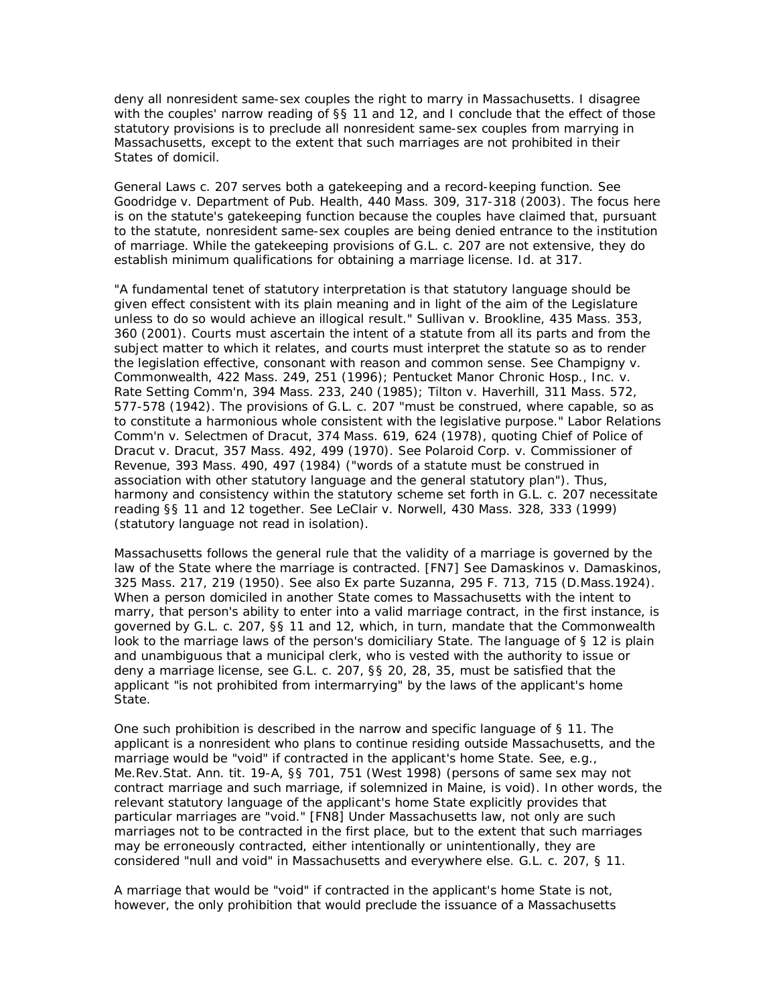deny all nonresident same-sex couples the right to marry in Massachusetts. I disagree with the couples' narrow reading of §§ 11 and 12, and I conclude that the effect of those statutory provisions is to preclude all nonresident same-sex couples from marrying in Massachusetts, except to the extent that such marriages are not prohibited in their States of domicil.

General Laws c. 207 serves both a gatekeeping and a record-keeping function. See *Goodridge v. Department of Pub. Health,* 440 Mass. 309, 317-318 (2003). The focus here is on the statute's gatekeeping function because the couples have claimed that, pursuant to the statute, nonresident same-sex couples are being denied entrance to the institution of marriage. While the gatekeeping provisions of G.L. c. 207 are not extensive, they do establish minimum qualifications for obtaining a marriage license. *Id.* at 317.

"A fundamental tenet of statutory interpretation is that statutory language should be given effect consistent with its plain meaning and in light of the aim of the Legislature unless to do so would achieve an illogical result." *Sullivan v. Brookline,* 435 Mass. 353, 360 (2001). Courts must ascertain the intent of a statute from all its parts and from the subject matter to which it relates, and courts must interpret the statute so as to render the legislation effective, consonant with reason and common sense. See *Champigny v. Commonwealth,* 422 Mass. 249, 251 (1996); *Pentucket Manor Chronic Hosp., Inc.* v. *Rate Setting Comm'n,* 394 Mass. 233, 240 (1985); *Tilton v. Haverhill,* 311 Mass. 572, 577-578 (1942). The provisions of G.L. c. 207 "must be construed, where capable, so as to constitute a harmonious whole consistent with the legislative purpose." *Labor Relations Comm'n v. Selectmen of Dracut,* 374 Mass. 619, 624 (1978), quoting *Chief of Police of Dracut v. Dracut,* 357 Mass. 492, 499 (1970). See *Polaroid Corp.* v. *Commissioner of Revenue,* 393 Mass. 490, 497 (1984) ("words of a statute must be construed in association with other statutory language and the general statutory plan"). Thus, harmony and consistency within the statutory scheme set forth in G.L. c. 207 necessitate reading §§ 11 and 12 together. See *LeClair v. Norwell,* 430 Mass. 328, 333 (1999) (statutory language not read in isolation).

Massachusetts follows the general rule that the validity of a marriage is governed by the law of the State where the marriage is contracted. [FN7] See *Damaskinos v. Damaskinos,* 325 Mass. 217, 219 (1950). See also *Ex parte Suzanna,* 295 F. 713, 715 (D.Mass.1924). When a person domiciled in another State comes to Massachusetts with the intent to marry, that person's ability to enter into a valid marriage contract, in the first instance, is governed by G.L. c. 207, §§ 11 and 12, which, in turn, mandate that the Commonwealth look to the marriage laws of the person's domiciliary State. The language of § 12 is plain and unambiguous that a municipal clerk, who is vested with the authority to issue or deny a marriage license, see G.L. c. 207, §§ 20, 28, 35, must be satisfied that the applicant "is not prohibited from intermarrying" by the laws of the applicant's home State.

One such prohibition is described in the narrow and specific language of § 11. The applicant is a nonresident who plans to continue residing outside Massachusetts, and the marriage would be "void" if contracted in the applicant's home State. See, e.g., Me.Rev.Stat. Ann. tit. 19-A, §§ 701, 751 (West 1998) (persons of same sex may not contract marriage and such marriage, if solemnized in Maine, is void). In other words, the relevant statutory language of the applicant's home State explicitly provides that particular marriages are "void." [FN8] Under Massachusetts law, not only are such marriages not to be contracted in the first place, but to the extent that such marriages may be erroneously contracted, either intentionally or unintentionally, they are considered "null and void" in Massachusetts and everywhere else. G.L. c. 207, § 11.

A marriage that would be "void" if contracted in the applicant's home State is not, however, the only prohibition that would preclude the issuance of a Massachusetts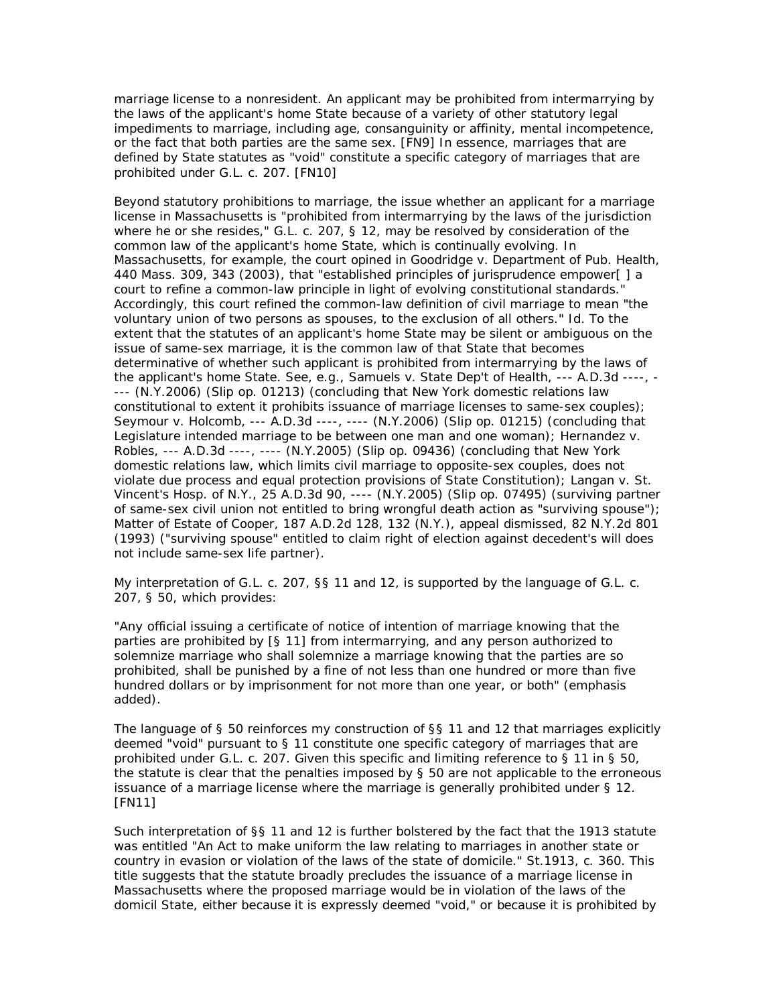marriage license to a nonresident. An applicant may be prohibited from intermarrying by the laws of the applicant's home State because of a variety of other statutory legal impediments to marriage, including age, consanguinity or affinity, mental incompetence, or the fact that both parties are the same sex. [FN9] In essence, marriages that are defined by State statutes as "void" constitute a specific category of marriages that are prohibited under G.L. c. 207. [FN10]

Beyond statutory prohibitions to marriage, the issue whether an applicant for a marriage license in Massachusetts is "prohibited from intermarrying by the laws of the jurisdiction where he or she resides," G.L. c. 207, § 12, may be resolved by consideration of the common law of the applicant's home State, which is continually evolving. In Massachusetts, for example, the court opined in *Goodridge v. Department of Pub. Health,* 440 Mass. 309, 343 (2003), that "established principles of jurisprudence empower[ ] a court to refine a common-law principle in light of evolving constitutional standards." Accordingly, this court refined the common-law definition of civil marriage to mean "the voluntary union of two persons as spouses, to the exclusion of all others." *Id.* To the extent that the statutes of an applicant's home State may be silent or ambiguous on the issue of same-sex marriage, it is the common law of that State that becomes determinative of whether such applicant is prohibited from intermarrying by the laws of the applicant's home State. See, e.g., *Samuels v. State Dep't of Health,* --- A.D.3d ----, - --- (N.Y.2006) (Slip op. 01213) (concluding that New York domestic relations law constitutional to extent it prohibits issuance of marriage licenses to same-sex couples); *Seymour v. Holcomb,* --- A.D.3d ----, ---- (N.Y.2006) (Slip op. 01215) (concluding that Legislature intended marriage to be between one man and one woman); *Hernandez v. Robles,* --- A.D.3d ----, ---- (N.Y.2005) (Slip op. 09436) (concluding that New York domestic relations law, which limits civil marriage to opposite-sex couples, does not violate due process and equal protection provisions of State Constitution); *Langan v. St. Vincent's Hosp. of N.Y.,* 25 A.D.3d 90, ---- (N.Y.2005) (Slip op. 07495) (surviving partner of same-sex civil union not entitled to bring wrongful death action as "surviving spouse"); *Matter of Estate of Cooper,* 187 A.D.2d 128, 132 (N.Y.), appeal dismissed, 82 N.Y.2d 801 (1993) ("surviving spouse" entitled to claim right of election against decedent's will does not include same-sex life partner).

My interpretation of G.L. c. 207, §§ 11 and 12, is supported by the language of G.L. c. 207, § 50, which provides:

"Any official issuing a certificate of notice of intention of marriage knowing that the parties are *prohibited by [§ 11]* from intermarrying, and any person authorized to solemnize marriage who shall solemnize a marriage knowing that the parties are so *prohibited,* shall be punished by a fine of not less than one hundred or more than five hundred dollars or by imprisonment for not more than one year, or both" (emphasis added).

The language of § 50 reinforces my construction of §§ 11 and 12 that marriages explicitly deemed "void" pursuant to § 11 constitute one specific category of marriages that are *prohibited* under G.L. c. 207. Given this specific and limiting reference to § 11 in § 50, the statute is clear that the penalties imposed by § 50 are not applicable to the erroneous issuance of a marriage license where the marriage is generally prohibited under § 12. [FN11]

Such interpretation of §§ 11 and 12 is further bolstered by the fact that the 1913 statute was entitled "An Act to make uniform the law relating to marriages in another state or country in evasion or violation of the laws of the state of domicile." St.1913, c. 360. This title suggests that the statute broadly precludes the issuance of a marriage license in Massachusetts where the proposed marriage would be in violation of the laws of the domicil State, either because it is expressly deemed "void," or because it is prohibited by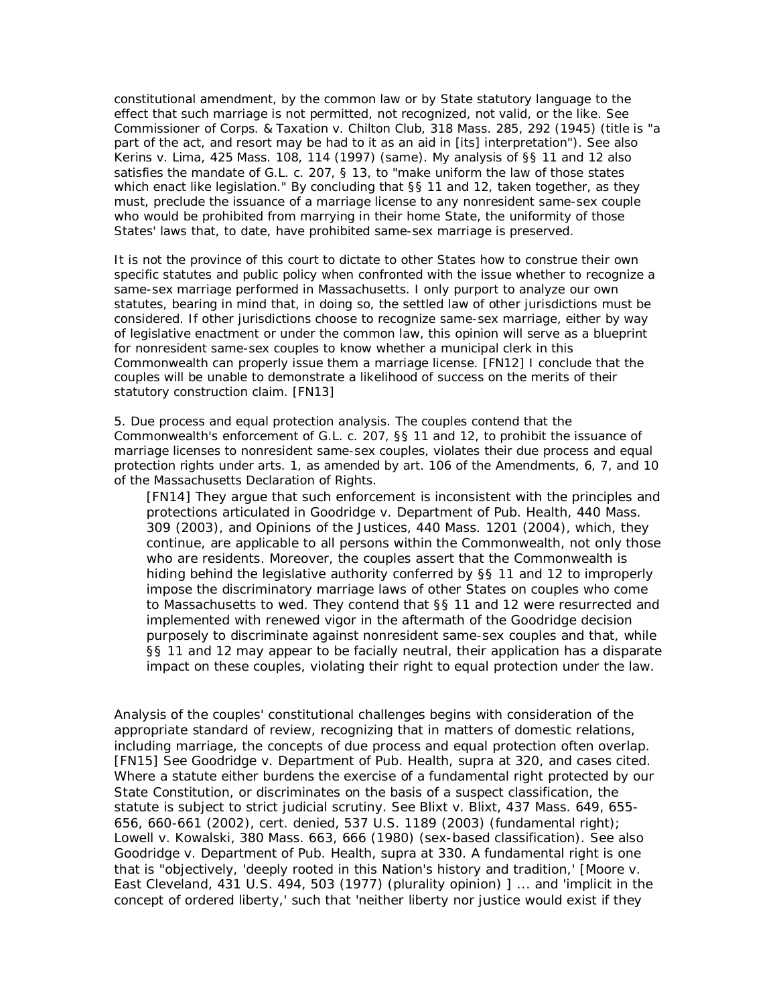constitutional amendment, by the common law or by State statutory language to the effect that such marriage is not permitted, not recognized, not valid, or the like. See *Commissioner of Corps. & Taxation v. Chilton Club,* 318 Mass. 285, 292 (1945) (title is "a part of the act, and resort may be had to it as an aid in [its] interpretation"). See also *Kerins v. Lima,* 425 Mass. 108, 114 (1997) (same). My analysis of §§ 11 and 12 also satisfies the mandate of G.L. c. 207, § 13, to "make uniform the law of those states which enact like legislation." By concluding that §§ 11 and 12, taken together, as they must, preclude the issuance of a marriage license to any nonresident same-sex couple who would be prohibited from marrying in their home State, the uniformity of those States' laws that, to date, have prohibited same-sex marriage is preserved.

It is not the province of this court to dictate to other States how to construe their own specific statutes and public policy when confronted with the issue whether to recognize a same-sex marriage performed in Massachusetts. I only purport to analyze our own statutes, bearing in mind that, in doing so, the settled law of other jurisdictions must be considered. If other jurisdictions choose to recognize same-sex marriage, either by way of legislative enactment or under the common law, this opinion will serve as a blueprint for nonresident same-sex couples to know whether a municipal clerk in this Commonwealth can properly issue them a marriage license. [FN12] I conclude that the couples will be unable to demonstrate a likelihood of success on the merits of their statutory construction claim. [FN13]

5. *Due process and equal protection analysis.* The couples contend that the Commonwealth's enforcement of G.L. c. 207, §§ 11 and 12, to prohibit the issuance of marriage licenses to nonresident same-sex couples, violates their due process and equal protection rights under arts. 1, as amended by art. 106 of the Amendments, 6, 7, and 10 of the Massachusetts Declaration of Rights.

[FN14] They argue that such enforcement is inconsistent with the principles and protections articulated in *Goodridge v. Department of Pub. Health,* 440 Mass. 309 (2003), and *Opinions of the Justices,* 440 Mass. 1201 (2004), which, they continue, are applicable to all persons within the Commonwealth, not only those who are residents. Moreover, the couples assert that the Commonwealth is hiding behind the legislative authority conferred by §§ 11 and 12 to improperly impose the discriminatory marriage laws of other States on couples who come to Massachusetts to wed. They contend that §§ 11 and 12 were resurrected and implemented with renewed vigor in the aftermath of the *Goodridge* decision purposely to discriminate against nonresident same-sex couples and that, while §§ 11 and 12 may appear to be facially neutral, their application has a disparate impact on these couples, violating their right to equal protection under the law.

Analysis of the couples' constitutional challenges begins with consideration of the appropriate standard of review, recognizing that in matters of domestic relations, including marriage, the concepts of due process and equal protection often overlap. [FN15] See *Goodridge v. Department of Pub. Health, supra* at 320, and cases cited. Where a statute either burdens the exercise of a fundamental right protected by our State Constitution, or discriminates on the basis of a suspect classification, the statute is subject to strict judicial scrutiny. See *Blixt v. Blixt,* 437 Mass. 649, 655- 656, 660-661 (2002), cert. denied, 537 U.S. 1189 (2003) (fundamental right); *Lowell v. Kowalski,* 380 Mass. 663, 666 (1980) (sex-based classification). See also *Goodridge v. Department of Pub. Health, supra* at 330. A fundamental right is one that is "objectively, 'deeply rooted in this Nation's history and tradition,' [*Moore v. East Cleveland,* 431 U.S. 494, 503 (1977) (plurality opinion) ] ... and 'implicit in the concept of ordered liberty,' such that 'neither liberty nor justice would exist if they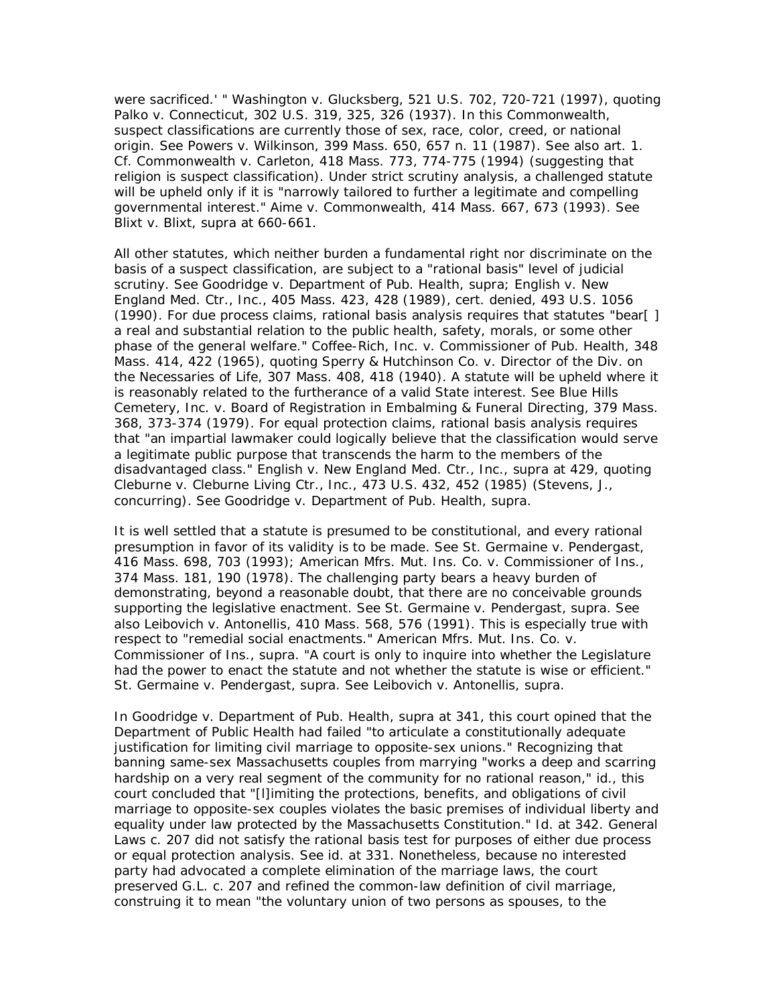were sacrificed.' " *Washington v. Glucksberg,* 521 U.S. 702, 720-721 (1997), quoting *Palko v. Connecticut,* 302 U.S. 319, 325, 326 (1937). In this Commonwealth, suspect classifications are currently those of sex, race, color, creed, or national origin. See *Powers v. Wilkinson,* 399 Mass. 650, 657 n. 11 (1987). See also art. 1. Cf. *Commonwealth v. Carleton,* 418 Mass. 773, 774-775 (1994) (suggesting that religion is suspect classification). Under strict scrutiny analysis, a challenged statute will be upheld only if it is "narrowly tailored to further a legitimate and compelling governmental interest." *Aime v. Commonwealth,* 414 Mass. 667, 673 (1993). See *Blixt v. Blixt, supra* at 660-661.

All other statutes, which neither burden a fundamental right nor discriminate on the basis of a suspect classification, are subject to a "rational basis" level of judicial scrutiny. See *Goodridge v. Department of Pub. Health, supra; English v. New England Med. Ctr., Inc.,* 405 Mass. 423, 428 (1989), cert. denied, 493 U.S. 1056 (1990). For due process claims, rational basis analysis requires that statutes "bear[ ] a real and substantial relation to the public health, safety, morals, or some other phase of the general welfare." *Coffee-Rich, Inc.* v. *Commissioner of Pub. Health,* 348 Mass. 414, 422 (1965), quoting *Sperry & Hutchinson Co.* v. *Director of the Div. on the Necessaries of Life,* 307 Mass. 408, 418 (1940). A statute will be upheld where it is reasonably related to the furtherance of a valid State interest. See *Blue Hills Cemetery, Inc.* v. *Board of Registration in Embalming & Funeral Directing,* 379 Mass. 368, 373-374 (1979). For equal protection claims, rational basis analysis requires that "an impartial lawmaker could logically believe that the classification would serve a legitimate public purpose that transcends the harm to the members of the disadvantaged class." *English v. New England Med. Ctr., Inc., supra* at 429, quoting *Cleburne v. Cleburne Living Ctr., Inc.,* 473 U.S. 432, 452 (1985) (Stevens, J., concurring). See *Goodridge v. Department of Pub. Health, supra.*

It is well settled that a statute is presumed to be constitutional, and every rational presumption in favor of its validity is to be made. See *St. Germaine v. Pendergast,* 416 Mass. 698, 703 (1993); *American Mfrs. Mut. Ins. Co.* v. *Commissioner of Ins.,* 374 Mass. 181, 190 (1978). The challenging party bears a heavy burden of demonstrating, beyond a reasonable doubt, that there are no conceivable grounds supporting the legislative enactment. See *St. Germaine v. Pendergast, supra.* See also *Leibovich v. Antonellis,* 410 Mass. 568, 576 (1991). This is especially true with respect to "remedial social enactments." *American Mfrs. Mut. Ins. Co.* v. *Commissioner of Ins., supra.* "A court is only to inquire into whether the Legislature had the power to enact the statute and not whether the statute is wise or efficient." *St. Germaine v. Pendergast, supra.* See *Leibovich v. Antonellis, supra.*

In *Goodridge v. Department of Pub. Health, supra* at 341, this court opined that the Department of Public Health had failed "to articulate a constitutionally adequate justification for limiting civil marriage to opposite-sex unions." Recognizing that banning same-sex Massachusetts couples from marrying "works a deep and scarring hardship on a very real segment of the community for no rational reason," *id.,* this court concluded that "[l]imiting the protections, benefits, and obligations of civil marriage to opposite-sex couples violates the basic premises of individual liberty and equality under law protected by the Massachusetts Constitution." *Id.* at 342. General Laws c. 207 did not satisfy the rational basis test for purposes of either due process or equal protection analysis. See *id.* at 331. Nonetheless, because no interested party had advocated a complete elimination of the marriage laws, the court preserved G.L. c. 207 and refined the common-law definition of civil marriage, construing it to mean "the voluntary union of two persons as spouses, to the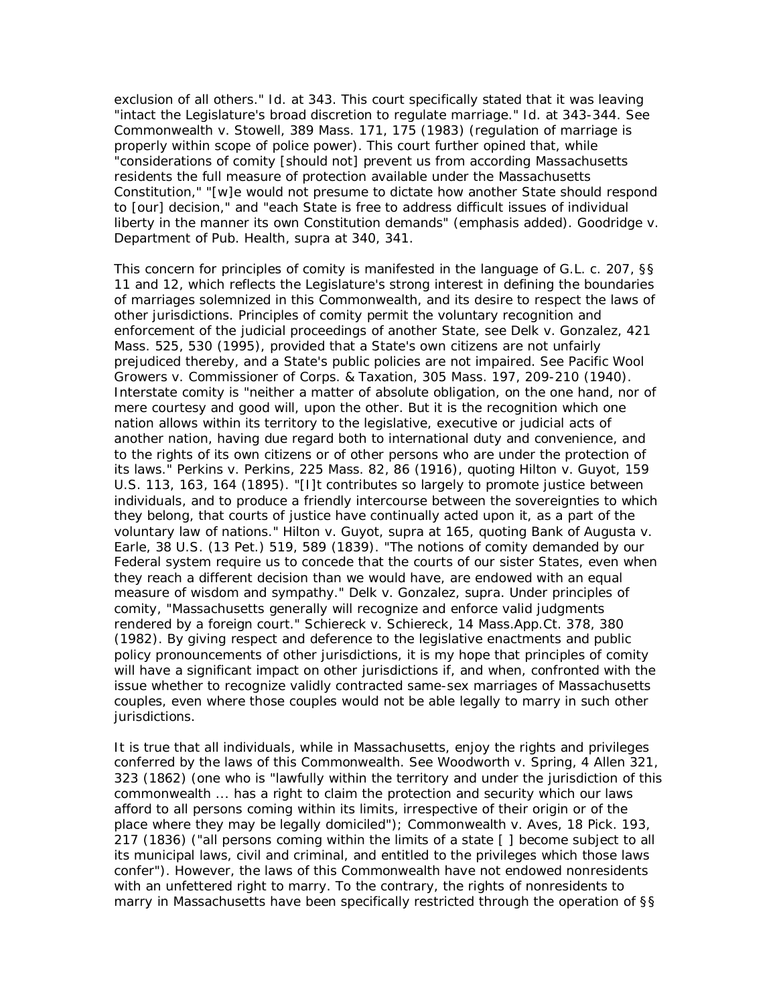exclusion of all others." *Id.* at 343. This court specifically stated that it was leaving "intact the Legislature's broad discretion to regulate marriage." *Id.* at 343-344. See *Commonwealth v. Stowell,* 389 Mass. 171, 175 (1983) (regulation of marriage is properly within scope of police power). This court further opined that, while "considerations of comity [should not] prevent us from according *Massachusetts* residents the full measure of protection available under the Massachusetts Constitution," "[w]e would not presume to dictate how another State should respond to [our] decision," and "each State is free to address difficult issues of individual liberty in the manner its own Constitution demands" (emphasis added). *Goodridge v. Department of Pub. Health, supra* at 340, 341.

This concern for principles of comity is manifested in the language of G.L. c. 207, §§ 11 and 12, which reflects the Legislature's strong interest in defining the boundaries of marriages solemnized in this Commonwealth, and its desire to respect the laws of other jurisdictions. Principles of comity permit the voluntary recognition and enforcement of the judicial proceedings of another State, see *Delk v. Gonzalez,* 421 Mass. 525, 530 (1995), provided that a State's own citizens are not unfairly prejudiced thereby, and a State's public policies are not impaired. See *Pacific Wool Growers v. Commissioner of Corps. & Taxation,* 305 Mass. 197, 209-210 (1940). Interstate comity is "neither a matter of absolute obligation, on the one hand, nor of mere courtesy and good will, upon the other. But it is the recognition which one nation allows within its territory to the legislative, executive or judicial acts of another nation, having due regard both to international duty and convenience, and to the rights of its own citizens or of other persons who are under the protection of its laws." *Perkins v. Perkins,* 225 Mass. 82, 86 (1916), quoting *Hilton v. Guyot,* 159 U.S. 113, 163, 164 (1895). "[I]t contributes so largely to promote justice between individuals, and to produce a friendly intercourse between the sovereignties to which they belong, that courts of justice have continually acted upon it, as a part of the voluntary law of nations." *Hilton v. Guyot, supra* at 165, quoting *Bank of Augusta v. Earle,* 38 U.S. (13 Pet.) 519, 589 (1839). "The notions of comity demanded by our Federal system require us to concede that the courts of our sister States, even when they reach a different decision than we would have, are endowed with an equal measure of wisdom and sympathy." *Delk v. Gonzalez, supra.* Under principles of comity, "Massachusetts generally will recognize and enforce valid judgments rendered by a foreign court." *Schiereck v. Schiereck,* 14 Mass.App.Ct. 378, 380 (1982). By giving respect and deference to the legislative enactments and public policy pronouncements of other jurisdictions, it is my hope that principles of comity will have a significant impact on other jurisdictions if, and when, confronted with the issue whether to recognize validly contracted same-sex marriages of Massachusetts couples, even where those couples would not be able legally to marry in such other jurisdictions.

It is true that all individuals, while in Massachusetts, enjoy the rights and privileges conferred by the laws of this Commonwealth. See *Woodworth v. Spring,* 4 Allen 321, 323 (1862) (one who is "lawfully within the territory and under the jurisdiction of this commonwealth ... has a right to claim the protection and security which our laws afford to all persons coming within its limits, irrespective of their origin or of the place where they may be legally domiciled"); *Commonwealth v. Aves,* 18 Pick. 193, 217 (1836) ("all persons coming within the limits of a state [ ] become subject to all its municipal laws, civil and criminal, and entitled to the privileges which those laws confer"). However, the laws of this Commonwealth have not endowed nonresidents with an unfettered right to marry. To the contrary, the rights of nonresidents to marry in Massachusetts have been specifically restricted through the operation of §§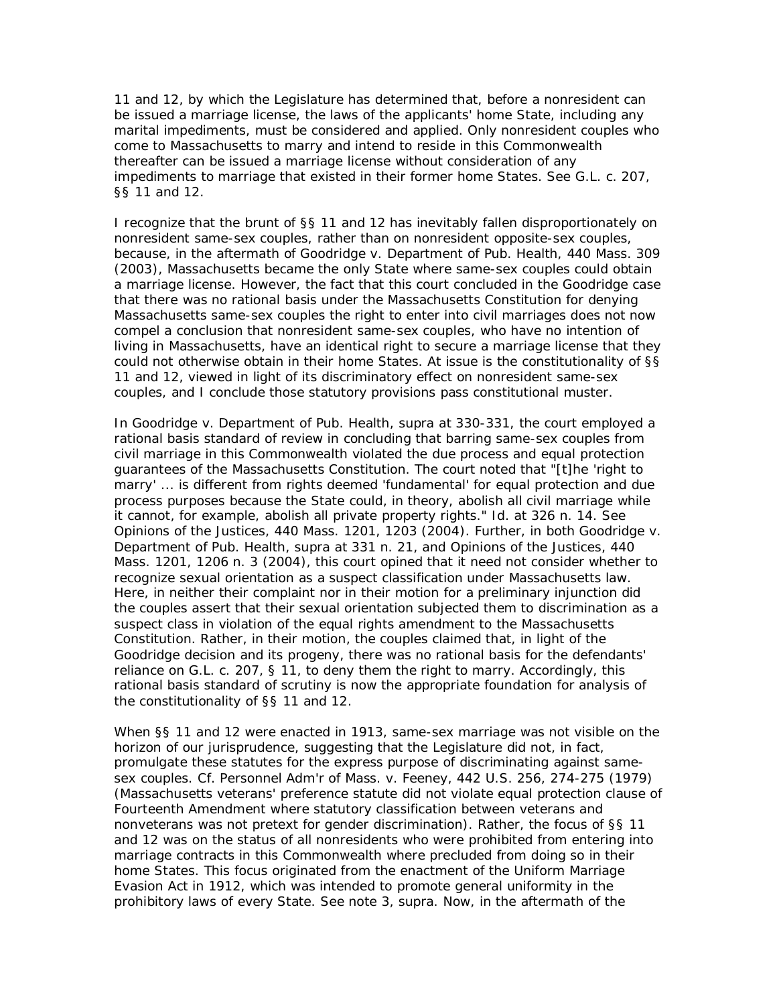11 and 12, by which the Legislature has determined that, before a nonresident can be issued a marriage license, the laws of the applicants' home State, including any marital impediments, must be considered and applied. Only nonresident couples who come to Massachusetts to marry and intend to reside in this Commonwealth thereafter can be issued a marriage license without consideration of any impediments to marriage that existed in their former home States. See G.L. c. 207, §§ 11 and 12.

I recognize that the brunt of §§ 11 and 12 has inevitably fallen disproportionately on nonresident same-sex couples, rather than on nonresident opposite-sex couples, because, in the aftermath of *Goodridge v. Department of Pub. Health,* 440 Mass. 309 (2003), Massachusetts became the only State where same-sex couples could obtain a marriage license. However, the fact that this court concluded in the *Goodridge* case that there was no rational basis under the Massachusetts Constitution for denying Massachusetts same-sex couples the right to enter into civil marriages does not now compel a conclusion that nonresident same-sex couples, who have no intention of living in Massachusetts, have an identical right to secure a marriage license that they could not otherwise obtain in their home States. At issue is the constitutionality of §§ 11 and 12, viewed in light of its discriminatory effect on nonresident same-sex couples, and I conclude those statutory provisions pass constitutional muster.

In *Goodridge v. Department of Pub. Health, supra* at 330-331, the court employed a rational basis standard of review in concluding that barring same-sex couples from civil marriage in this Commonwealth violated the due process and equal protection guarantees of the Massachusetts Constitution. The court noted that "[t]he 'right to marry' ... is different from rights deemed 'fundamental' for equal protection and due process purposes because the State could, in theory, abolish all civil marriage while it cannot, for example, abolish all private property rights." *Id.* at 326 n. 14. See *Opinions of the Justices,* 440 Mass. 1201, 1203 (2004). Further, in both *Goodridge v. Department of Pub. Health, supra* at 331 n. 21, and *Opinions of the Justices,* 440 Mass. 1201, 1206 n. 3 (2004), this court opined that it need not consider whether to recognize sexual orientation as a suspect classification under Massachusetts law. Here, in neither their complaint nor in their motion for a preliminary injunction did the couples assert that their sexual orientation subjected them to discrimination as a suspect class in violation of the equal rights amendment to the Massachusetts Constitution. Rather, in their motion, the couples claimed that, in light of the *Goodridge* decision and its progeny, there was no rational basis for the defendants' reliance on G.L. c. 207, § 11, to deny them the right to marry. Accordingly, this rational basis standard of scrutiny is now the appropriate foundation for analysis of the constitutionality of §§ 11 and 12.

When §§ 11 and 12 were enacted in 1913, same-sex marriage was not visible on the horizon of our jurisprudence, suggesting that the Legislature did not, in fact, promulgate these statutes for the express purpose of discriminating against samesex couples. Cf. *Personnel Adm'r of Mass.* v. *Feeney,* 442 U.S. 256, 274-275 (1979) (Massachusetts veterans' preference statute did not violate equal protection clause of Fourteenth Amendment where statutory classification between veterans and nonveterans was not pretext for gender discrimination). Rather, the focus of §§ 11 and 12 was on the status of all nonresidents who were prohibited from entering into marriage contracts in this Commonwealth where precluded from doing so in their home States. This focus originated from the enactment of the Uniform Marriage Evasion Act in 1912, which was intended to promote general uniformity in the prohibitory laws of every State. See note 3, *supra.* Now, in the aftermath of the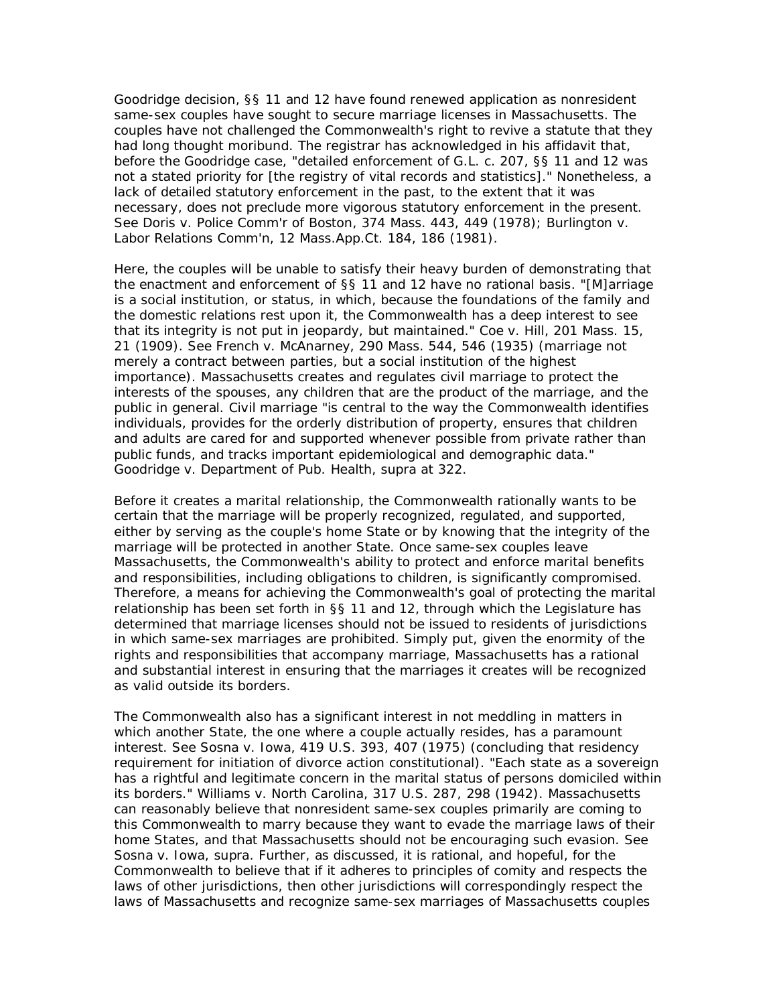*Goodridge* decision, §§ 11 and 12 have found renewed application as nonresident same-sex couples have sought to secure marriage licenses in Massachusetts. The couples have not challenged the Commonwealth's right to revive a statute that they had long thought moribund. The registrar has acknowledged in his affidavit that, before the *Goodridge* case, "detailed enforcement of G.L. c. 207, §§ 11 and 12 was not a stated priority for [the registry of vital records and statistics]." Nonetheless, a lack of detailed statutory enforcement in the past, to the extent that it was necessary, does not preclude more vigorous statutory enforcement in the present. See *Doris v. Police Comm'r of Boston,* 374 Mass. 443, 449 (1978); *Burlington v. Labor Relations Comm'n,* 12 Mass.App.Ct. 184, 186 (1981).

Here, the couples will be unable to satisfy their heavy burden of demonstrating that the enactment and enforcement of §§ 11 and 12 have no rational basis. "[M]arriage is a social institution, or status, in which, because the foundations of the family and the domestic relations rest upon it, the Commonwealth has a deep interest to see that its integrity is not put in jeopardy, but maintained." *Coe v. Hill,* 201 Mass. 15, 21 (1909). See *French v. McAnarney,* 290 Mass. 544, 546 (1935) (marriage not merely a contract between parties, but a social institution of the highest importance). Massachusetts creates and regulates civil marriage to protect the interests of the spouses, any children that are the product of the marriage, and the public in general. Civil marriage "is central to the way the Commonwealth identifies individuals, provides for the orderly distribution of property, ensures that children and adults are cared for and supported whenever possible from private rather than public funds, and tracks important epidemiological and demographic data." *Goodridge v. Department of Pub. Health, supra* at 322.

Before it creates a marital relationship, the Commonwealth rationally wants to be certain that the marriage will be properly recognized, regulated, and supported, either by serving as the couple's home State or by knowing that the integrity of the marriage will be protected in another State. Once same-sex couples leave Massachusetts, the Commonwealth's ability to protect and enforce marital benefits and responsibilities, including obligations to children, is significantly compromised. Therefore, a means for achieving the Commonwealth's goal of protecting the marital relationship has been set forth in §§ 11 and 12, through which the Legislature has determined that marriage licenses should not be issued to residents of jurisdictions in which same-sex marriages are prohibited. Simply put, given the enormity of the rights and responsibilities that accompany marriage, Massachusetts has a rational and substantial interest in ensuring that the marriages it creates will be recognized as valid outside its borders.

The Commonwealth also has a significant interest in not meddling in matters in which another State, the one where a couple actually resides, has a paramount interest. See *Sosna v. Iowa,* 419 U.S. 393, 407 (1975) (concluding that residency requirement for initiation of divorce action constitutional). "Each state as a sovereign has a rightful and legitimate concern in the marital status of persons domiciled within its borders." *Williams v. North Carolina,* 317 U.S. 287, 298 (1942). Massachusetts can reasonably believe that nonresident same-sex couples primarily are coming to this Commonwealth to marry because they want to evade the marriage laws of their home States, and that Massachusetts should not be encouraging such evasion. See *Sosna v. Iowa, supra.* Further, as discussed, it is rational, and hopeful, for the Commonwealth to believe that if it adheres to principles of comity and respects the laws of other jurisdictions, then other jurisdictions will correspondingly respect the laws of Massachusetts and recognize same-sex marriages of Massachusetts couples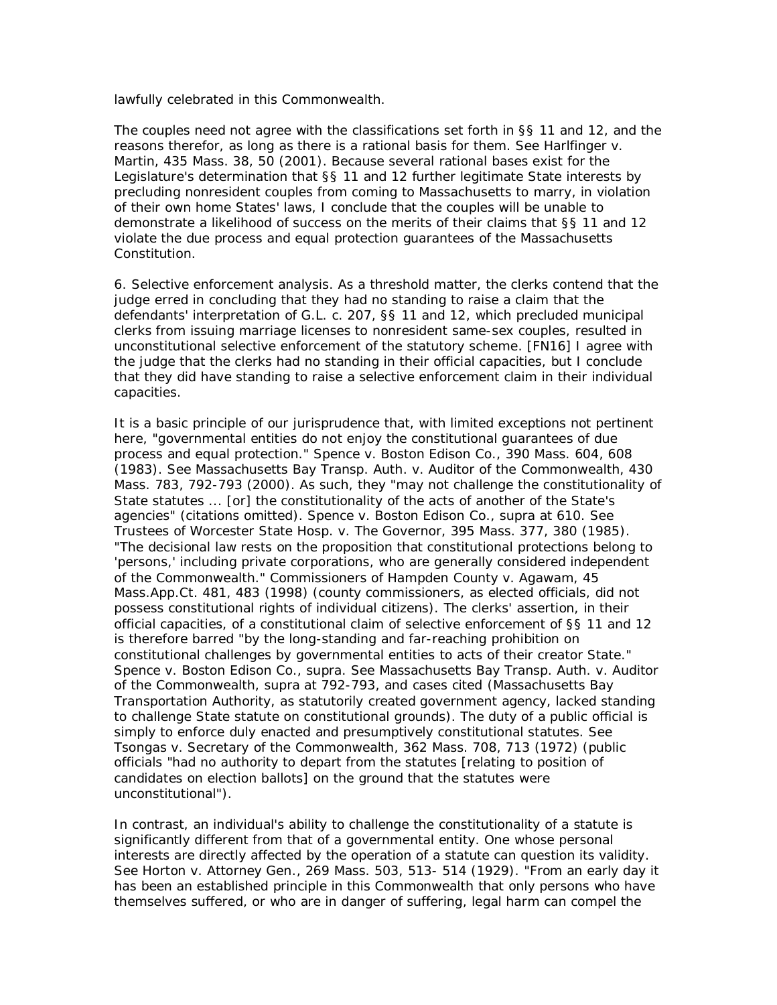lawfully celebrated in this Commonwealth.

The couples need not agree with the classifications set forth in §§ 11 and 12, and the reasons therefor, as long as there is a rational basis for them. See *Harlfinger v. Martin,* 435 Mass. 38, 50 (2001). Because several rational bases exist for the Legislature's determination that §§ 11 and 12 further legitimate State interests by precluding nonresident couples from coming to Massachusetts to marry, in violation of their own home States' laws, I conclude that the couples will be unable to demonstrate a likelihood of success on the merits of their claims that §§ 11 and 12 violate the due process and equal protection guarantees of the Massachusetts Constitution.

6. *Selective enforcement analysis.* As a threshold matter, the clerks contend that the judge erred in concluding that they had no standing to raise a claim that the defendants' interpretation of G.L. c. 207, §§ 11 and 12, which precluded municipal clerks from issuing marriage licenses to nonresident same-sex couples, resulted in unconstitutional selective enforcement of the statutory scheme. [FN16] I agree with the judge that the clerks had no standing in their official capacities, but I conclude that they did have standing to raise a selective enforcement claim in their individual capacities.

It is a basic principle of our jurisprudence that, with limited exceptions not pertinent here, "governmental entities do not enjoy the constitutional guarantees of due process and equal protection." *Spence v. Boston Edison Co.,* 390 Mass. 604, 608 (1983). See *Massachusetts Bay Transp. Auth.* v. *Auditor of the Commonwealth,* 430 Mass. 783, 792-793 (2000). As such, they "may not challenge the constitutionality of State statutes ... [or] the constitutionality of the acts of another of the State's agencies" (citations omitted). *Spence v. Boston Edison Co., supra* at 610. See *Trustees of Worcester State Hosp.* v. *The Governor,* 395 Mass. 377, 380 (1985). "The decisional law rests on the proposition that constitutional protections belong to 'persons,' including private corporations, who are generally considered independent of the Commonwealth." *Commissioners of Hampden County v. Agawam,* 45 Mass.App.Ct. 481, 483 (1998) (county commissioners, as elected officials, did not possess constitutional rights of individual citizens). The clerks' assertion, in their official capacities, of a constitutional claim of selective enforcement of §§ 11 and 12 is therefore barred "by the long-standing and far-reaching prohibition on constitutional challenges by governmental entities to acts of their creator State." *Spence v. Boston Edison Co., supra.* See *Massachusetts Bay Transp. Auth.* v. *Auditor of the Commonwealth, supra* at 792-793, and cases cited (Massachusetts Bay Transportation Authority, as statutorily created government agency, lacked standing to challenge State statute on constitutional grounds). The duty of a public official is simply to enforce duly enacted and presumptively constitutional statutes. See *Tsongas v. Secretary of the Commonwealth,* 362 Mass. 708, 713 (1972) (public officials "had no authority to depart from the statutes [relating to position of candidates on election ballots] on the ground that the statutes were unconstitutional").

In contrast, an individual's ability to challenge the constitutionality of a statute is significantly different from that of a governmental entity. One whose personal interests are directly affected by the operation of a statute can question its validity. See *Horton v. Attorney Gen.,* 269 Mass. 503, 513- 514 (1929). "From an early day it has been an established principle in this Commonwealth that only persons who have themselves suffered, or who are in danger of suffering, legal harm can compel the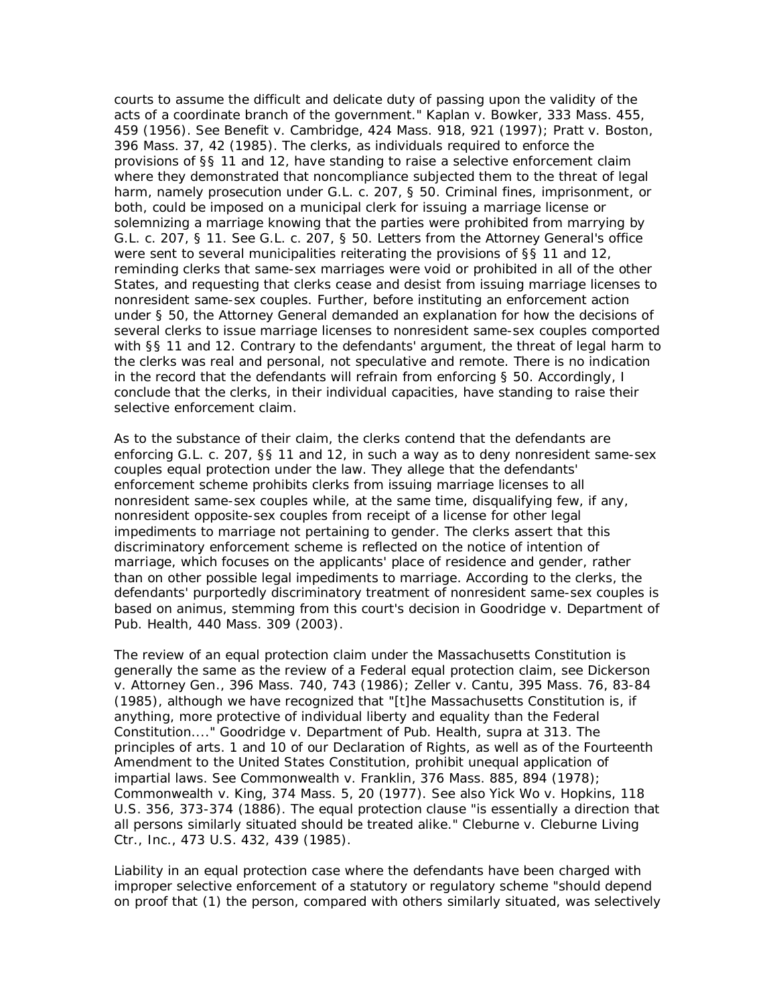courts to assume the difficult and delicate duty of passing upon the validity of the acts of a coordinate branch of the government." *Kaplan v. Bowker,* 333 Mass. 455, 459 (1956). See *Benefit v. Cambridge,* 424 Mass. 918, 921 (1997); *Pratt v. Boston,* 396 Mass. 37, 42 (1985). The clerks, as individuals required to enforce the provisions of §§ 11 and 12, have standing to raise a selective enforcement claim where they demonstrated that noncompliance subjected them to the threat of legal harm, namely prosecution under G.L. c. 207, § 50. Criminal fines, imprisonment, or both, could be imposed on a municipal clerk for issuing a marriage license or solemnizing a marriage knowing that the parties were prohibited from marrying by G.L. c. 207, § 11. See G.L. c. 207, § 50. Letters from the Attorney General's office were sent to several municipalities reiterating the provisions of §§ 11 and 12, reminding clerks that same-sex marriages were void or prohibited in all of the other States, and requesting that clerks cease and desist from issuing marriage licenses to nonresident same-sex couples. Further, before instituting an enforcement action under § 50, the Attorney General demanded an explanation for how the decisions of several clerks to issue marriage licenses to nonresident same-sex couples comported with §§ 11 and 12. Contrary to the defendants' argument, the threat of legal harm to the clerks was real and personal, not speculative and remote. There is no indication in the record that the defendants will refrain from enforcing § 50. Accordingly, I conclude that the clerks, in their individual capacities, have standing to raise their selective enforcement claim.

As to the substance of their claim, the clerks contend that the defendants are enforcing G.L. c. 207, §§ 11 and 12, in such a way as to deny nonresident same-sex couples equal protection under the law. They allege that the defendants' enforcement scheme prohibits clerks from issuing marriage licenses to all nonresident same-sex couples while, at the same time, disqualifying few, if any, nonresident opposite-sex couples from receipt of a license for other legal impediments to marriage not pertaining to gender. The clerks assert that this discriminatory enforcement scheme is reflected on the notice of intention of marriage, which focuses on the applicants' place of residence and gender, rather than on other possible legal impediments to marriage. According to the clerks, the defendants' purportedly discriminatory treatment of nonresident same-sex couples is based on animus, stemming from this court's decision in *Goodridge v. Department of Pub. Health,* 440 Mass. 309 (2003).

The review of an equal protection claim under the Massachusetts Constitution is generally the same as the review of a Federal equal protection claim, see *Dickerson v. Attorney Gen.,* 396 Mass. 740, 743 (1986); *Zeller v. Cantu,* 395 Mass. 76, 83-84 (1985), although we have recognized that "[t]he Massachusetts Constitution is, if anything, more protective of individual liberty and equality than the Federal Constitution...." *Goodridge v. Department of Pub. Health, supra* at 313. The principles of arts. 1 and 10 of our Declaration of Rights, as well as of the Fourteenth Amendment to the United States Constitution, prohibit unequal application of impartial laws. See *Commonwealth v. Franklin,* 376 Mass. 885, 894 (1978); *Commonwealth v. King,* 374 Mass. 5, 20 (1977). See also *Yick Wo v. Hopkins,* 118 U.S. 356, 373-374 (1886). The equal protection clause "is essentially a direction that all persons similarly situated should be treated alike." *Cleburne v. Cleburne Living Ctr., Inc.,* 473 U.S. 432, 439 (1985).

Liability in an equal protection case where the defendants have been charged with improper selective enforcement of a statutory or regulatory scheme "should depend on proof that (1) the person, compared with others similarly situated, was selectively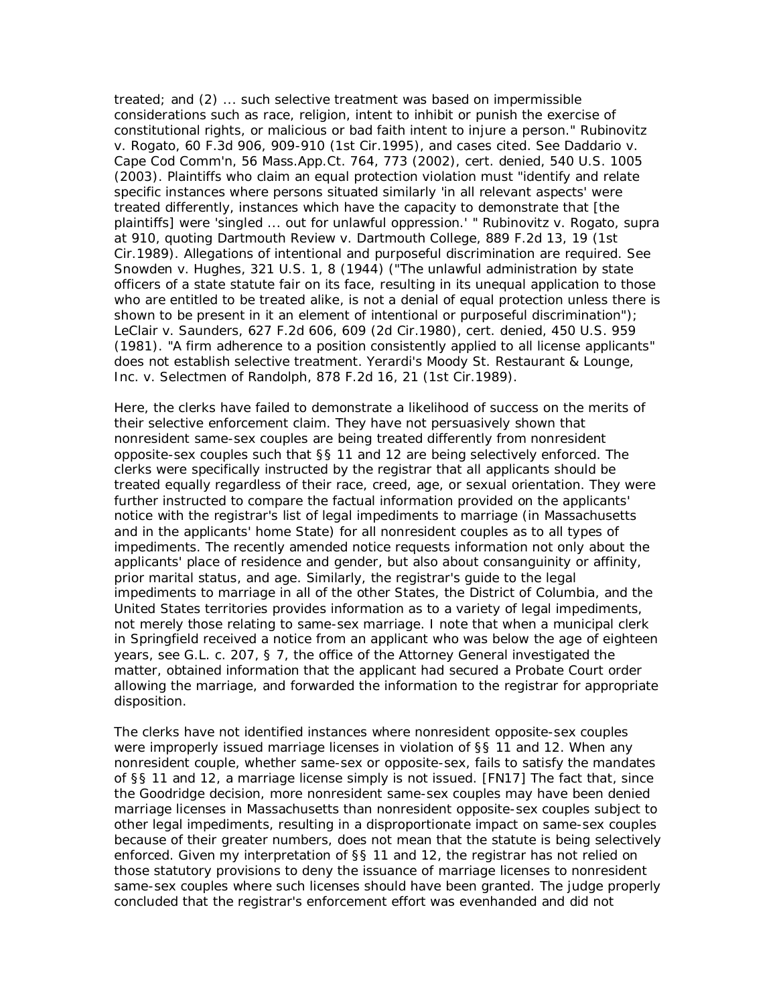treated; and (2) ... such selective treatment was based on impermissible considerations such as race, religion, intent to inhibit or punish the exercise of constitutional rights, or malicious or bad faith intent to injure a person." *Rubinovitz v. Rogato,* 60 F.3d 906, 909-910 (1st Cir.1995), and cases cited. See *Daddario v. Cape Cod Comm'n,* 56 Mass.App.Ct. 764, 773 (2002), cert. denied, 540 U.S. 1005 (2003). Plaintiffs who claim an equal protection violation must "identify and relate specific instances where persons situated similarly 'in all relevant aspects' were treated differently, instances which have the capacity to demonstrate that [the plaintiffs] were 'singled ... out for unlawful oppression.' " *Rubinovitz v. Rogato, supra* at 910, quoting *Dartmouth Review v. Dartmouth College,* 889 F.2d 13, 19 (1st Cir.1989). Allegations of intentional and purposeful discrimination are required. See *Snowden v. Hughes,* 321 U.S. 1, 8 (1944) ("The unlawful administration by state officers of a state statute fair on its face, resulting in its unequal application to those who are entitled to be treated alike, is not a denial of equal protection unless there is shown to be present in it an element of intentional or purposeful discrimination"); *LeClair v. Saunders,* 627 F.2d 606, 609 (2d Cir.1980), cert. denied, 450 U.S. 959 (1981). "A firm adherence to a position consistently applied to all license applicants" does not establish selective treatment. *Yerardi's Moody St. Restaurant & Lounge, Inc.* v. *Selectmen of Randolph,* 878 F.2d 16, 21 (1st Cir.1989).

Here, the clerks have failed to demonstrate a likelihood of success on the merits of their selective enforcement claim. They have not persuasively shown that nonresident same-sex couples are being treated differently from nonresident opposite-sex couples such that §§ 11 and 12 are being selectively enforced. The clerks were specifically instructed by the registrar that all applicants should be treated equally regardless of their race, creed, age, or sexual orientation. They were further instructed to compare the factual information provided on the applicants' notice with the registrar's list of legal impediments to marriage (in Massachusetts and in the applicants' home State) for *all* nonresident couples as to *all* types of impediments. The recently amended notice requests information not only about the applicants' place of residence and gender, but also about consanguinity or affinity, prior marital status, and age. Similarly, the registrar's guide to the legal impediments to marriage in all of the other States, the District of Columbia, and the United States territories provides information as to a variety of legal impediments, not merely those relating to same-sex marriage. I note that when a municipal clerk in Springfield received a notice from an applicant who was below the age of eighteen years, see G.L. c. 207, § 7, the office of the Attorney General investigated the matter, obtained information that the applicant had secured a Probate Court order allowing the marriage, and forwarded the information to the registrar for appropriate disposition.

The clerks have not identified instances where nonresident opposite-sex couples were improperly issued marriage licenses in violation of §§ 11 and 12. When any nonresident couple, whether same-sex or opposite-sex, fails to satisfy the mandates of §§ 11 and 12, a marriage license simply is not issued. [FN17] The fact that, since the *Goodridge* decision, more nonresident same-sex couples may have been denied marriage licenses in Massachusetts than nonresident opposite-sex couples subject to other legal impediments, resulting in a disproportionate impact on same-sex couples because of their greater numbers, does not mean that the statute is being selectively enforced. Given my interpretation of §§ 11 and 12, the registrar has not relied on those statutory provisions to deny the issuance of marriage licenses to nonresident same-sex couples where such licenses should have been granted. The judge properly concluded that the registrar's enforcement effort was evenhanded and did not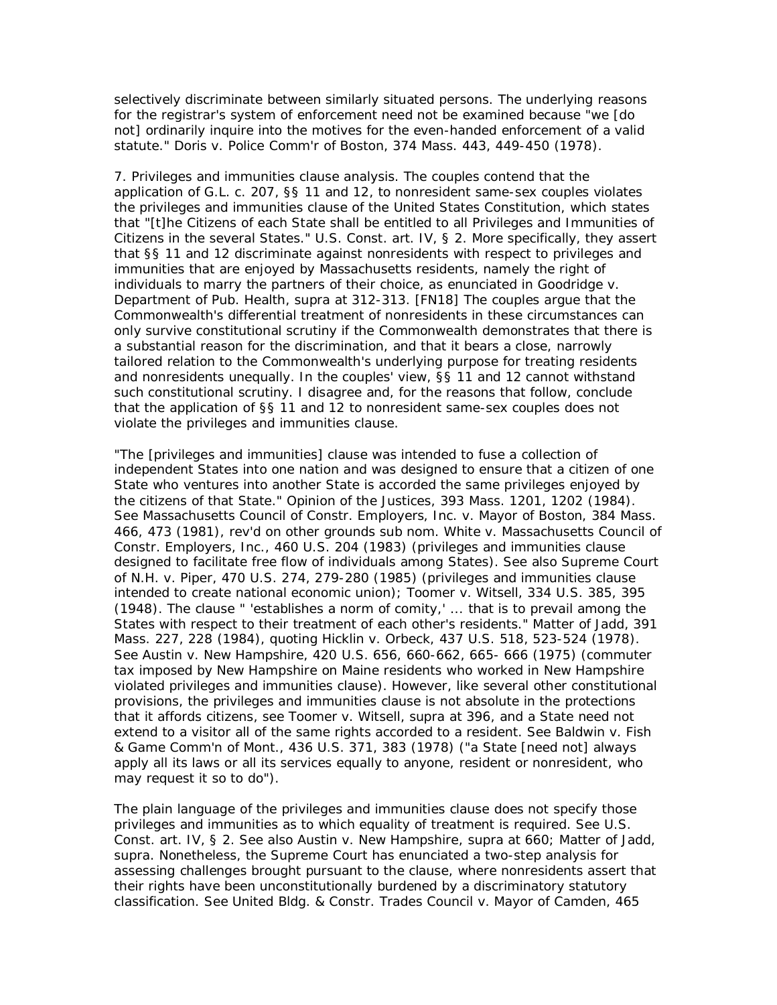selectively discriminate between similarly situated persons. The underlying reasons for the registrar's system of enforcement need not be examined because "we [do not] ordinarily inquire into the motives for the even-handed enforcement of a valid statute." *Doris v. Police Comm'r of Boston,* 374 Mass. 443, 449-450 (1978).

7. *Privileges and immunities clause analysis.* The couples contend that the application of G.L. c. 207, §§ 11 and 12, to nonresident same-sex couples violates the privileges and immunities clause of the United States Constitution, which states that "[t]he Citizens of each State shall be entitled to all Privileges and Immunities of Citizens in the several States." U.S. Const. art. IV, § 2. More specifically, they assert that §§ 11 and 12 discriminate against nonresidents with respect to privileges and immunities that are enjoyed by Massachusetts residents, namely the right of individuals to marry the partners of their choice, as enunciated in *Goodridge v. Department of Pub. Health, supra* at 312-313. [FN18] The couples argue that the Commonwealth's differential treatment of nonresidents in these circumstances can only survive constitutional scrutiny if the Commonwealth demonstrates that there is a substantial reason for the discrimination, and that it bears a close, narrowly tailored relation to the Commonwealth's underlying purpose for treating residents and nonresidents unequally. In the couples' view, §§ 11 and 12 cannot withstand such constitutional scrutiny. I disagree and, for the reasons that follow, conclude that the application of §§ 11 and 12 to nonresident same-sex couples does not violate the privileges and immunities clause.

"The [privileges and immunities] clause was intended to fuse a collection of independent States into one nation and was designed to ensure that a citizen of one State who ventures into another State is accorded the same privileges enjoyed by the citizens of that State." *Opinion of the Justices,* 393 Mass. 1201, 1202 (1984). See *Massachusetts Council of Constr. Employers, Inc.* v. *Mayor of Boston,* 384 Mass. 466, 473 (1981), rev'd on other grounds sub nom. *White v. Massachusetts Council of Constr. Employers, Inc.,* 460 U.S. 204 (1983) (privileges and immunities clause designed to facilitate free flow of individuals among States). See also *Supreme Court of N.H.* v. *Piper,* 470 U.S. 274, 279-280 (1985) (privileges and immunities clause intended to create national economic union); *Toomer v. Witsell,* 334 U.S. 385, 395 (1948). The clause " 'establishes a norm of comity,' ... that is to prevail among the States with respect to their treatment of each other's residents." *Matter of Jadd,* 391 Mass. 227, 228 (1984), quoting *Hicklin v. Orbeck,* 437 U.S. 518, 523-524 (1978). See *Austin v. New Hampshire,* 420 U.S. 656, 660-662, 665- 666 (1975) (commuter tax imposed by New Hampshire on Maine residents who worked in New Hampshire violated privileges and immunities clause). However, like several other constitutional provisions, the privileges and immunities clause is not absolute in the protections that it affords citizens, see *Toomer v. Witsell, supra* at 396, and a State need not extend to a visitor all of the same rights accorded to a resident. See *Baldwin v. Fish & Game Comm'n of Mont.,* 436 U.S. 371, 383 (1978) ("a State [need not] always apply all its laws or all its services equally to anyone, resident or nonresident, who may request it so to do").

The plain language of the privileges and immunities clause does not specify those privileges and immunities as to which equality of treatment is required. See U.S. Const. art. IV, § 2. See also *Austin v. New Hampshire, supra* at 660; *Matter of Jadd, supra.* Nonetheless, the Supreme Court has enunciated a two-step analysis for assessing challenges brought pursuant to the clause, where nonresidents assert that their rights have been unconstitutionally burdened by a discriminatory statutory classification. See *United Bldg. & Constr. Trades Council v. Mayor of Camden,* 465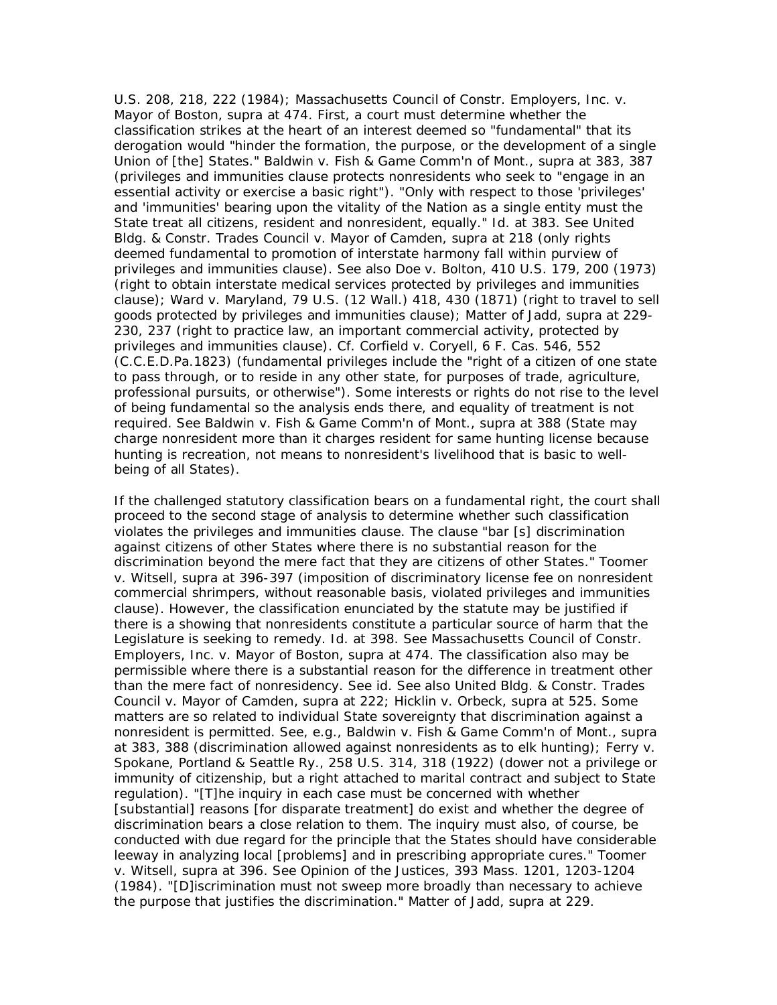U.S. 208, 218, 222 (1984); *Massachusetts Council of Constr. Employers, Inc.* v. *Mayor of Boston, supra* at 474. First, a court must determine whether the classification strikes at the heart of an interest deemed so "fundamental" that its derogation would "hinder the formation, the purpose, or the development of a single Union of [the] States." *Baldwin v. Fish & Game Comm'n of Mont., supra* at 383, 387 (privileges and immunities clause protects nonresidents who seek to "engage in an essential activity or exercise a basic right"). "Only with respect to those 'privileges' and 'immunities' bearing upon the vitality of the Nation as a single entity must the State treat all citizens, resident and nonresident, equally." *Id.* at 383. See *United Bldg. & Constr. Trades Council v. Mayor of Camden, supra* at 218 (only rights deemed fundamental to promotion of interstate harmony fall within purview of privileges and immunities clause). See also *Doe v. Bolton,* 410 U.S. 179, 200 (1973) (right to obtain interstate medical services protected by privileges and immunities clause); *Ward v. Maryland,* 79 U.S. (12 Wall.) 418, 430 (1871) (right to travel to sell goods protected by privileges and immunities clause); *Matter of Jadd, supra* at 229- 230, 237 (right to practice law, an important commercial activity, protected by privileges and immunities clause). Cf. *Corfield v. Coryell,* 6 F. Cas. 546, 552 (C.C.E.D.Pa.1823) (fundamental privileges include the "right of a citizen of one state to pass through, or to reside in any other state, for purposes of trade, agriculture, professional pursuits, or otherwise"). Some interests or rights do not rise to the level of being fundamental so the analysis ends there, and equality of treatment is not required. See *Baldwin v. Fish & Game Comm'n of Mont., supra* at 388 (State may charge nonresident more than it charges resident for same hunting license because hunting is recreation, not means to nonresident's livelihood that is basic to wellbeing of all States).

If the challenged statutory classification bears on a fundamental right, the court shall proceed to the second stage of analysis to determine whether such classification violates the privileges and immunities clause. The clause "bar [s] discrimination against citizens of other States where there is no substantial reason for the discrimination beyond the mere fact that they are citizens of other States." *Toomer v. Witsell, supra* at 396-397 (imposition of discriminatory license fee on nonresident commercial shrimpers, without reasonable basis, violated privileges and immunities clause). However, the classification enunciated by the statute may be justified if there is a showing that nonresidents constitute a particular source of harm that the Legislature is seeking to remedy. *Id.* at 398. See *Massachusetts Council of Constr. Employers, Inc.* v. *Mayor of Boston, supra* at 474. The classification also may be permissible where there is a substantial reason for the difference in treatment other than the mere fact of nonresidency. See *id.* See also *United Bldg. & Constr. Trades Council v. Mayor of Camden, supra* at 222; *Hicklin v. Orbeck, supra* at 525. Some matters are so related to individual State sovereignty that discrimination against a nonresident is permitted. See, e.g., *Baldwin v. Fish & Game Comm'n of Mont., supra* at 383, 388 (discrimination allowed against nonresidents as to elk hunting); *Ferry v. Spokane, Portland & Seattle Ry.,* 258 U.S. 314, 318 (1922) (dower not a privilege or immunity of citizenship, but a right attached to marital contract and subject to State regulation). "[T]he inquiry in each case must be concerned with whether [substantial] reasons [for disparate treatment] do exist and whether the degree of discrimination bears a close relation to them. The inquiry must also, of course, be conducted with due regard for the principle that the States should have considerable leeway in analyzing local [problems] and in prescribing appropriate cures." *Toomer v. Witsell, supra* at 396. See *Opinion of the Justices,* 393 Mass. 1201, 1203-1204 (1984). "[D]iscrimination must not sweep more broadly than necessary to achieve the purpose that justifies the discrimination." *Matter of Jadd, supra* at 229.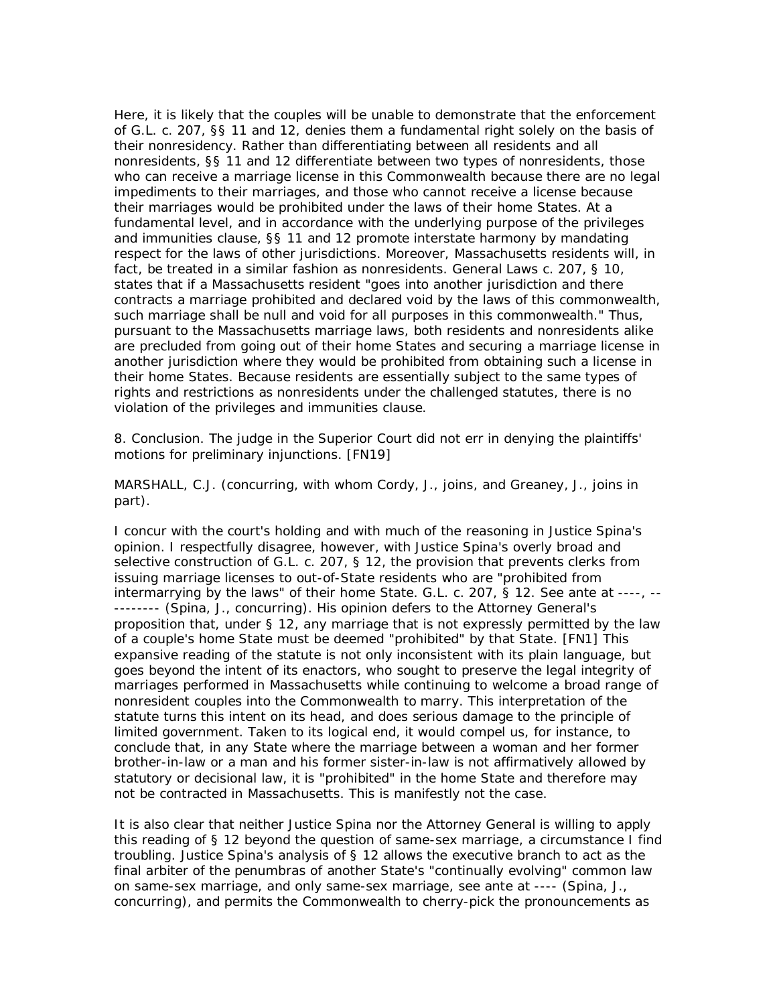Here, it is likely that the couples will be unable to demonstrate that the enforcement of G.L. c. 207, §§ 11 and 12, denies them a fundamental right solely on the basis of their nonresidency. Rather than differentiating between all residents and all nonresidents, §§ 11 and 12 differentiate between two types of nonresidents, those who can receive a marriage license in this Commonwealth because there are no legal impediments to their marriages, and those who cannot receive a license because their marriages would be prohibited under the laws of their home States. At a fundamental level, and in accordance with the underlying purpose of the privileges and immunities clause, §§ 11 and 12 promote interstate harmony by mandating respect for the laws of other jurisdictions. Moreover, Massachusetts residents will, in fact, be treated in a similar fashion as nonresidents. General Laws c. 207, § 10, states that if a Massachusetts resident "goes into another jurisdiction and there contracts a marriage prohibited and declared void by the laws of this commonwealth, such marriage shall be null and void for all purposes in this commonwealth." Thus, pursuant to the Massachusetts marriage laws, both residents and nonresidents alike are precluded from going out of their home States and securing a marriage license in another jurisdiction where they would be prohibited from obtaining such a license in their home States. Because residents are essentially subject to the same types of rights and restrictions as nonresidents under the challenged statutes, there is no violation of the privileges and immunities clause.

8. *Conclusion.* The judge in the Superior Court did not err in denying the plaintiffs' motions for preliminary injunctions. [FN19]

MARSHALL, C.J. (concurring, with whom Cordy, J., joins, and Greaney, J., joins in part).

I concur with the court's holding and with much of the reasoning in Justice Spina's opinion. I respectfully disagree, however, with Justice Spina's overly broad and selective construction of G.L. c. 207, § 12, the provision that prevents clerks from issuing marriage licenses to out-of-State residents who are "prohibited from intermarrying by the laws" of their home State. G.L. c. 207, § 12. See *ante* at ----, -- -------- (Spina, J., concurring). His opinion defers to the Attorney General's proposition that, under § 12, any marriage that is not expressly *permitted* by the law of a couple's home State must be deemed "prohibited" by that State. [FN1] This expansive reading of the statute is not only inconsistent with its plain language, but goes beyond the intent of its enactors, who sought to preserve the legal integrity of marriages performed in Massachusetts while continuing to welcome a broad range of nonresident couples into the Commonwealth to marry. This interpretation of the statute turns this intent on its head, and does serious damage to the principle of limited government. Taken to its logical end, it would compel us, for instance, to conclude that, in any State where the marriage between a woman and her former brother-in-law or a man and his former sister-in-law is not affirmatively allowed by statutory or decisional law, it is "prohibited" in the home State and therefore may not be contracted in Massachusetts. This is manifestly not the case.

It is also clear that neither Justice Spina nor the Attorney General is willing to apply this reading of § 12 beyond the question of same-sex marriage, a circumstance I find troubling. Justice Spina's analysis of § 12 allows the executive branch to act as the final arbiter of the penumbras of another State's "continually evolving" common law on same-sex marriage, and only same-sex marriage, see *ante* at ---- (Spina, J., concurring), and permits the Commonwealth to cherry-pick the pronouncements as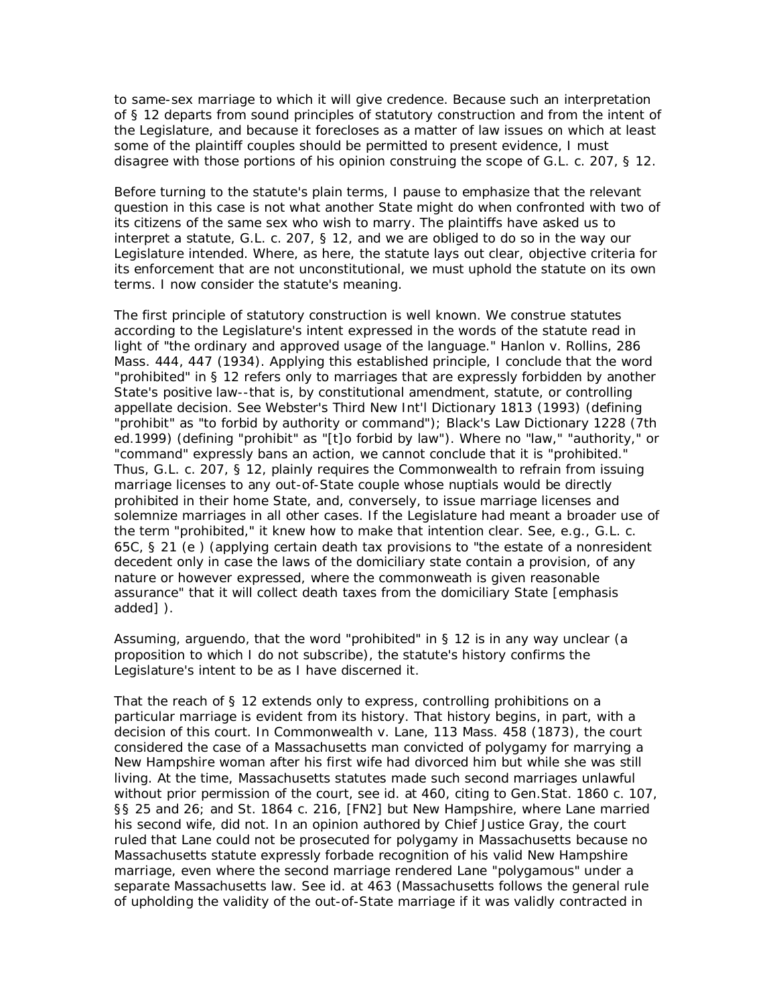to same-sex marriage to which it will give credence. Because such an interpretation of § 12 departs from sound principles of statutory construction and from the intent of the Legislature, and because it forecloses as a matter of law issues on which at least some of the plaintiff couples should be permitted to present evidence, I must disagree with those portions of his opinion construing the scope of G.L. c. 207, § 12.

Before turning to the statute's plain terms, I pause to emphasize that the relevant question in this case is not what another State might do when confronted with two of its citizens of the same sex who wish to marry. The plaintiffs have asked us to interpret a statute, G.L. c. 207, § 12, and we are obliged to do so in the way our Legislature intended. Where, as here, the statute lays out clear, objective criteria for its enforcement that are not unconstitutional, we must uphold the statute on its own terms. I now consider the statute's meaning.

The first principle of statutory construction is well known. We construe statutes according to the Legislature's intent expressed in the words of the statute read in light of "the ordinary and approved usage of the language." *Hanlon v. Rollins,* 286 Mass. 444, 447 (1934). Applying this established principle, I conclude that the word "prohibited" in § 12 refers only to marriages that are expressly forbidden by another State's positive law--that is, by constitutional amendment, statute, or controlling appellate decision. See Webster's Third New Int'l Dictionary 1813 (1993) (defining "prohibit" as "to forbid by authority or command"); Black's Law Dictionary 1228 (7th ed.1999) (defining "prohibit" as "[t]o forbid by law"). Where no "law," "authority," or "command" expressly bans an action, we cannot conclude that it is "prohibited." Thus, G.L. c. 207, § 12, plainly requires the Commonwealth to refrain from issuing marriage licenses to any out-of-State couple whose nuptials would be directly prohibited in their home State, and, conversely, to issue marriage licenses and solemnize marriages in all other cases. If the Legislature had meant a broader use of the term "prohibited," it knew how to make that intention clear. See, e.g., G.L. c. 65C, § 21 (*e* ) (applying certain death tax provisions to "the estate of a nonresident decedent only in case the laws of the domiciliary state contain a provision, *of any nature or however expressed,* where the commonweath is given reasonable assurance" that it will collect death taxes from the domiciliary State [emphasis added] ).

Assuming, arguendo, that the word "prohibited" in § 12 is in any way unclear (a proposition to which I do not subscribe), the statute's history confirms the Legislature's intent to be as I have discerned it.

That the reach of § 12 extends only to express, controlling prohibitions on a particular marriage is evident from its history. That history begins, in part, with a decision of this court. In *Commonwealth v. Lane,* 113 Mass. 458 (1873), the court considered the case of a Massachusetts man convicted of polygamy for marrying a New Hampshire woman after his first wife had divorced him but while she was still living. At the time, Massachusetts statutes made such second marriages unlawful without prior permission of the court, see *id.* at 460, citing to Gen.Stat. 1860 c. 107, §§ 25 and 26; and St. 1864 c. 216, [FN2] but New Hampshire, where Lane married his second wife, did not. In an opinion authored by Chief Justice Gray, the court ruled that Lane could not be prosecuted for polygamy in Massachusetts because no Massachusetts statute expressly forbade recognition of his valid New Hampshire marriage, even where the second marriage rendered Lane "polygamous" under a separate Massachusetts law. See *id.* at 463 (Massachusetts follows the general rule of upholding the validity of the out-of-State marriage if it was validly contracted in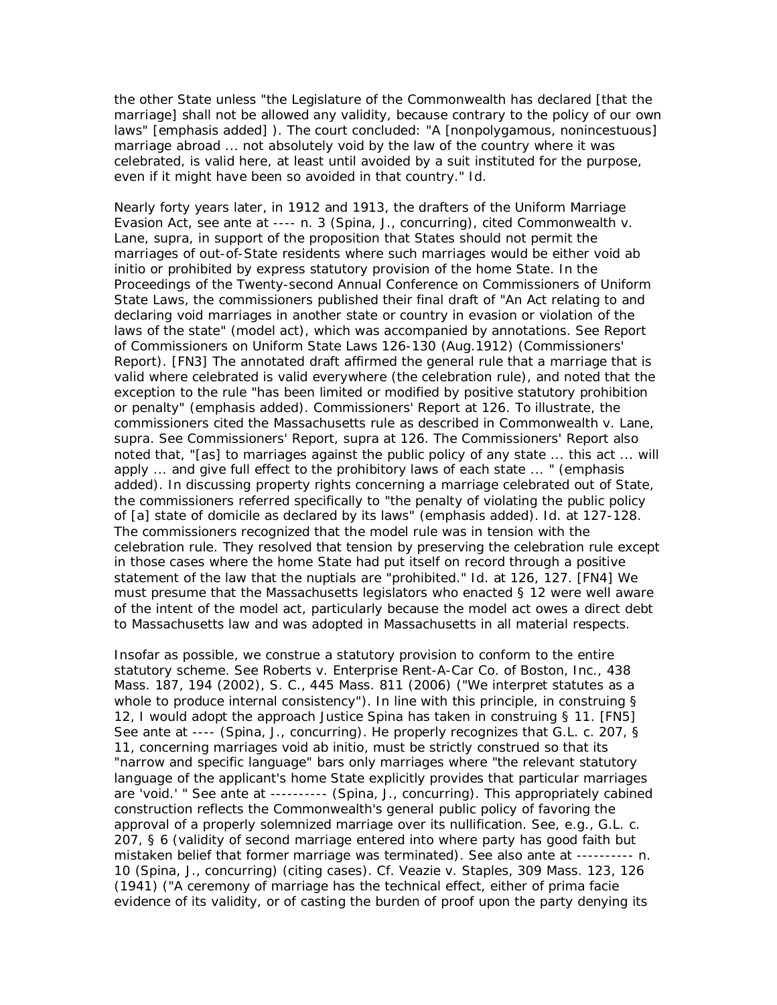the other State unless "the *Legislature* of the Commonwealth has declared [that the marriage] shall not be allowed any validity, because contrary to the policy of our own laws" [emphasis added] ). The court concluded: "A [nonpolygamous, nonincestuous] marriage abroad ... not absolutely void by the law of the country where it was celebrated, is valid here, at least until avoided by a suit instituted for the purpose, even if it might have been so avoided in that country." *Id.*

Nearly forty years later, in 1912 and 1913, the drafters of the Uniform Marriage Evasion Act, see *ante* at ---- n. 3 (Spina, J., concurring), cited *Commonwealth v. Lane, supra,* in support of the proposition that States should not permit the marriages of out-of-State residents where such marriages would be either void ab initio or prohibited by express statutory provision of the home State. In the Proceedings of the Twenty-second Annual Conference on Commissioners of Uniform State Laws, the commissioners published their final draft of "An Act relating to and declaring void marriages in another state or country in evasion or violation of the laws of the state" (model act), which was accompanied by annotations. See Report of Commissioners on Uniform State Laws 126-130 (Aug.1912) (Commissioners' Report). [FN3] The annotated draft affirmed the general rule that a marriage that is valid where celebrated is valid everywhere (the celebration rule), and noted that the exception to the rule "has been limited or modified by *positive statutory prohibition* or penalty" (emphasis added). Commissioners' Report at 126. To illustrate, the commissioners cited the Massachusetts rule as described in *Commonwealth v. Lane, supra.* See Commissioners' Report, *supra* at 126. The Commissioners' Report also noted that, "[as] to marriages against the public policy of any state ... this act ... will apply ... and give full effect to the *prohibitory laws* of each state ... " (emphasis added). In discussing property rights concerning a marriage celebrated out of State, the commissioners referred specifically to "the penalty of violating the public policy of [a] state of domicile as *declared* by its laws" (emphasis added). *Id.* at 127-128. The commissioners recognized that the model rule was in tension with the celebration rule. They resolved that tension by preserving the celebration rule except in those cases where the home State had put itself on record through a positive statement of the law that the nuptials are "prohibited." *Id.* at 126, 127. [FN4] We must presume that the Massachusetts legislators who enacted § 12 were well aware of the intent of the model act, particularly because the model act owes a direct debt to Massachusetts law and was adopted in Massachusetts in all material respects.

Insofar as possible, we construe a statutory provision to conform to the entire statutory scheme. See *Roberts v. Enterprise Rent-A-Car Co. of Boston, Inc.,* 438 Mass. 187, 194 (2002), *S. C.,* 445 Mass. 811 (2006) ("We interpret statutes as a whole to produce internal consistency"). In line with this principle, in construing § 12, I would adopt the approach Justice Spina has taken in construing § 11. [FN5] See *ante* at ---- (Spina, J., concurring). He properly recognizes that G.L. c. 207, § 11, concerning marriages void ab initio, must be strictly construed so that its "narrow and specific language" bars only marriages where "the relevant statutory language of the applicant's home State explicitly provides that particular marriages are 'void.' " See *ante* at ---------- (Spina, J., concurring). This appropriately cabined construction reflects the Commonwealth's general public policy of favoring the approval of a properly solemnized marriage over its nullification. See, e.g., G.L. c. 207, § 6 (validity of second marriage entered into where party has good faith but mistaken belief that former marriage was terminated). See also *ante* at ---------- n. 10 (Spina, J., concurring) (citing cases). Cf. *Veazie v. Staples,* 309 Mass. 123, 126 (1941) ("A ceremony of marriage has the technical effect, either of prima facie evidence of its validity, or of casting the burden of proof upon the party denying its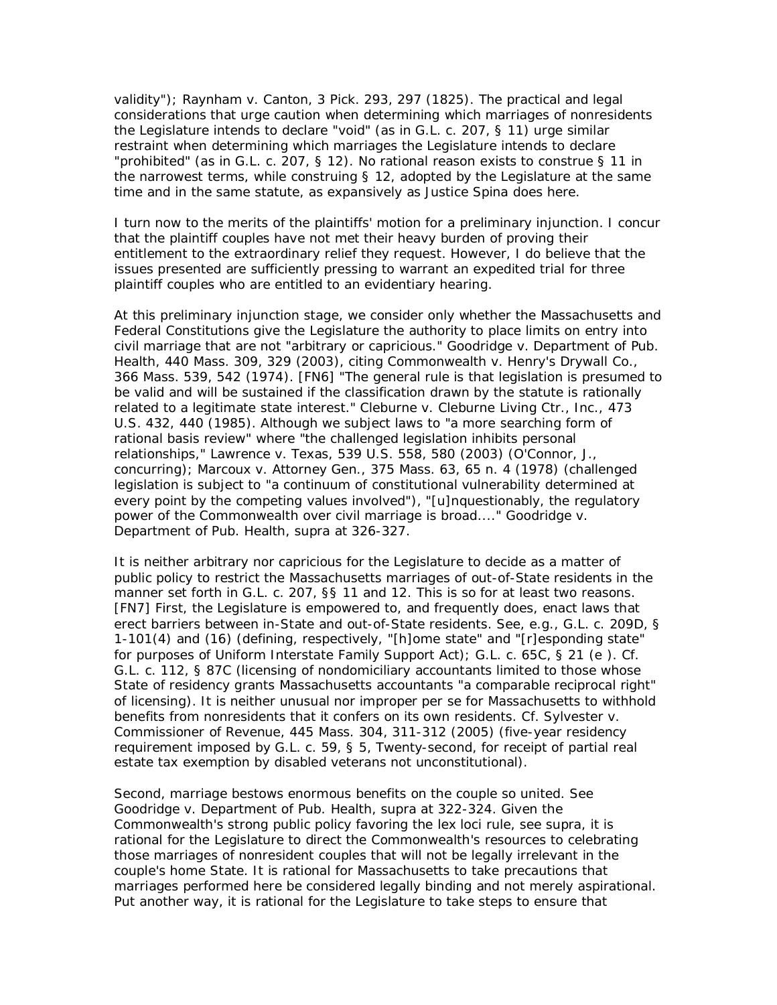validity"); *Raynham v. Canton,* 3 Pick. 293, 297 (1825). The practical and legal considerations that urge caution when determining which marriages of nonresidents the Legislature intends to declare "void" (as in G.L. c. 207, § 11) urge similar restraint when determining which marriages the Legislature intends to declare "prohibited" (as in G.L. c. 207, § 12). No rational reason exists to construe § 11 in the narrowest terms, while construing § 12, adopted by the Legislature at the same time and in the same statute, as expansively as Justice Spina does here.

I turn now to the merits of the plaintiffs' motion for a preliminary injunction. I concur that the plaintiff couples have not met their heavy burden of proving their entitlement to the extraordinary relief they request. However, I do believe that the issues presented are sufficiently pressing to warrant an expedited trial for three plaintiff couples who are entitled to an evidentiary hearing.

At this preliminary injunction stage, we consider only whether the Massachusetts and Federal Constitutions give the Legislature the authority to place limits on entry into civil marriage that are not "arbitrary or capricious." *Goodridge v. Department of Pub. Health,* 440 Mass. 309, 329 (2003), citing *Commonwealth v. Henry's Drywall Co.,* 366 Mass. 539, 542 (1974). [FN6] "The general rule is that legislation is presumed to be valid and will be sustained if the classification drawn by the statute is rationally related to a legitimate state interest." *Cleburne v. Cleburne Living Ctr., Inc.,* 473 U.S. 432, 440 (1985). Although we subject laws to "a more searching form of rational basis review" where "the challenged legislation inhibits personal relationships," *Lawrence v. Texas,* 539 U.S. 558, 580 (2003) (O'Connor, J., concurring); *Marcoux v. Attorney Gen.,* 375 Mass. 63, 65 n. 4 (1978) (challenged legislation is subject to "a continuum of constitutional vulnerability determined at every point by the competing values involved"), "[u]nquestionably, the regulatory power of the Commonwealth over civil marriage is broad...." *Goodridge v. Department of Pub. Health, supra* at 326-327.

It is neither arbitrary nor capricious for the Legislature to decide as a matter of public policy to restrict the Massachusetts marriages of out-of-State residents in the manner set forth in G.L. c. 207, §§ 11 and 12. This is so for at least two reasons. [FN7] First, the Legislature is empowered to, and frequently does, enact laws that erect barriers between in-State and out-of-State residents. See, e.g., G.L. c. 209D, § 1-101(4) and (16) (defining, respectively, "[h]ome state" and "[r]esponding state" for purposes of Uniform Interstate Family Support Act); G.L. c. 65C, § 21 (*e* ). Cf. G.L. c. 112, § 87C (licensing of nondomiciliary accountants limited to those whose State of residency grants Massachusetts accountants "a comparable reciprocal right" of licensing). It is neither unusual nor improper per se for Massachusetts to withhold benefits from nonresidents that it confers on its own residents. Cf. *Sylvester v. Commissioner of Revenue,* 445 Mass. 304, 311-312 (2005) (five-year residency requirement imposed by G.L. c. 59, § 5, Twenty-second, for receipt of partial real estate tax exemption by disabled veterans not unconstitutional).

Second, marriage bestows enormous benefits on the couple so united. See *Goodridge v. Department of Pub. Health, supra* at 322-324. Given the Commonwealth's strong public policy favoring the lex loci rule, see *supra,* it is rational for the Legislature to direct the Commonwealth's resources to celebrating those marriages of nonresident couples that will not be legally irrelevant in the couple's home State. It is rational for Massachusetts to take precautions that marriages performed here be considered legally binding and not merely aspirational. Put another way, it is rational for the Legislature to take steps to ensure that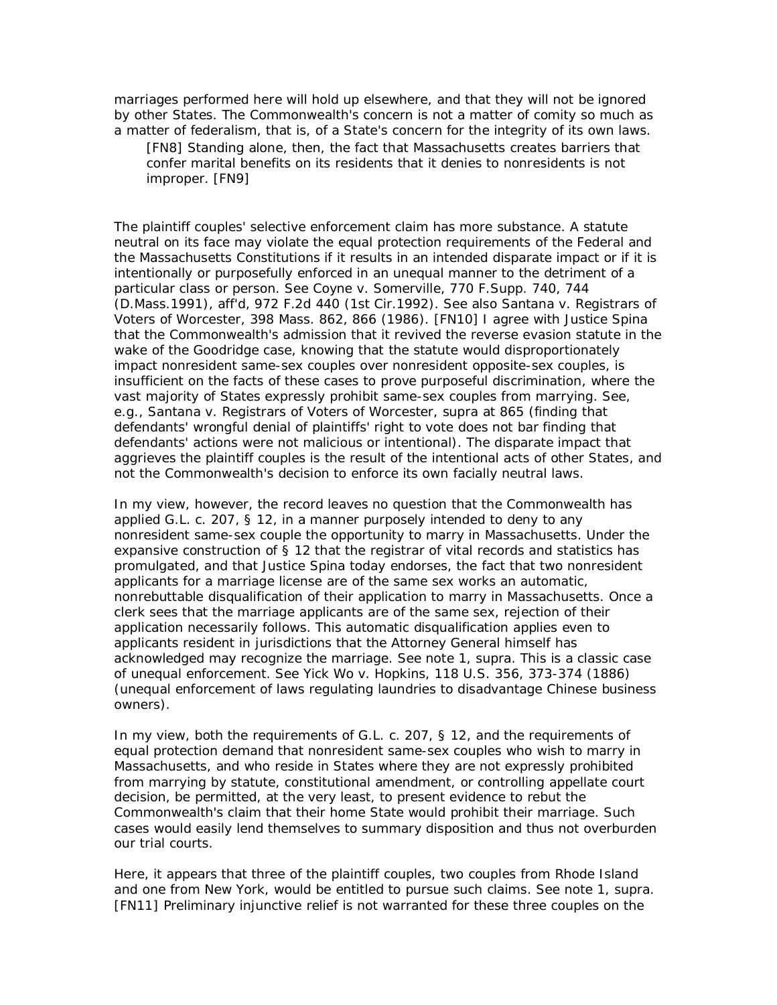marriages performed here will hold up elsewhere, and that they will not be ignored by other States. The Commonwealth's concern is not a matter of comity so much as a matter of federalism, that is, of a State's concern for the integrity of its own laws.

[FN8] Standing alone, then, the fact that Massachusetts creates barriers that confer marital benefits on its residents that it denies to nonresidents is not improper. [FN9]

The plaintiff couples' selective enforcement claim has more substance. A statute neutral on its face may violate the equal protection requirements of the Federal and the Massachusetts Constitutions if it results in an intended disparate impact or if it is intentionally or purposefully enforced in an unequal manner to the detriment of a particular class or person. See *Coyne v. Somerville,* 770 F.Supp. 740, 744 (D.Mass.1991), aff'd, 972 F.2d 440 (1st Cir.1992). See also *Santana v. Registrars of Voters of Worcester,* 398 Mass. 862, 866 (1986). [FN10] I agree with Justice Spina that the Commonwealth's admission that it revived the reverse evasion statute in the wake of the *Goodridge* case, knowing that the statute would disproportionately impact nonresident same-sex couples over nonresident opposite-sex couples, is insufficient on the facts of these cases to prove purposeful discrimination, where the vast majority of States expressly prohibit same-sex couples from marrying. See, e.g., *Santana v. Registrars of Voters of Worcester, supra* at 865 (finding that defendants' wrongful denial of plaintiffs' right to vote does not bar finding that defendants' actions were not malicious or intentional). The disparate impact that aggrieves the plaintiff couples is the result of the intentional acts of other States, and not the Commonwealth's decision to enforce its own facially neutral laws.

In my view, however, the record leaves no question that the Commonwealth has applied G.L. c. 207, § 12, in a manner purposely intended to deny to any nonresident same-sex couple the opportunity to marry in Massachusetts. Under the expansive construction of § 12 that the registrar of vital records and statistics has promulgated, and that Justice Spina today endorses, the fact that two nonresident applicants for a marriage license are of the same sex works an automatic, nonrebuttable disqualification of their application to marry in Massachusetts. Once a clerk sees that the marriage applicants are of the same sex, rejection of their application necessarily follows. This automatic disqualification applies even to applicants resident in jurisdictions that the Attorney General himself has acknowledged may recognize the marriage. See note 1, *supra.* This is a classic case of unequal enforcement. See *Yick Wo v. Hopkins,* 118 U.S. 356, 373-374 (1886) (unequal enforcement of laws regulating laundries to disadvantage Chinese business owners).

In my view, both the requirements of G.L. c. 207, § 12, and the requirements of equal protection demand that nonresident same-sex couples who wish to marry in Massachusetts, and who reside in States where they are not expressly prohibited from marrying by statute, constitutional amendment, or controlling appellate court decision, be permitted, at the very least, to present evidence to rebut the Commonwealth's claim that their home State would prohibit their marriage. Such cases would easily lend themselves to summary disposition and thus not overburden our trial courts.

Here, it appears that three of the plaintiff couples, two couples from Rhode Island and one from New York, would be entitled to pursue such claims. See note 1, *supra.* [FN11] Preliminary injunctive relief is not warranted for these three couples on the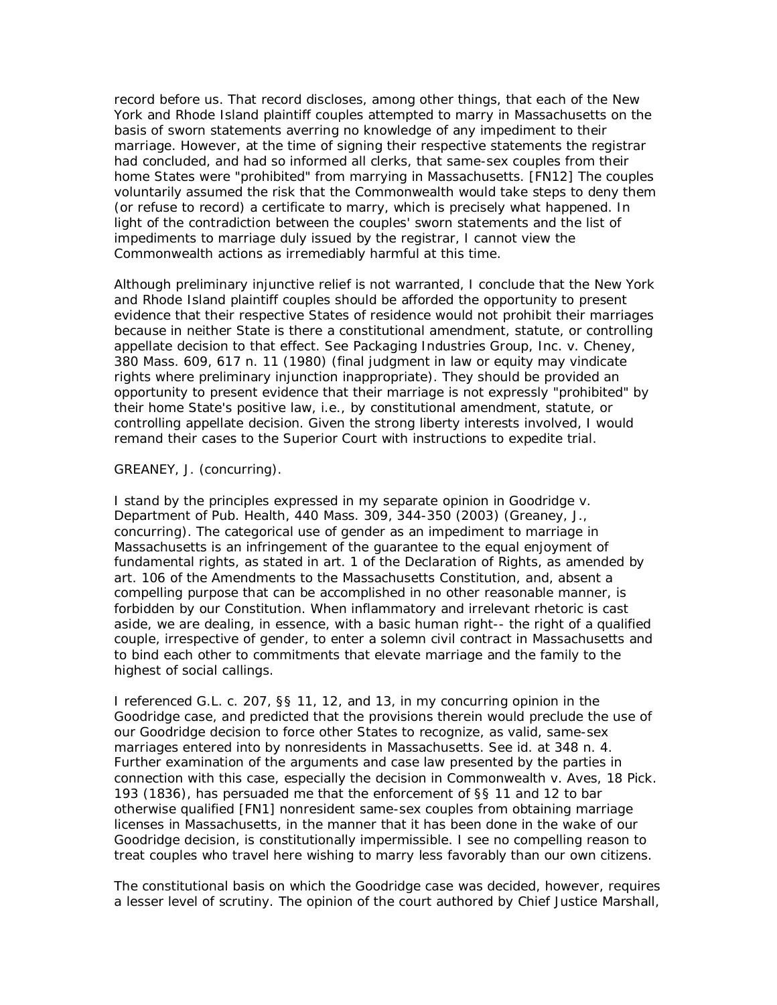record before us. That record discloses, among other things, that each of the New York and Rhode Island plaintiff couples attempted to marry in Massachusetts on the basis of sworn statements averring no knowledge of any impediment to their marriage. However, at the time of signing their respective statements the registrar had concluded, and had so informed all clerks, that same-sex couples from their home States were "prohibited" from marrying in Massachusetts. [FN12] The couples voluntarily assumed the risk that the Commonwealth would take steps to deny them (or refuse to record) a certificate to marry, which is precisely what happened. In light of the contradiction between the couples' sworn statements and the list of impediments to marriage duly issued by the registrar, I cannot view the Commonwealth actions as irremediably harmful at this time.

Although preliminary injunctive relief is not warranted, I conclude that the New York and Rhode Island plaintiff couples should be afforded the opportunity to present evidence that their respective States of residence would not prohibit their marriages because in neither State is there a constitutional amendment, statute, or controlling appellate decision to that effect. See *Packaging Industries Group, Inc.* v. *Cheney,* 380 Mass. 609, 617 n. 11 (1980) (final judgment in law or equity may vindicate rights where preliminary injunction inappropriate). They should be provided an opportunity to present evidence that their marriage is not expressly "prohibited" by their home State's positive law, i.e., by constitutional amendment, statute, or controlling appellate decision. Given the strong liberty interests involved, I would remand their cases to the Superior Court with instructions to expedite trial.

## GREANEY, J. (concurring).

I stand by the principles expressed in my separate opinion in *Goodridge v. Department of Pub. Health,* 440 Mass. 309, 344-350 (2003) (Greaney, J., concurring). The categorical use of gender as an impediment to marriage in Massachusetts is an infringement of the guarantee to the equal enjoyment of fundamental rights, as stated in art. 1 of the Declaration of Rights, as amended by art. 106 of the Amendments to the Massachusetts Constitution, and, absent a compelling purpose that can be accomplished in no other reasonable manner, is forbidden by our Constitution. When inflammatory and irrelevant rhetoric is cast aside, we are dealing, in essence, with a basic human right-- the right of a qualified couple, irrespective of gender, to enter a solemn civil contract in Massachusetts and to bind each other to commitments that elevate marriage and the family to the highest of social callings.

I referenced G.L. c. 207, §§ 11, 12, and 13, in my concurring opinion in the *Goodridge* case, and predicted that the provisions therein would preclude the use of our *Goodridge* decision to force other States to recognize, as valid, same-sex marriages entered into by nonresidents in Massachusetts. See *id.* at 348 n. 4. Further examination of the arguments and case law presented by the parties in connection with this case, especially the decision in *Commonwealth v. Aves,* 18 Pick. 193 (1836), has persuaded me that the enforcement of §§ 11 and 12 to bar otherwise qualified [FN1] nonresident same-sex couples from obtaining marriage licenses in Massachusetts, in the manner that it has been done in the wake of our *Goodridge* decision, is constitutionally impermissible. I see no compelling reason to treat couples who travel here wishing to marry less favorably than our own citizens.

The constitutional basis on which the *Goodridge* case was decided, however, requires a lesser level of scrutiny. The opinion of the court authored by Chief Justice Marshall,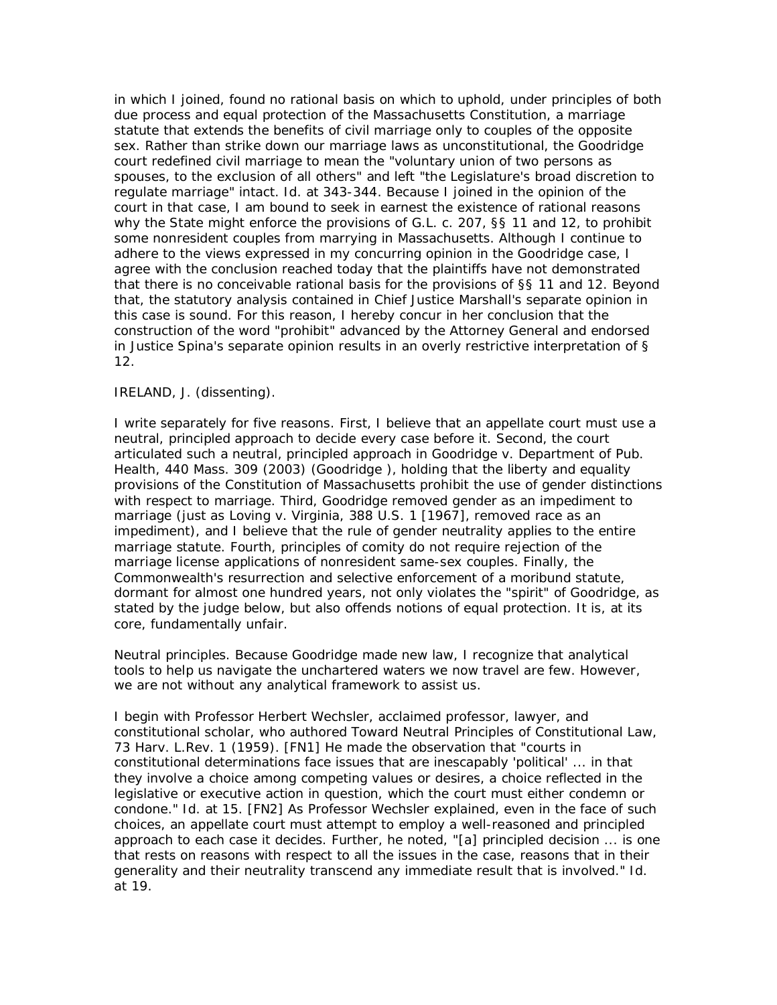in which I joined, found no rational basis on which to uphold, under principles of both due process and equal protection of the Massachusetts Constitution, a marriage statute that extends the benefits of civil marriage only to couples of the opposite sex. Rather than strike down our marriage laws as unconstitutional, the *Goodridge* court redefined civil marriage to mean the "voluntary union of two persons as spouses, to the exclusion of all others" and left "the Legislature's broad discretion to regulate marriage" intact. *Id.* at 343-344. Because I joined in the opinion of the court in that case, I am bound to seek in earnest the existence of rational reasons why the State might enforce the provisions of G.L. c. 207, §§ 11 and 12, to prohibit some nonresident couples from marrying in Massachusetts. Although I continue to adhere to the views expressed in my concurring opinion in the *Goodridge* case, I agree with the conclusion reached today that the plaintiffs have not demonstrated that there is no conceivable rational basis for the provisions of §§ 11 and 12. Beyond that, the statutory analysis contained in Chief Justice Marshall's separate opinion in this case is sound. For this reason, I hereby concur in her conclusion that the construction of the word "prohibit" advanced by the Attorney General and endorsed in Justice Spina's separate opinion results in an overly restrictive interpretation of § 12.

# IRELAND, J. (dissenting).

I write separately for five reasons. First, I believe that an appellate court must use a neutral, principled approach to decide every case before it. Second, the court articulated such a neutral, principled approach in *Goodridge v. Department of Pub. Health,* 440 Mass. 309 (2003) (*Goodridge* ), holding that the liberty and equality provisions of the Constitution of Massachusetts prohibit the use of gender distinctions with respect to marriage. Third, *Goodridge* removed gender as an impediment to marriage (just as *Loving v. Virginia,* 388 U.S. 1 [1967], removed race as an impediment), and I believe that the rule of gender neutrality applies to the entire marriage statute. Fourth, principles of comity do not require rejection of the marriage license applications of nonresident same-sex couples. Finally, the Commonwealth's resurrection and selective enforcement of a moribund statute, dormant for almost one hundred years, not only violates the "spirit" of *Goodridge,* as stated by the judge below, but also offends notions of equal protection. It is, at its core, fundamentally unfair.

*Neutral principles.* Because *Goodridge* made new law, I recognize that analytical tools to help us navigate the unchartered waters we now travel are few. However, we are not without any analytical framework to assist us.

I begin with Professor Herbert Wechsler, acclaimed professor, lawyer, and constitutional scholar, who authored Toward Neutral Principles of Constitutional Law, 73 Harv. L.Rev. 1 (1959). [FN1] He made the observation that "courts in constitutional determinations face issues that are inescapably 'political' ... in that they involve a choice among competing values or desires, a choice reflected in the legislative or executive action in question, which the court must either condemn or condone." *Id.* at 15. [FN2] As Professor Wechsler explained, even in the face of such choices, an appellate court must attempt to employ a well-reasoned and principled approach to each case it decides. Further, he noted, "[a] principled decision ... is one that rests on reasons with respect to all the issues in the case, reasons that in their generality and their neutrality transcend any immediate result that is involved." *Id.* at 19.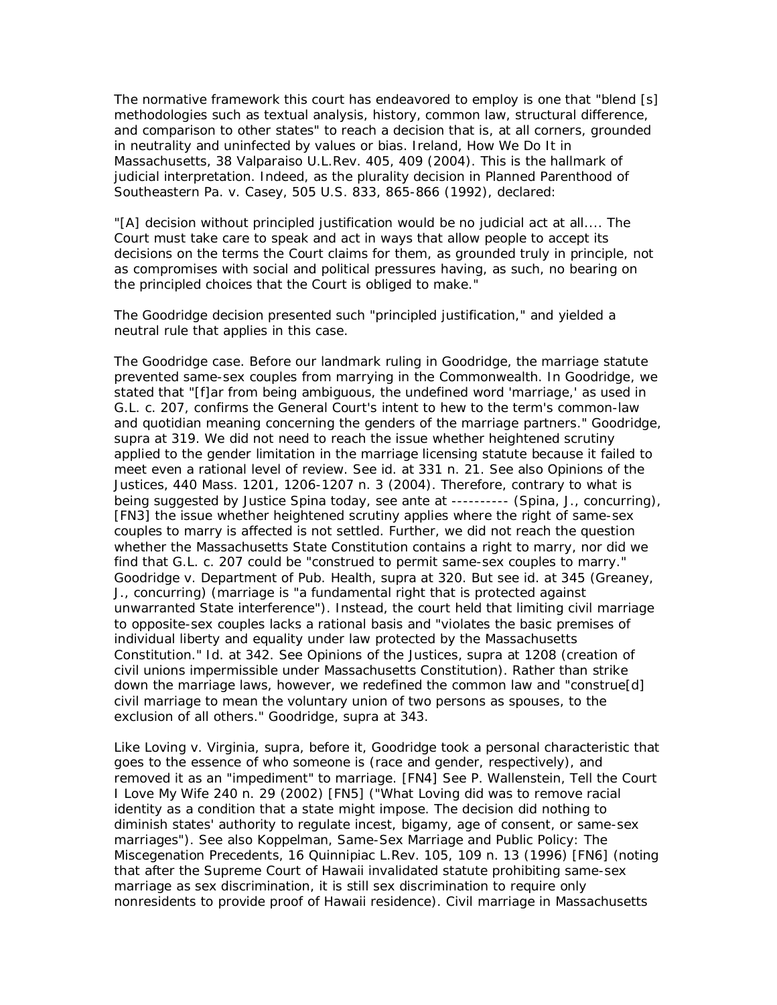The normative framework this court has endeavored to employ is one that "blend [s] methodologies such as textual analysis, history, common law, structural difference, and comparison to other states" to reach a decision that is, at all corners, grounded in neutrality and uninfected by values or bias. Ireland, How We Do It in Massachusetts, 38 Valparaiso U.L.Rev. 405, 409 (2004). This is the hallmark of judicial interpretation. Indeed, as the plurality decision in *Planned Parenthood of Southeastern Pa. v. Casey,* 505 U.S. 833, 865-866 (1992), declared:

"[A] decision without principled justification would be no judicial act at all.... The Court must take care to speak and act in ways that allow people to accept its decisions on the terms the Court claims for them, as grounded truly in principle, not as compromises with social and political pressures having, as such, no bearing on the principled choices that the Court is obliged to make."

The *Goodridge* decision presented such "principled justification," and yielded a neutral rule that applies in this case.

*The Goodridge case.* Before our landmark ruling in *Goodridge,* the marriage statute prevented same-sex couples from marrying in the Commonwealth. In *Goodridge,* we stated that "[f]ar from being ambiguous, the undefined word 'marriage,' as used in G.L. c. 207, confirms the General Court's intent to hew to the term's common-law and quotidian meaning concerning the genders of the marriage partners." *Goodridge, supra* at 319. We did not need to reach the issue whether heightened scrutiny applied to the gender limitation in the marriage licensing statute because it failed to meet even a rational level of review. See *id.* at 331 n. 21. See also *Opinions of the Justices,* 440 Mass. 1201, 1206-1207 n. 3 (2004). Therefore, contrary to what is being suggested by Justice Spina today, see *ante* at ---------- (Spina, J., concurring), [FN3] the issue whether heightened scrutiny applies where the right of same-sex couples to marry is affected is not settled. Further, we did not reach the question whether the Massachusetts State Constitution contains a right to marry, nor did we find that G.L. c. 207 could be "construed to permit same-sex couples to marry." *Goodridge v. Department of Pub. Health, supra* at 320. But see *id.* at 345 (Greaney, J., concurring) (marriage is "a fundamental right that is protected against unwarranted State interference"). Instead, the court held that limiting civil marriage to opposite-sex couples lacks a rational basis and "violates the basic premises of individual liberty and equality under law protected by the Massachusetts Constitution." *Id.* at 342. See *Opinions of the Justices, supra* at 1208 (creation of civil unions impermissible under Massachusetts Constitution). Rather than strike down the marriage laws, however, we redefined the common law and "construe[d] civil marriage to mean the voluntary union of two persons as spouses, to the exclusion of all others." *Goodridge, supra* at 343.

Like *Loving v. Virginia, supra,* before it, *Goodridge* took a personal characteristic that goes to the essence of who someone is (race and gender, respectively), and removed it as an "impediment" to marriage. [FN4] See P. Wallenstein, Tell the Court I Love My Wife 240 n. 29 (2002) [FN5] ("What *Loving* did was to remove racial identity as a condition that a state might impose. The decision did nothing to diminish states' authority to regulate incest, bigamy, age of consent, or same-sex marriages"). See also Koppelman, Same-Sex Marriage and Public Policy: The Miscegenation Precedents, 16 Quinnipiac L.Rev. 105, 109 n. 13 (1996) [FN6] (noting that after the Supreme Court of Hawaii invalidated statute prohibiting same-sex marriage as sex discrimination, it is still sex discrimination to require only nonresidents to provide proof of Hawaii residence). Civil marriage in Massachusetts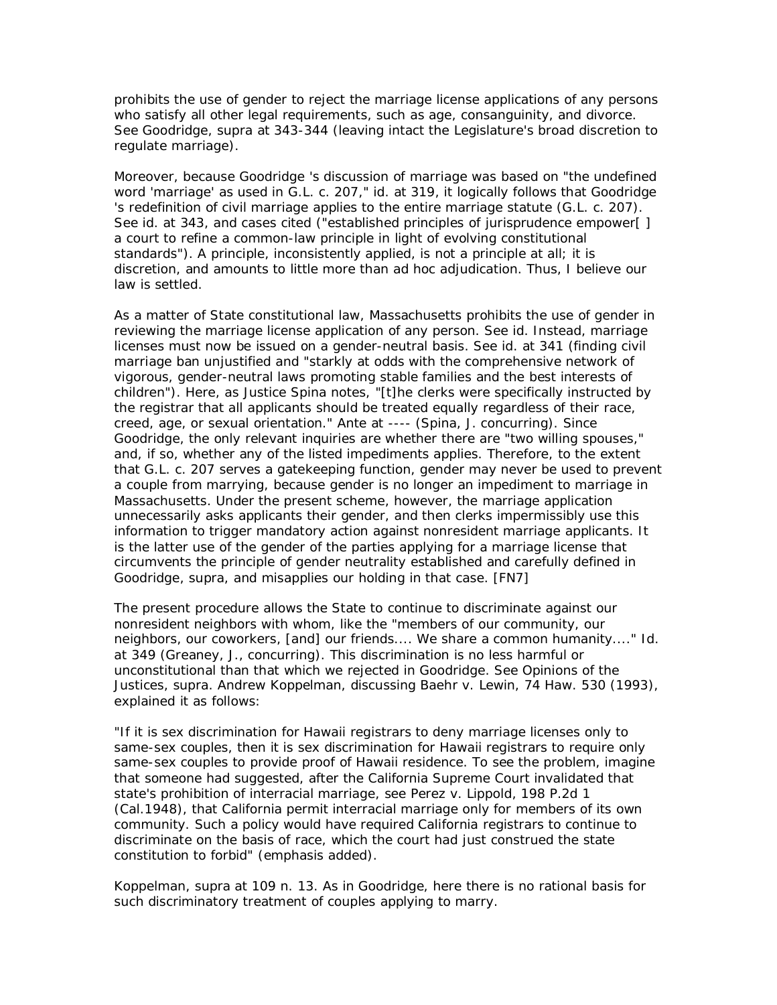prohibits the use of gender to reject the marriage license applications of any persons who satisfy all other legal requirements, such as age, consanguinity, and divorce. See *Goodridge, supra* at 343-344 (leaving intact the Legislature's broad discretion to regulate marriage).

Moreover, because *Goodridge* 's discussion of marriage was based on "the undefined word 'marriage' as used in G.L. c. 207," *id.* at 319, it logically follows that *Goodridge* 's redefinition of civil marriage applies to the entire marriage statute (G.L. c. 207). See *id.* at 343, and cases cited ("established principles of jurisprudence empower[] a court to refine a common-law principle in light of evolving constitutional standards"). A principle, inconsistently applied, is not a principle at all; it is discretion, and amounts to little more than ad hoc adjudication. Thus, I believe our law is settled.

As a matter of State constitutional law, Massachusetts prohibits the use of gender in reviewing the marriage license application of *any* person. See *id.* Instead, marriage licenses must now be issued on a gender-neutral basis. See *id.* at 341 (finding civil marriage ban unjustified and "starkly at odds with the comprehensive network of vigorous, gender-neutral laws promoting stable families and the best interests of children"). Here, as Justice Spina notes, "[t]he clerks were specifically instructed by the registrar that all applicants should be treated equally regardless of their race, creed, age, or sexual orientation." *Ante* at ---- (Spina, J. concurring). Since *Goodridge,* the only relevant inquiries are whether there are "two willing spouses," and, if so, whether any of the listed impediments applies. Therefore, to the extent that G.L. c. 207 serves a gatekeeping function, gender may never be used to prevent a couple from marrying, because gender is no longer an impediment to marriage in Massachusetts. Under the present scheme, however, the marriage application unnecessarily asks applicants their gender, and then clerks impermissibly use this information to trigger mandatory action against nonresident marriage applicants. It is the latter use of the gender of the parties applying for a marriage license that circumvents the principle of gender neutrality established and carefully defined in *Goodridge, supra,* and misapplies our holding in that case. [FN7]

The present procedure allows the State to continue to discriminate against our nonresident neighbors with whom, like the "members of our community, our neighbors, our coworkers, [and] our friends.... We share a common humanity...." *Id.* at 349 (Greaney, J., concurring). This discrimination is no less harmful or unconstitutional than that which we rejected in *Goodridge.* See *Opinions of the Justices, supra.* Andrew Koppelman, discussing *Baehr v. Lewin,* 74 Haw. 530 (1993), explained it as follows:

"If it is sex discrimination for Hawaii registrars to deny marriage licenses only to same-sex couples, then it is sex discrimination for Hawaii registrars to require only same-sex couples to provide proof of Hawaii residence. To see the problem, imagine that someone had suggested, after the California Supreme Court invalidated that state's prohibition of interracial marriage, see *Perez v. Lippold,* 198 P.2d 1 (Cal.1948), that California permit interracial marriage only for members of its own community. Such a policy would have required California registrars to *continue to discriminate on the basis of race,* which the court had just construed the state constitution to forbid" (emphasis added).

Koppelman, *supra* at 109 n. 13. As in *Goodridge,* here there is no rational basis for such discriminatory treatment of couples applying to marry.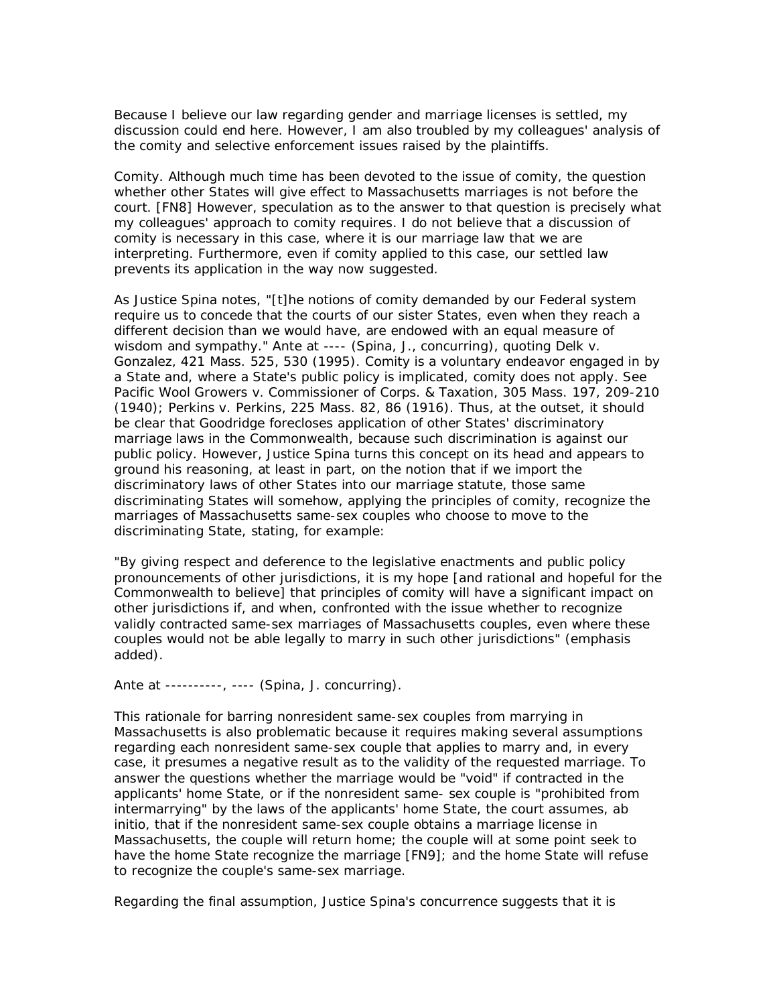Because I believe our law regarding gender and marriage licenses is settled, my discussion could end here. However, I am also troubled by my colleagues' analysis of the comity and selective enforcement issues raised by the plaintiffs.

*Comity.* Although much time has been devoted to the issue of comity, the question whether other States will give effect to Massachusetts marriages is not before the court. [FN8] However, speculation as to the answer to that question is precisely what my colleagues' approach to comity requires. I do not believe that a discussion of comity is necessary in this case, where it is our marriage law that we are interpreting. Furthermore, even if comity applied to this case, our settled law prevents its application in the way now suggested.

As Justice Spina notes, "[t]he notions of comity demanded by our Federal system require us to concede that the courts of our sister States, even when they reach a different decision than we would have, are endowed with an equal measure of wisdom and sympathy." *Ante* at ---- (Spina, J., concurring), quoting *Delk v. Gonzalez,* 421 Mass. 525, 530 (1995). Comity is a voluntary endeavor engaged in by a State and, where a State's public policy is implicated, comity does not apply. See *Pacific Wool Growers v. Commissioner of Corps. & Taxation,* 305 Mass. 197, 209-210 (1940); *Perkins v. Perkins,* 225 Mass. 82, 86 (1916). Thus, at the outset, it should be clear that *Goodridge* forecloses application of other States' discriminatory marriage laws in the Commonwealth, because such discrimination is against our public policy. However, Justice Spina turns this concept on its head and appears to ground his reasoning, at least in part, on the notion that if we import the discriminatory laws of other States into our marriage statute, those same discriminating States will somehow, applying the principles of comity, recognize the marriages of Massachusetts same-sex couples who choose to move to the discriminating State, stating, for example:

"By giving respect and deference to the legislative enactments and public policy pronouncements of other jurisdictions, it is my *hope* [and rational and *hopeful* for the Commonwealth to believe] that principles of comity will have a significant impact on other jurisdictions if, and when, confronted with the issue whether to recognize validly contracted same-sex marriages of Massachusetts couples, even where these couples would not be able legally to marry in such other jurisdictions" (emphasis added).

*Ante* at ----------, ---- (Spina, J. concurring).

This rationale for barring nonresident same-sex couples from marrying in Massachusetts is also problematic because it requires making several assumptions regarding each nonresident same-sex couple that applies to marry and, in every case, it presumes a negative result as to the validity of the requested marriage. To answer the questions whether the marriage would be "void" if contracted in the applicants' home State, or if the nonresident same- sex couple is "prohibited from intermarrying" by the laws of the applicants' home State, the court assumes, ab initio, that if the nonresident same-sex couple obtains a marriage license in Massachusetts, the couple will return home; the couple will at some point seek to have the home State recognize the marriage [FN9]; and the home State will refuse to recognize the couple's same-sex marriage.

Regarding the final assumption, Justice Spina's concurrence suggests that it is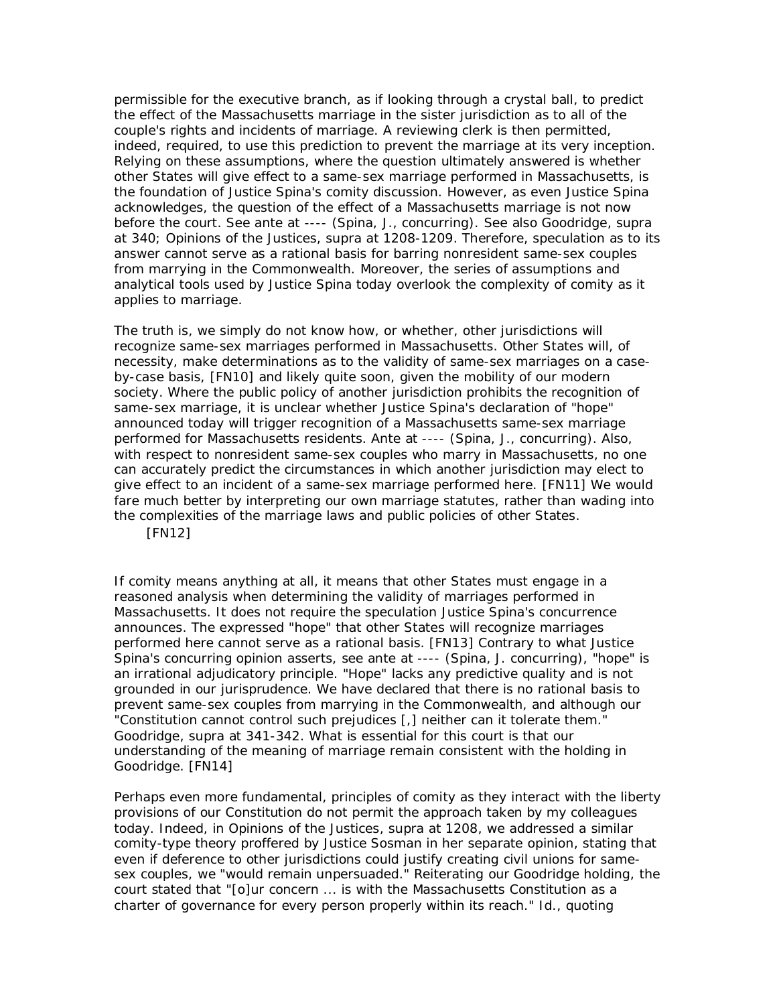permissible for the executive branch, as if looking through a crystal ball, to *predict* the effect of the Massachusetts marriage in the sister jurisdiction as to *all* of the couple's rights and incidents of marriage. A reviewing clerk is then permitted, indeed, required, to use this prediction to prevent the marriage at its very inception. Relying on these assumptions, where the question ultimately answered is whether other States will give effect to a same-sex marriage performed in Massachusetts, is the foundation of Justice Spina's comity discussion. However, as even Justice Spina acknowledges, the question of the effect of a Massachusetts marriage is not now before the court. See *ante* at ---- (Spina, J., concurring). See also *Goodridge, supra* at 340; *Opinions of the Justices, supra* at 1208-1209. Therefore, speculation as to its answer cannot serve as a rational basis for barring nonresident same-sex couples from marrying in the Commonwealth. Moreover, the series of assumptions and analytical tools used by Justice Spina today overlook the complexity of comity as it applies to marriage.

The truth is, we simply do not know how, or whether, other jurisdictions will recognize same-sex marriages performed in Massachusetts. Other States will, of necessity, make determinations as to the validity of same-sex marriages on a caseby-case basis, [FN10] and likely quite soon, given the mobility of our modern society. Where the public policy of another jurisdiction prohibits the recognition of same-sex marriage, it is unclear whether Justice Spina's declaration of "hope" announced today will trigger recognition of a Massachusetts same-sex marriage performed for Massachusetts residents. *Ante* at ---- (Spina, J., concurring). Also, with respect to nonresident same-sex couples who marry in Massachusetts, no one can accurately predict the circumstances in which another jurisdiction may elect to give effect to an incident of a same-sex marriage performed here. [FN11] We would fare much better by interpreting our own marriage statutes, rather than wading into the complexities of the marriage laws and public policies of other States.

[FN12]

If comity means anything at all, it means that other States must engage in a reasoned analysis when determining the validity of marriages performed in Massachusetts. It does not require the speculation Justice Spina's concurrence announces. The expressed "hope" that other States will recognize marriages performed here cannot serve as a rational basis. [FN13] Contrary to what Justice Spina's concurring opinion asserts, see *ante* at ---- (Spina, J. concurring), "hope" is an irrational adjudicatory principle. "Hope" lacks any predictive quality and is not grounded in our jurisprudence. We have declared that there is no rational basis to prevent same-sex couples from marrying in the Commonwealth, and although our "Constitution cannot control such prejudices [,] neither can it tolerate them." *Goodridge, supra* at 341-342. What is essential for this court is that our understanding of the meaning of marriage remain consistent with the holding in *Goodridge.* [FN14]

Perhaps even more fundamental, principles of comity as they interact with the liberty provisions of our Constitution do not permit the approach taken by my colleagues today. Indeed, in *Opinions of the Justices, supra* at 1208, we addressed a similar comity-type theory proffered by Justice Sosman in her separate opinion, stating that even if deference to other jurisdictions could justify creating civil unions for samesex couples, we "would remain unpersuaded." Reiterating our *Goodridge* holding, the court stated that "[o]ur concern ... is with the Massachusetts Constitution as a charter of governance for every person properly within its reach." *Id.,* quoting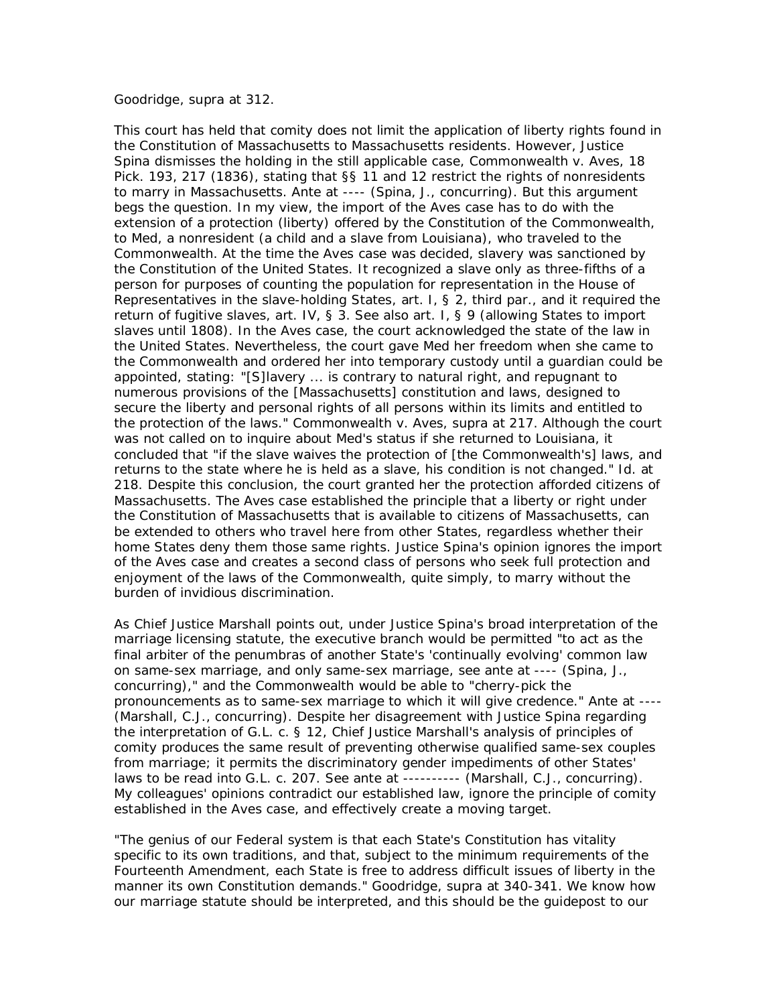## *Goodridge, supra* at 312.

This court has held that comity does not limit the application of liberty rights found in the Constitution of Massachusetts to Massachusetts residents. However, Justice Spina dismisses the holding in the still applicable case, *Commonwealth v. Aves,* 18 Pick. 193, 217 (1836), stating that §§ 11 and 12 restrict the rights of nonresidents to marry in Massachusetts. *Ante* at ---- (Spina, J., concurring). But this argument begs the question. In my view, the import of the *Aves* case has to do with the extension of a protection (liberty) offered by the Constitution of the Commonwealth, to Med, a nonresident (a child and a slave from Louisiana), who traveled to the Commonwealth. At the time the *Aves* case was decided, slavery was sanctioned by the Constitution of the United States. It recognized a slave only as three-fifths of a person for purposes of counting the population for representation in the House of Representatives in the slave-holding States, art. I, § 2, third par., and it required the return of fugitive slaves, art. IV, § 3. See also art. I, § 9 (allowing States to import slaves until 1808). In the *Aves* case, the court acknowledged the state of the law in the United States. Nevertheless, the court gave Med her freedom when she came to the Commonwealth and ordered her into temporary custody until a guardian could be appointed, stating: "[S]lavery ... is contrary to natural right, and repugnant to numerous provisions of the [Massachusetts] constitution and laws, designed to secure the liberty and personal rights of all persons within its limits and entitled to the protection of the laws." *Commonwealth v. Aves, supra* at 217. Although the court was not called on to inquire about Med's status if she returned to Louisiana, it concluded that "if the slave waives the protection of [the Commonwealth's] laws, and returns to the state where he is held as a slave, his condition is not changed." *Id.* at 218. Despite this conclusion, the court granted her the protection afforded citizens of Massachusetts. The *Aves* case established the principle that a liberty or right under the Constitution of Massachusetts that is available to citizens of Massachusetts, can be extended to others who travel here from other States, regardless whether their home States deny them those same rights. Justice Spina's opinion ignores the import of the *Aves* case and creates a second class of persons who seek full protection and enjoyment of the laws of the Commonwealth, quite simply, to marry without the burden of invidious discrimination.

As Chief Justice Marshall points out, under Justice Spina's broad interpretation of the marriage licensing statute, the executive branch would be permitted "to act as the final arbiter of the penumbras of another State's 'continually evolving' common law on same-sex marriage, and only same-sex marriage, see *ante* at ---- (Spina, J., concurring)," and the Commonwealth would be able to "cherry-pick the pronouncements as to same-sex marriage to which it will give credence." *Ante* at ---- (Marshall, C.J., concurring). Despite her disagreement with Justice Spina regarding the interpretation of G.L. c. § 12, Chief Justice Marshall's analysis of principles of comity produces the same result of preventing otherwise qualified same-sex couples from marriage; it permits the discriminatory gender impediments of other States' laws to be read into G.L. c. 207. See *ante* at ---------- (Marshall, C.J., concurring). My colleagues' opinions contradict our established law, ignore the principle of comity established in the *Aves* case, and effectively create a moving target.

"The genius of our Federal system is that each State's Constitution has vitality specific to its own traditions, and that, subject to the minimum requirements of the Fourteenth Amendment, each State is free to address difficult issues of liberty in the manner its own Constitution demands." *Goodridge, supra* at 340-341. We know how our marriage statute should be interpreted, and this should be the guidepost to our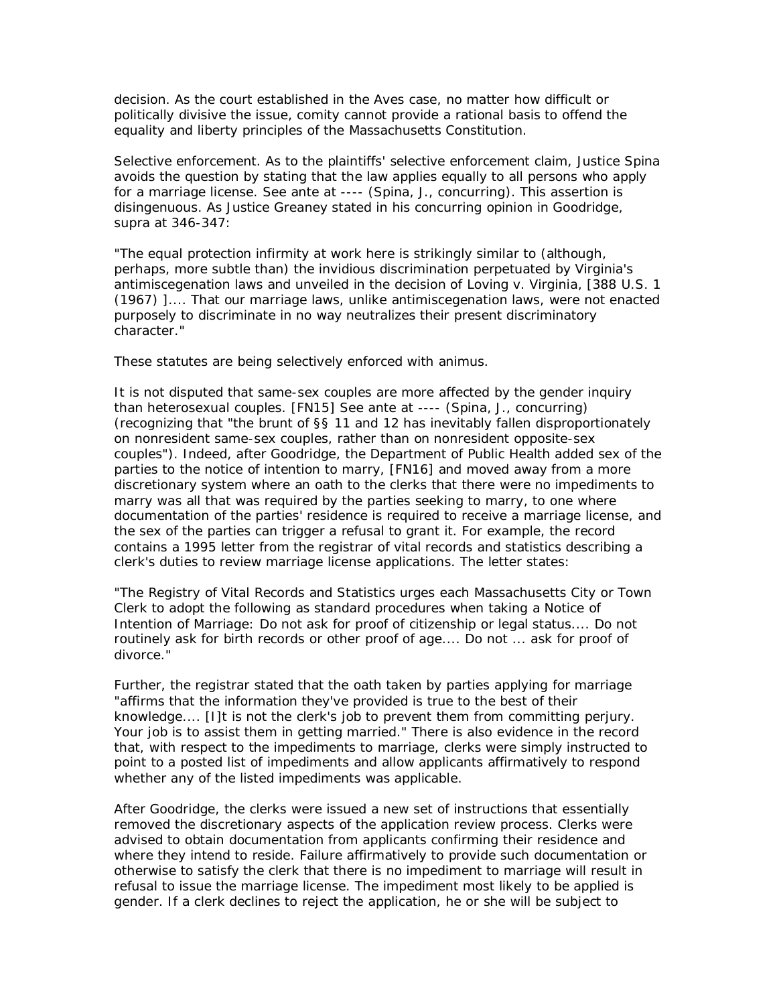decision. As the court established in the *Aves* case, no matter how difficult or politically divisive the issue, comity cannot provide a rational basis to offend the equality and liberty principles of the Massachusetts Constitution.

*Selective enforcement.* As to the plaintiffs' selective enforcement claim, Justice Spina avoids the question by stating that the law applies equally to all persons who apply for a marriage license. See *ante* at ---- (Spina, J., concurring). This assertion is disingenuous. As Justice Greaney stated in his concurring opinion in *Goodridge, supra* at 346-347:

"The equal protection infirmity at work here is strikingly similar to (although, perhaps, more subtle than) the invidious discrimination perpetuated by Virginia's antimiscegenation laws and unveiled in the decision of *Loving v. Virginia,* [388 U.S. 1 (1967) ].... That our marriage laws, unlike antimiscegenation laws, were not enacted purposely to discriminate in no way neutralizes their present discriminatory character."

These statutes are being selectively enforced with animus.

It is not disputed that same-sex couples are more affected by the gender inquiry than heterosexual couples. [FN15] See *ante* at ---- (Spina, J., concurring) (recognizing that "the brunt of §§ 11 and 12 has inevitably fallen disproportionately on nonresident same-sex couples, rather than on nonresident opposite-sex couples"). Indeed, after *Goodridge,* the Department of Public Health *added* sex of the parties to the notice of intention to marry, [FN16] and moved away from a more discretionary system where an oath to the clerks that there were no impediments to marry was all that was required by the parties seeking to marry, to one where documentation of the parties' residence is required to receive a marriage license, and the sex of the parties can trigger a refusal to grant it. For example, the record contains a 1995 letter from the registrar of vital records and statistics describing a clerk's duties to review marriage license applications. The letter states:

"The Registry of Vital Records and Statistics urges each Massachusetts City or Town Clerk to adopt the following as standard procedures when taking a Notice of Intention of Marriage: Do not ask for proof of citizenship or legal status.... Do not routinely ask for birth records or other proof of age.... Do not ... ask for proof of divorce."

Further, the registrar stated that the oath taken by parties applying for marriage "affirms that the information they've provided is true to the best of their knowledge.... [I]t is not the clerk's job to prevent them from committing perjury. Your job is to assist them in getting married." There is also evidence in the record that, with respect to the impediments to marriage, clerks were simply instructed to point to a posted list of impediments and allow applicants affirmatively to respond whether any of the listed impediments was applicable.

After *Goodridge,* the clerks were issued a new set of instructions that essentially removed the discretionary aspects of the application review process. Clerks were advised to obtain documentation from applicants confirming their residence and where they intend to reside. Failure affirmatively to provide such documentation or otherwise to satisfy the clerk that there is no impediment to marriage will result in refusal to issue the marriage license. The impediment most likely to be applied is gender. If a clerk declines to reject the application, he or she will be subject to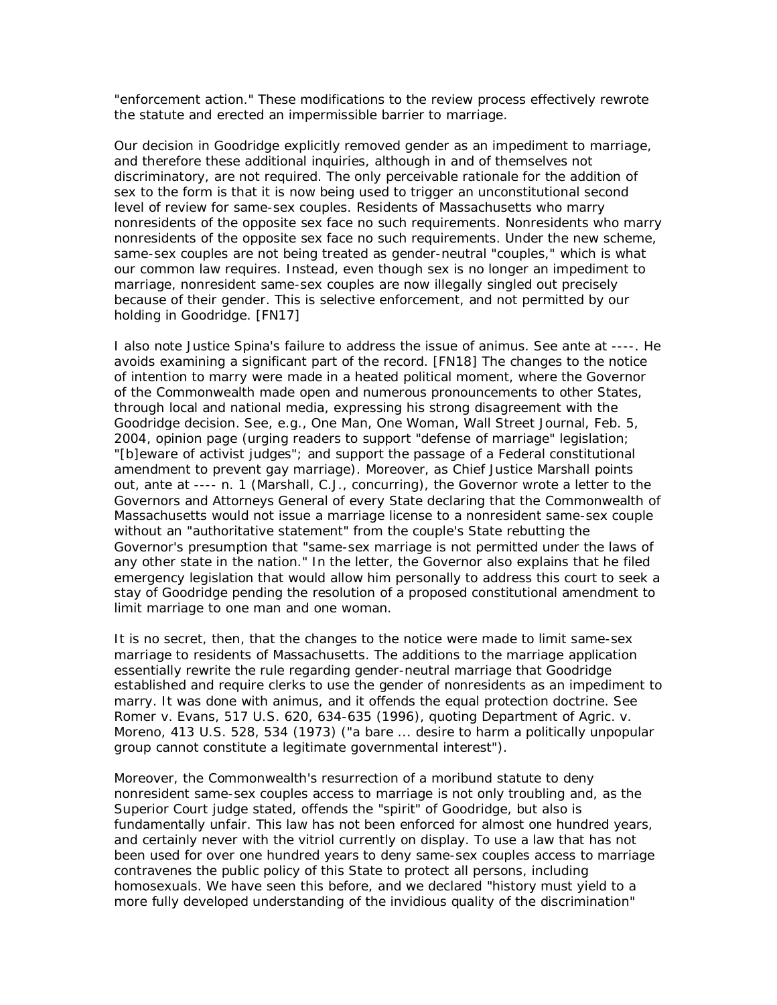"enforcement action." These modifications to the review process effectively rewrote the statute and erected an impermissible barrier to marriage.

Our decision in *Goodridge* explicitly removed gender as an impediment to marriage, and therefore these additional inquiries, although in and of themselves not discriminatory, are not required. The only perceivable rationale for the addition of sex to the form is that it is now being used to trigger an unconstitutional second level of review for same-sex couples. Residents of Massachusetts who marry nonresidents of the opposite sex face no such requirements. Nonresidents who marry nonresidents of the opposite sex face no such requirements. Under the new scheme, same-sex couples are not being treated as gender-neutral "couples," which is what our common law requires. Instead, even though sex is no longer an impediment to marriage, nonresident same-sex couples are now illegally singled out precisely because of their gender. This is selective enforcement, and not permitted by our holding in *Goodridge.* [FN17]

I also note Justice Spina's failure to address the issue of animus. See *ante* at ----. He avoids examining a significant part of the record. [FN18] The changes to the notice of intention to marry were made in a heated political moment, where the Governor of the Commonwealth made open and numerous pronouncements to other States, through local and national media, expressing his strong disagreement with the *Goodridge* decision. See, e.g., One Man, One Woman, Wall Street Journal, Feb. 5, 2004, opinion page (urging readers to support "defense of marriage" legislation; "[b]eware of activist judges"; and support the passage of a Federal constitutional amendment to prevent gay marriage). Moreover, as Chief Justice Marshall points out, *ante* at ---- n. 1 (Marshall, C.J., concurring), the Governor wrote a letter to the Governors and Attorneys General of every State declaring that the Commonwealth of Massachusetts would not issue a marriage license to a nonresident same-sex couple without an "authoritative statement" from the couple's State rebutting the Governor's presumption that "same-sex marriage is not permitted under the laws of any other state in the nation." In the letter, the Governor also explains that he filed emergency legislation that would allow him personally to address this court to seek a stay of *Goodridge* pending the resolution of a proposed constitutional amendment to limit marriage to one man and one woman.

It is no secret, then, that the changes to the notice were made to limit same-sex marriage to residents of Massachusetts. The additions to the marriage application essentially rewrite the rule regarding gender-neutral marriage that *Goodridge* established and require clerks to use the gender of nonresidents as an impediment to marry. It was done with animus, and it offends the equal protection doctrine. See *Romer v. Evans,* 517 U.S. 620, 634-635 (1996), quoting *Department of Agric. v. Moreno,* 413 U.S. 528, 534 (1973) ("a bare ... desire to harm a politically unpopular group cannot constitute a *legitimate* governmental interest").

Moreover, the Commonwealth's resurrection of a moribund statute to deny nonresident same-sex couples access to marriage is not only troubling and, as the Superior Court judge stated, offends the "spirit" of *Goodridge,* but also is fundamentally unfair. This law has not been enforced for almost one hundred years, and certainly never with the vitriol currently on display. To use a law that has not been used for over one hundred years to deny same-sex couples access to marriage contravenes the public policy of this State to protect all persons, including homosexuals. We have seen this before, and we declared "history must yield to a more fully developed understanding of the invidious quality of the discrimination"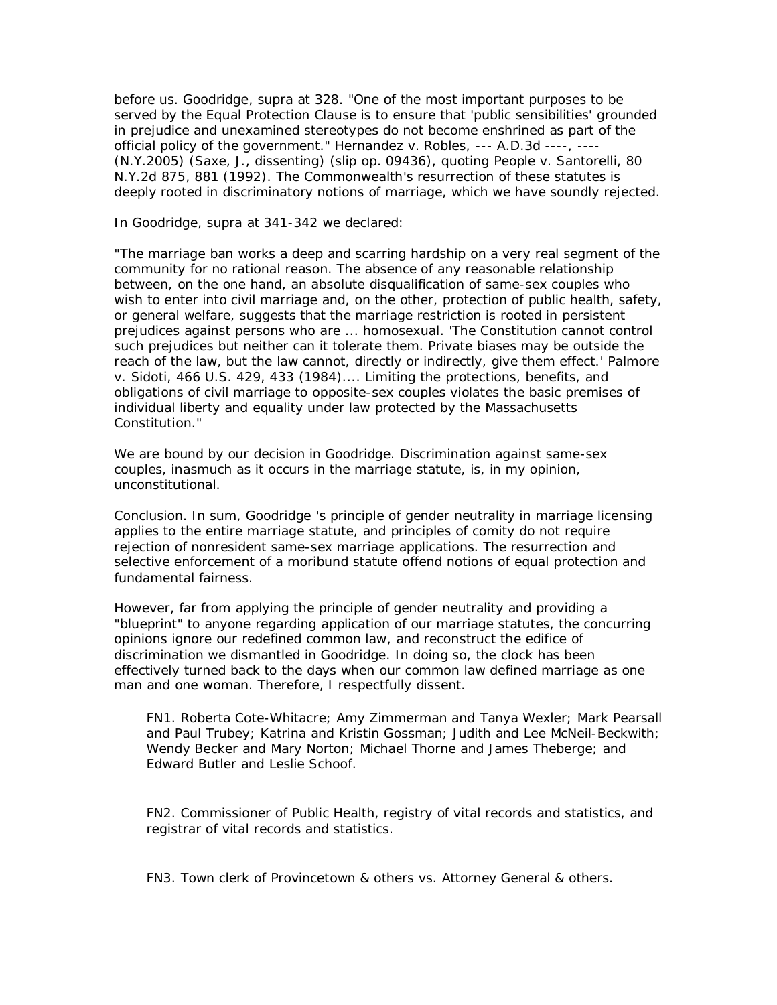before us. *Goodridge, supra* at 328. "One of the most important purposes to be served by the Equal Protection Clause is to ensure that 'public sensibilities' grounded in prejudice and unexamined stereotypes do not become enshrined as part of the official policy of the government." *Hernandez v. Robles,* --- A.D.3d ----, ---- (N.Y.2005) (Saxe, J., dissenting) (slip op. 09436), quoting *People v. Santorelli,* 80 N.Y.2d 875, 881 (1992). The Commonwealth's resurrection of these statutes is deeply rooted in discriminatory notions of marriage, which we have soundly rejected.

In *Goodridge, supra* at 341-342 we declared:

"The marriage ban works a deep and scarring hardship on a very real segment of the community for no rational reason. The absence of any reasonable relationship between, on the one hand, an absolute disqualification of same-sex couples who wish to enter into civil marriage and, on the other, protection of public health, safety, or general welfare, suggests that the marriage restriction is rooted in persistent prejudices against persons who are ... homosexual. 'The Constitution cannot control such prejudices but neither can it tolerate them. Private biases may be outside the reach of the law, but the law cannot, directly or indirectly, give them effect.' *Palmore v. Sidoti,* 466 U.S. 429, 433 (1984).... Limiting the protections, benefits, and obligations of civil marriage to opposite-sex couples violates the basic premises of individual liberty and equality under law protected by the Massachusetts Constitution."

We are bound by our decision in *Goodridge.* Discrimination against same-sex couples, inasmuch as it occurs in the marriage statute, is, in my opinion, unconstitutional.

*Conclusion.* In sum, *Goodridge* 's principle of gender neutrality in marriage licensing applies to the entire marriage statute, and principles of comity do not require rejection of nonresident same-sex marriage applications. The resurrection and selective enforcement of a moribund statute offend notions of equal protection and fundamental fairness.

However, far from applying the principle of gender neutrality and providing a "blueprint" to anyone regarding application of our marriage statutes, the concurring opinions ignore our redefined common law, and reconstruct the edifice of discrimination we dismantled in *Goodridge.* In doing so, the clock has been effectively turned back to the days when our common law defined marriage as one man and one woman. Therefore, I respectfully dissent.

FN1. Roberta Cote-Whitacre; Amy Zimmerman and Tanya Wexler; Mark Pearsall and Paul Trubey; Katrina and Kristin Gossman; Judith and Lee McNeil-Beckwith; Wendy Becker and Mary Norton; Michael Thorne and James Theberge; and Edward Butler and Leslie Schoof.

FN2. Commissioner of Public Health, registry of vital records and statistics, and registrar of vital records and statistics.

FN3. Town clerk of Provincetown & others *vs.* Attorney General & others.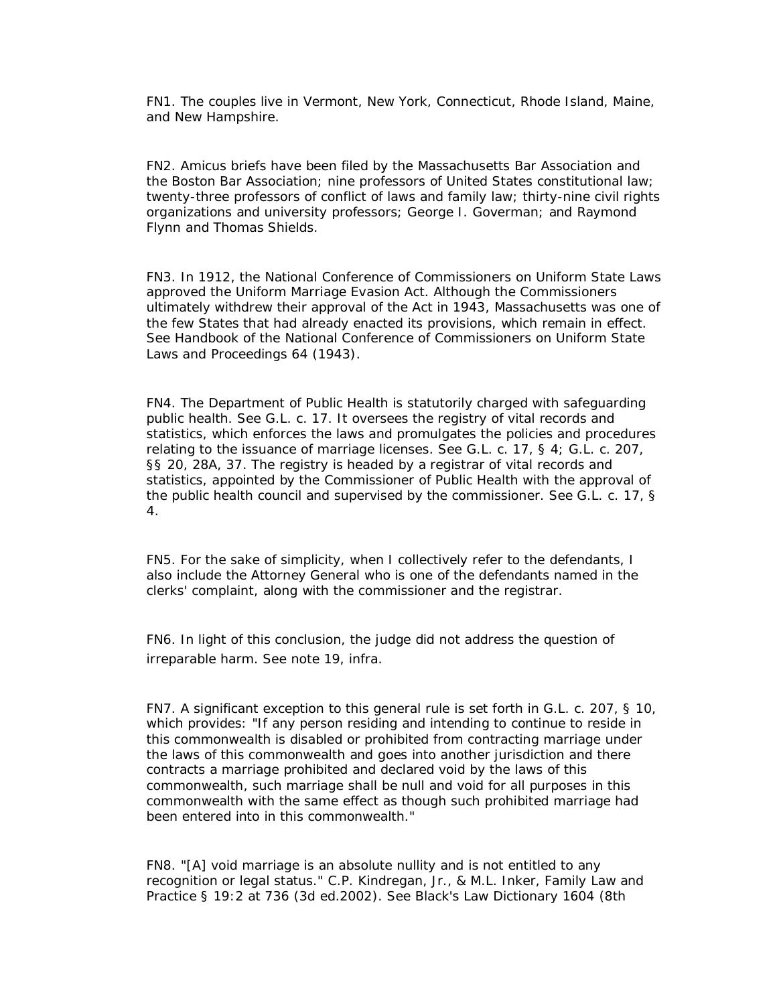FN1. The couples live in Vermont, New York, Connecticut, Rhode Island, Maine, and New Hampshire.

FN2. Amicus briefs have been filed by the Massachusetts Bar Association and the Boston Bar Association; nine professors of United States constitutional law; twenty-three professors of conflict of laws and family law; thirty-nine civil rights organizations and university professors; George I. Goverman; and Raymond Flynn and Thomas Shields.

FN3. In 1912, the National Conference of Commissioners on Uniform State Laws approved the Uniform Marriage Evasion Act. Although the Commissioners ultimately withdrew their approval of the Act in 1943, Massachusetts was one of the few States that had already enacted its provisions, which remain in effect. See Handbook of the National Conference of Commissioners on Uniform State Laws and Proceedings 64 (1943).

FN4. The Department of Public Health is statutorily charged with safeguarding public health. See G.L. c. 17. It oversees the registry of vital records and statistics, which enforces the laws and promulgates the policies and procedures relating to the issuance of marriage licenses. See G.L. c. 17, § 4; G.L. c. 207, §§ 20, 28A, 37. The registry is headed by a registrar of vital records and statistics, appointed by the Commissioner of Public Health with the approval of the public health council and supervised by the commissioner. See G.L. c. 17, § 4.

FN5. For the sake of simplicity, when I collectively refer to the defendants, I also include the Attorney General who is one of the defendants named in the clerks' complaint, along with the commissioner and the registrar.

FN6. In light of this conclusion, the judge did not address the question of irreparable harm. See note 19, *infra.*

FN7. A significant exception to this general rule is set forth in G.L. c. 207, § 10, which provides: "If any person residing and intending to continue to reside in this commonwealth is disabled or prohibited from contracting marriage under the laws of this commonwealth and goes into another jurisdiction and there contracts a marriage prohibited and declared void by the laws of this commonwealth, such marriage shall be null and void for all purposes in this commonwealth with the same effect as though such prohibited marriage had been entered into in this commonwealth."

FN8. "[A] void marriage is an absolute nullity and is not entitled to any recognition or legal status." C.P. Kindregan, Jr., & M.L. Inker, Family Law and Practice § 19:2 at 736 (3d ed.2002). See Black's Law Dictionary 1604 (8th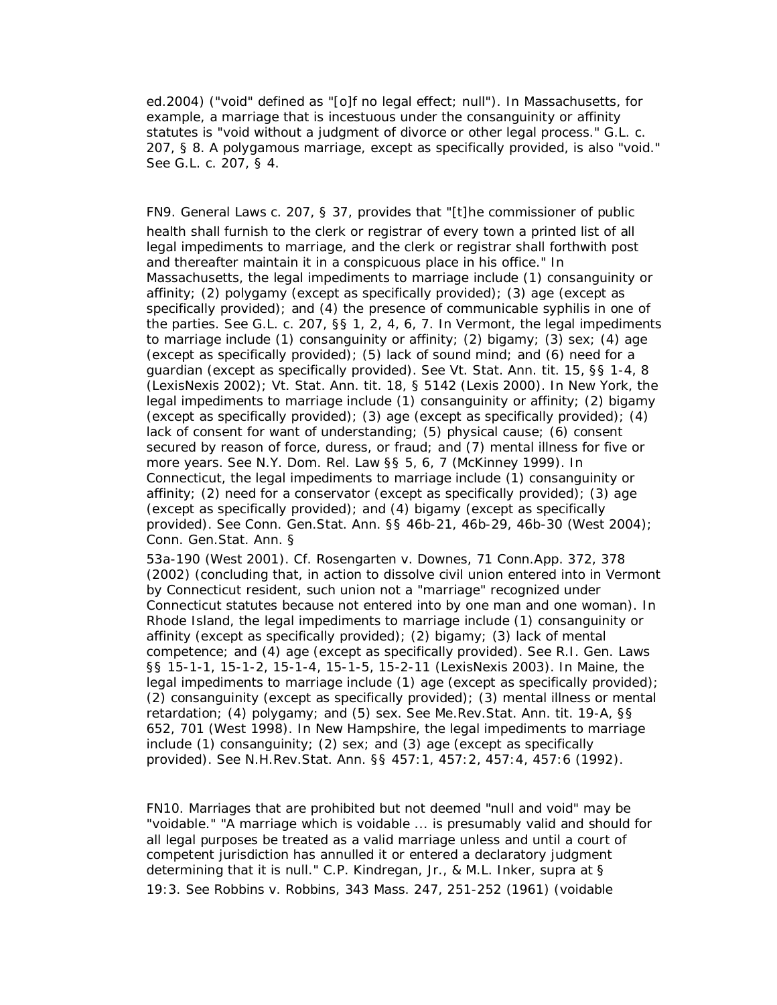ed.2004) ("void" defined as "[o]f no legal effect; null"). In Massachusetts, for example, a marriage that is incestuous under the consanguinity or affinity statutes is "void without a judgment of divorce or other legal process." G.L. c. 207, § 8. A polygamous marriage, except as specifically provided, is also "void." See G.L. c. 207, § 4.

FN9. General Laws c. 207, § 37, provides that "[t]he commissioner of public health shall furnish to the clerk or registrar of every town a printed list of all legal impediments to marriage, and the clerk or registrar shall forthwith post and thereafter maintain it in a conspicuous place in his office." In Massachusetts, the legal impediments to marriage include (1) consanguinity or affinity; (2) polygamy (except as specifically provided); (3) age (except as specifically provided); and (4) the presence of communicable syphilis in one of the parties. See G.L. c. 207, §§ 1, 2, 4, 6, 7. In Vermont, the legal impediments to marriage include (1) consanguinity or affinity; (2) bigamy; (3) sex; (4) age (except as specifically provided); (5) lack of sound mind; and (6) need for a guardian (except as specifically provided). See Vt. Stat. Ann. tit. 15, §§ 1-4, 8 (LexisNexis 2002); Vt. Stat. Ann. tit. 18, § 5142 (Lexis 2000). In New York, the legal impediments to marriage include (1) consanguinity or affinity; (2) bigamy (except as specifically provided); (3) age (except as specifically provided); (4) lack of consent for want of understanding; (5) physical cause; (6) consent secured by reason of force, duress, or fraud; and (7) mental illness for five or more years. See N.Y. Dom. Rel. Law §§ 5, 6, 7 (McKinney 1999). In Connecticut, the legal impediments to marriage include (1) consanguinity or affinity; (2) need for a conservator (except as specifically provided); (3) age (except as specifically provided); and (4) bigamy (except as specifically provided). See Conn. Gen.Stat. Ann. §§ 46b-21, 46b-29, 46b-30 (West 2004); Conn. Gen.Stat. Ann. §

53a-190 (West 2001). Cf. *Rosengarten v. Downes,* 71 Conn.App. 372, 378 (2002) (concluding that, in action to dissolve civil union entered into in Vermont by Connecticut resident, such union not a "marriage" recognized under Connecticut statutes because not entered into by one man and one woman). In Rhode Island, the legal impediments to marriage include (1) consanguinity or affinity (except as specifically provided); (2) bigamy; (3) lack of mental competence; and (4) age (except as specifically provided). See R.I. Gen. Laws §§ 15-1-1, 15-1-2, 15-1-4, 15-1-5, 15-2-11 (LexisNexis 2003). In Maine, the legal impediments to marriage include (1) age (except as specifically provided); (2) consanguinity (except as specifically provided); (3) mental illness or mental retardation; (4) polygamy; and (5) sex. See Me.Rev.Stat. Ann. tit. 19-A, §§ 652, 701 (West 1998). In New Hampshire, the legal impediments to marriage include (1) consanguinity; (2) sex; and (3) age (except as specifically provided). See N.H.Rev.Stat. Ann. §§ 457:1, 457:2, 457:4, 457:6 (1992).

FN10. Marriages that are prohibited but not deemed "null and void" may be "voidable." "A marriage which is voidable ... is presumably valid and should for all legal purposes be treated as a valid marriage unless and until a court of competent jurisdiction has annulled it or entered a declaratory judgment determining that it is null." C.P. Kindregan, Jr., & M.L. Inker, *supra* at § 19:3. See *Robbins v. Robbins,* 343 Mass. 247, 251-252 (1961) (voidable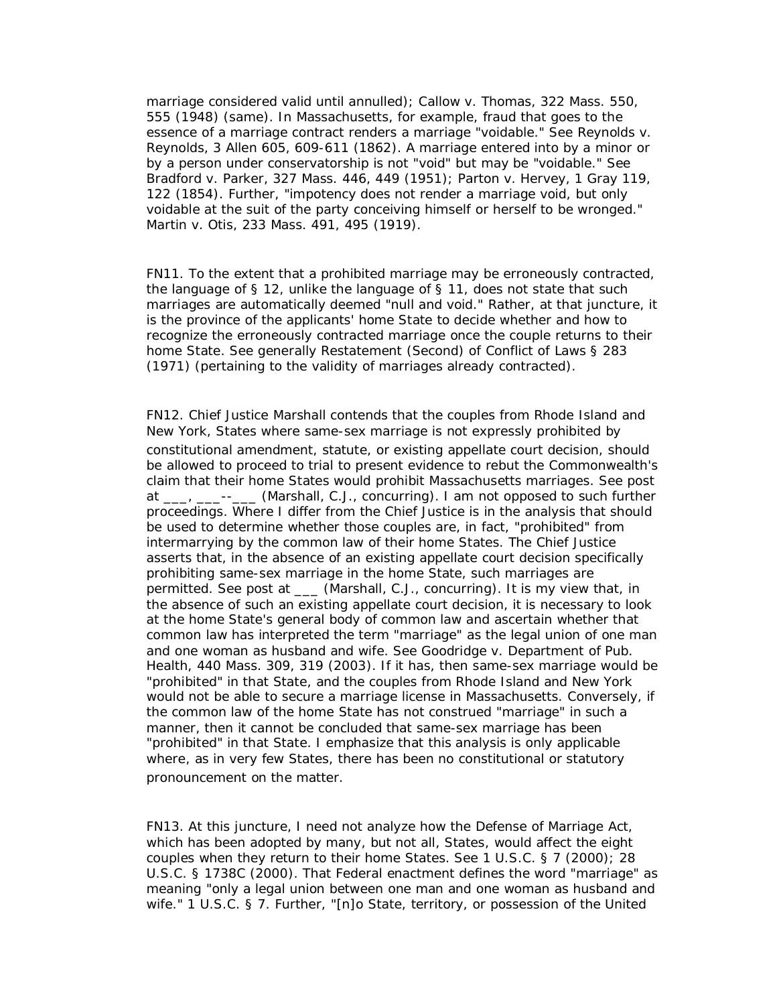marriage considered valid until annulled); *Callow v. Thomas,* 322 Mass. 550, 555 (1948) (same). In Massachusetts, for example, fraud that goes to the essence of a marriage contract renders a marriage "voidable." See *Reynolds v. Reynolds,* 3 Allen 605, 609-611 (1862). A marriage entered into by a minor or by a person under conservatorship is not "void" but may be "voidable." See *Bradford v. Parker,* 327 Mass. 446, 449 (1951); *Parton v. Hervey,* 1 Gray 119, 122 (1854). Further, "impotency does not render a marriage void, but only voidable at the suit of the party conceiving himself or herself to be wronged." *Martin v. Otis,* 233 Mass. 491, 495 (1919).

FN11. To the extent that a prohibited marriage may be erroneously contracted, the language of § 12, unlike the language of § 11, does not state that such marriages are automatically deemed "null and void." Rather, at that juncture, it is the province of the applicants' home State to decide whether and how to recognize the erroneously contracted marriage once the couple returns to their home State. See generally Restatement (Second) of Conflict of Laws § 283 (1971) (pertaining to the validity of marriages already contracted).

FN12. Chief Justice Marshall contends that the couples from Rhode Island and New York, States where same-sex marriage is not expressly prohibited by constitutional amendment, statute, or existing appellate court decision, should be allowed to proceed to trial to present evidence to rebut the Commonwealth's claim that their home States would prohibit Massachusetts marriages. See *post* at \_\_\_, \_\_\_--\_\_\_ (Marshall, C.J., concurring). I am not opposed to such further proceedings. Where I differ from the Chief Justice is in the analysis that should be used to determine whether those couples are, in fact, "prohibited" from intermarrying by the common law of their home States. The Chief Justice asserts that, in the absence of an existing appellate court decision specifically prohibiting same-sex marriage in the home State, such marriages are permitted. See *post* at \_\_\_ (Marshall, C.J., concurring). It is my view that, in the absence of such an existing appellate court decision, it is necessary to look at the home State's general body of common law and ascertain whether that common law has interpreted the term "marriage" as the legal union of one man and one woman as husband and wife. See *Goodridge v. Department of Pub. Health,* 440 Mass. 309, 319 (2003). If it has, then same-sex marriage would be "prohibited" in that State, and the couples from Rhode Island and New York would not be able to secure a marriage license in Massachusetts. Conversely, if the common law of the home State has not construed "marriage" in such a manner, then it cannot be concluded that same-sex marriage has been "prohibited" in that State. I emphasize that this analysis is only applicable where, as in very few States, there has been no constitutional or statutory pronouncement on the matter.

FN13. At this juncture, I need not analyze how the Defense of Marriage Act, which has been adopted by many, but not all, States, would affect the eight couples when they return to their home States. See 1 U.S.C. § 7 (2000); 28 U.S.C. § 1738C (2000). That Federal enactment defines the word "marriage" as meaning "only a legal union between one man and one woman as husband and wife." 1 U.S.C. § 7. Further, "[n]o State, territory, or possession of the United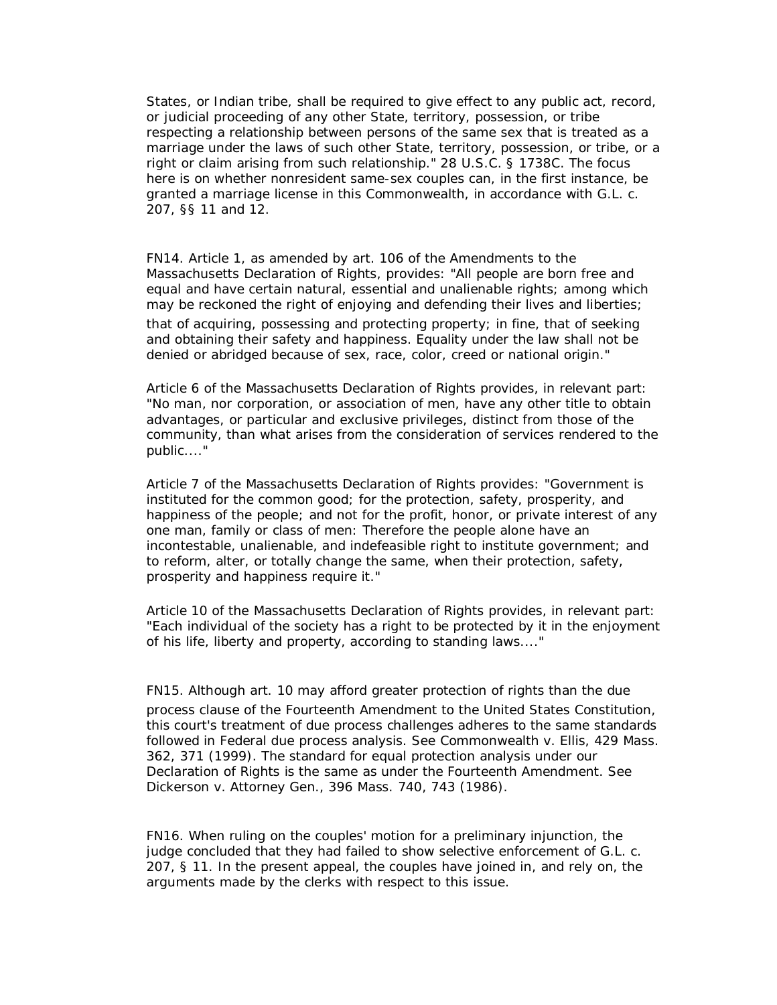States, or Indian tribe, shall be required to give effect to any public act, record, or judicial proceeding of any other State, territory, possession, or tribe respecting a relationship between persons of the same sex that is treated as a marriage under the laws of such other State, territory, possession, or tribe, or a right or claim arising from such relationship." 28 U.S.C. § 1738C. The focus here is on whether nonresident same-sex couples can, in the first instance, be granted a marriage license in this Commonwealth, in accordance with G.L. c. 207, §§ 11 and 12.

FN14. Article 1, as amended by art. 106 of the Amendments to the Massachusetts Declaration of Rights, provides: "All people are born free and equal and have certain natural, essential and unalienable rights; among which may be reckoned the right of enjoying and defending their lives and liberties; that of acquiring, possessing and protecting property; in fine, that of seeking and obtaining their safety and happiness. Equality under the law shall not be denied or abridged because of sex, race, color, creed or national origin."

Article 6 of the Massachusetts Declaration of Rights provides, in relevant part: "No man, nor corporation, or association of men, have any other title to obtain advantages, or particular and exclusive privileges, distinct from those of the community, than what arises from the consideration of services rendered to the public...."

Article 7 of the Massachusetts Declaration of Rights provides: "Government is instituted for the common good; for the protection, safety, prosperity, and happiness of the people; and not for the profit, honor, or private interest of any one man, family or class of men: Therefore the people alone have an incontestable, unalienable, and indefeasible right to institute government; and to reform, alter, or totally change the same, when their protection, safety, prosperity and happiness require it."

Article 10 of the Massachusetts Declaration of Rights provides, in relevant part: "Each individual of the society has a right to be protected by it in the enjoyment of his life, liberty and property, according to standing laws...."

FN15. Although art. 10 may afford greater protection of rights than the due process clause of the Fourteenth Amendment to the United States Constitution, this court's treatment of due process challenges adheres to the same standards followed in Federal due process analysis. See *Commonwealth v. Ellis,* 429 Mass. 362, 371 (1999). The standard for equal protection analysis under our Declaration of Rights is the same as under the Fourteenth Amendment. See *Dickerson v. Attorney Gen.,* 396 Mass. 740, 743 (1986).

FN16. When ruling on the *couples'* motion for a preliminary injunction, the judge concluded that they had failed to show selective enforcement of G.L. c. 207, § 11. In the present appeal, the couples have joined in, and rely on, the arguments made by the clerks with respect to this issue.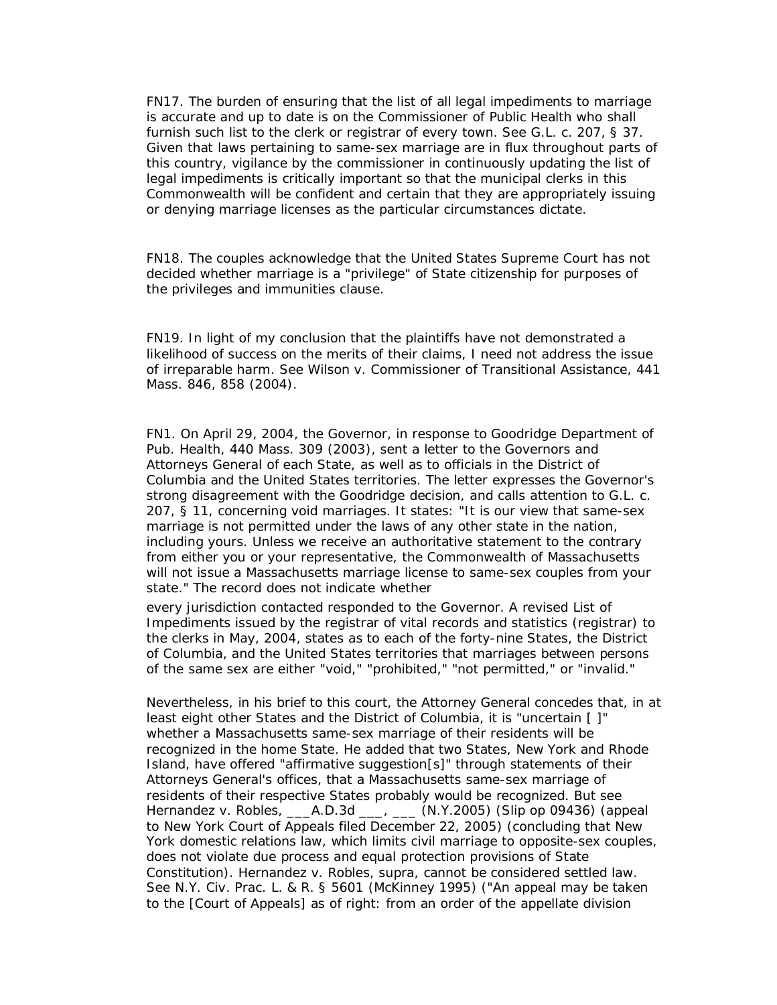FN17. The burden of ensuring that the list of all legal impediments to marriage is accurate and up to date is on the Commissioner of Public Health who shall furnish such list to the clerk or registrar of every town. See G.L. c. 207, § 37. Given that laws pertaining to same-sex marriage are in flux throughout parts of this country, vigilance by the commissioner in continuously updating the list of legal impediments is critically important so that the municipal clerks in this Commonwealth will be confident and certain that they are appropriately issuing or denying marriage licenses as the particular circumstances dictate.

FN18. The couples acknowledge that the United States Supreme Court has not decided whether marriage is a "privilege" of State citizenship for purposes of the privileges and immunities clause.

FN19. In light of my conclusion that the plaintiffs have not demonstrated a likelihood of success on the merits of their claims, I need not address the issue of irreparable harm. See *Wilson v. Commissioner of Transitional Assistance,* 441 Mass. 846, 858 (2004).

FN1. On April 29, 2004, the Governor, in response to *Goodridge Department of Pub. Health,* 440 Mass. 309 (2003), sent a letter to the Governors and Attorneys General of each State, as well as to officials in the District of Columbia and the United States territories. The letter expresses the Governor's strong disagreement with the *Goodridge* decision, and calls attention to G.L. c. 207, § 11, concerning void marriages. It states: "It is our view that same-sex marriage is not permitted under the laws of any other state in the nation, including yours. Unless we receive an authoritative statement to the contrary from either you or your representative, the Commonwealth of Massachusetts will not issue a Massachusetts marriage license to same-sex couples from your state." The record does not indicate whether

every jurisdiction contacted responded to the Governor. A revised List of Impediments issued by the registrar of vital records and statistics (registrar) to the clerks in May, 2004, states as to each of the forty-nine States, the District of Columbia, and the United States territories that marriages between persons of the same sex are either "void," "prohibited," "not permitted," or "invalid."

Nevertheless, in his brief to this court, the Attorney General concedes that, in at least eight other States and the District of Columbia, it is "uncertain [ ]" whether a Massachusetts same-sex marriage of their residents will be recognized in the home State. He added that two States, New York and Rhode Island, have offered "affirmative suggestion[s]" through statements of their Attorneys General's offices, that a Massachusetts same-sex marriage of residents of their respective States probably would be recognized. But see *Hernandez v. Robles,* \_\_\_A.D.3d \_\_\_, \_\_\_ (N.Y.2005) (Slip op 09436) (appeal to New York Court of Appeals filed December 22, 2005) (concluding that New York domestic relations law, which limits civil marriage to opposite-sex couples, does not violate due process and equal protection provisions of State Constitution). *Hernandez v. Robles, supra,* cannot be considered settled law. See N.Y. Civ. Prac. L. & R. § 5601 (McKinney 1995) ("An appeal may be taken to the [Court of Appeals] as of right: from an order of the appellate division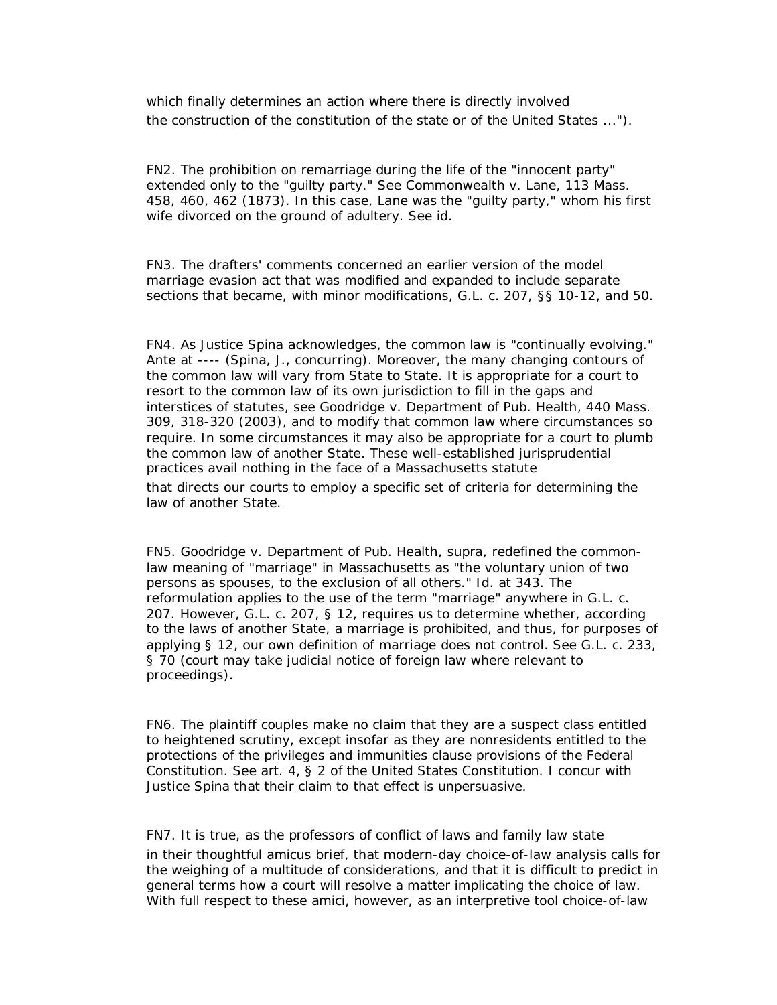which finally determines an action where there is directly involved the construction of the constitution of the state or of the United States ...").

FN2. The prohibition on remarriage during the life of the "innocent party" extended only to the "guilty party." See *Commonwealth v. Lane,* 113 Mass. 458, 460, 462 (1873). In this case, Lane was the "guilty party," whom his first wife divorced on the ground of adultery. See *id.*

FN3. The drafters' comments concerned an earlier version of the model marriage evasion act that was modified and expanded to include separate sections that became, with minor modifications, G.L. c. 207, §§ 10-12, and 50.

FN4. As Justice Spina acknowledges, the common law is "continually evolving." *Ante* at ---- (Spina, J., concurring). Moreover, the many changing contours of the common law will vary from State to State. It is appropriate for a court to resort to the common law of its own jurisdiction to fill in the gaps and interstices of statutes, see *Goodridge v. Department of Pub. Health,* 440 Mass. 309, 318-320 (2003), and to modify that common law where circumstances so require. In some circumstances it may also be appropriate for a court to plumb the common law of another State. These well-established jurisprudential practices avail nothing in the face of a Massachusetts statute

that directs our courts to employ a specific set of criteria for determining the law of another State.

FN5. *Goodridge v. Department of Pub. Health, supra,* redefined the commonlaw meaning of "marriage" in Massachusetts as "the voluntary union of two persons as spouses, to the exclusion of all others." *Id.* at 343. The reformulation applies to the use of the term "marriage" anywhere in G.L. c. 207. However, G.L. c. 207, § 12, requires us to determine whether, according to the laws of *another* State, a marriage is prohibited, and thus, for purposes of applying § 12, our own definition of marriage does not control. See G.L. c. 233, § 70 (court may take judicial notice of foreign law where relevant to proceedings).

FN6. The plaintiff couples make no claim that they are a suspect class entitled to heightened scrutiny, except insofar as they are nonresidents entitled to the protections of the privileges and immunities clause provisions of the Federal Constitution. See art. 4, § 2 of the United States Constitution. I concur with Justice Spina that their claim to that effect is unpersuasive.

FN7. It is true, as the professors of conflict of laws and family law state in their thoughtful amicus brief, that modern-day choice-of-law analysis calls for the weighing of a multitude of considerations, and that it is difficult to predict in general terms how a court will resolve a matter implicating the choice of law.

With full respect to these amici, however, as an interpretive tool choice-of-law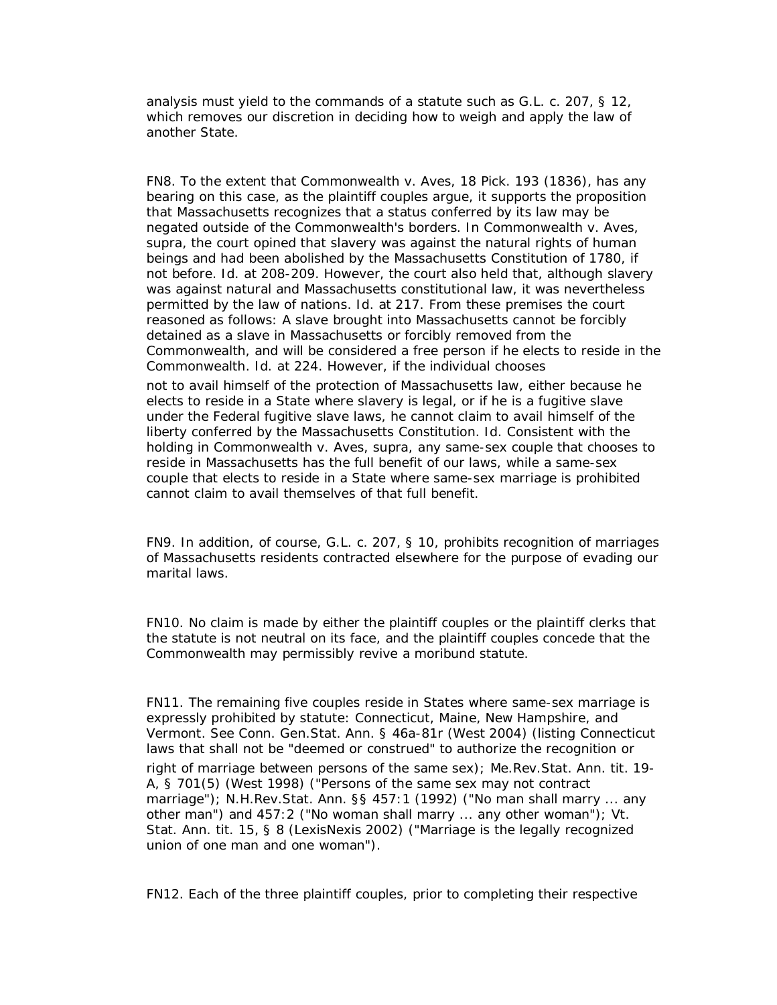analysis must yield to the commands of a statute such as G.L. c. 207, § 12, which removes our discretion in deciding how to weigh and apply the law of another State.

FN8. To the extent that *Commonwealth v. Aves,* 18 Pick. 193 (1836), has any bearing on this case, as the plaintiff couples argue, it supports the proposition that Massachusetts recognizes that a status conferred by its law may be negated outside of the Commonwealth's borders. In *Commonwealth v. Aves, supra,* the court opined that slavery was against the natural rights of human beings and had been abolished by the Massachusetts Constitution of 1780, if not before. *Id.* at 208-209. However, the court also held that, although slavery was against natural and Massachusetts constitutional law, it was nevertheless permitted by the law of nations. *Id.* at 217. From these premises the court reasoned as follows: A slave brought into Massachusetts cannot be forcibly detained as a slave *in Massachusetts* or forcibly removed from the Commonwealth, and will be considered a free person if he elects to reside in the Commonwealth. *Id.* at 224. However, if the individual chooses

not to avail himself of the protection of Massachusetts law, either because he elects to reside in a State where slavery is legal, or if he is a fugitive slave under the Federal fugitive slave laws, he cannot claim to avail himself of the liberty conferred by the Massachusetts Constitution. *Id.* Consistent with the holding in *Commonwealth v. Aves, supra,* any same-sex couple that chooses to reside in Massachusetts has the full benefit of our laws, while a same-sex couple that elects to reside in a State where same-sex marriage is prohibited cannot claim to avail themselves of that full benefit.

FN9. In addition, of course, G.L. c. 207, § 10, prohibits recognition of marriages of Massachusetts residents contracted elsewhere for the purpose of evading our marital laws.

FN10. No claim is made by either the plaintiff couples or the plaintiff clerks that the statute is not neutral on its face, and the plaintiff couples concede that the Commonwealth may permissibly revive a moribund statute.

FN11. The remaining five couples reside in States where same-sex marriage is expressly prohibited by statute: Connecticut, Maine, New Hampshire, and Vermont. See Conn. Gen.Stat. Ann. § 46a-81r (West 2004) (listing Connecticut laws that shall not be "deemed or construed" to authorize the recognition or right of marriage between persons of the same sex); Me.Rev.Stat. Ann. tit. 19- A, § 701(5) (West 1998) ("Persons of the same sex may not contract marriage"); N.H.Rev.Stat. Ann. §§ 457:1 (1992) ("No man shall marry ... any other man") and 457:2 ("No woman shall marry ... any other woman"); Vt. Stat. Ann. tit. 15, § 8 (LexisNexis 2002) ("Marriage is the legally recognized union of one man and one woman").

FN12. Each of the three plaintiff couples, prior to completing their respective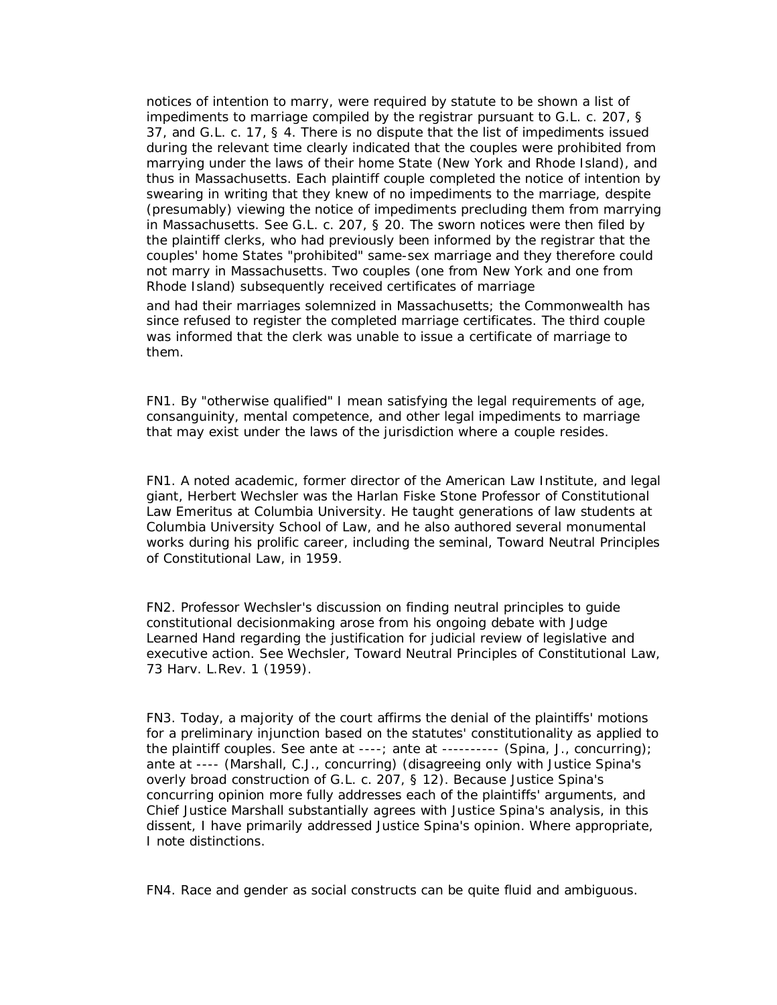notices of intention to marry, were required by statute to be shown a list of impediments to marriage compiled by the registrar pursuant to G.L. c. 207, § 37, and G.L. c. 17, § 4. There is no dispute that the list of impediments issued during the relevant time clearly indicated that the couples were prohibited from marrying under the laws of their home State (New York and Rhode Island), and thus in Massachusetts. Each plaintiff couple completed the notice of intention by swearing in writing that they knew of no impediments to the marriage, despite (presumably) viewing the notice of impediments precluding them from marrying in Massachusetts. See G.L. c. 207, § 20. The sworn notices were then filed by the plaintiff clerks, who had previously been informed by the registrar that the couples' home States "prohibited" same-sex marriage and they therefore could not marry in Massachusetts. Two couples (one from New York and one from Rhode Island) subsequently received certificates of marriage

and had their marriages solemnized in Massachusetts; the Commonwealth has since refused to register the completed marriage certificates. The third couple was informed that the clerk was unable to issue a certificate of marriage to them.

FN1. By "otherwise qualified" I mean satisfying the legal requirements of age, consanguinity, mental competence, and other legal impediments to marriage that may exist under the laws of the jurisdiction where a couple resides.

FN1. A noted academic, former director of the American Law Institute, and legal giant, Herbert Wechsler was the Harlan Fiske Stone Professor of Constitutional Law Emeritus at Columbia University. He taught generations of law students at Columbia University School of Law, and he also authored several monumental works during his prolific career, including the seminal, Toward Neutral Principles of Constitutional Law, in 1959.

FN2. Professor Wechsler's discussion on finding neutral principles to guide constitutional decisionmaking arose from his ongoing debate with Judge Learned Hand regarding the justification for judicial review of legislative and executive action. See Wechsler, Toward Neutral Principles of Constitutional Law, 73 Harv. L.Rev. 1 (1959).

FN3. Today, a majority of the court affirms the denial of the plaintiffs' motions for a preliminary injunction based on the statutes' constitutionality as applied to the plaintiff couples. See *ante* at ----; *ante* at ---------- (Spina, J., concurring); *ante* at ---- (Marshall, C.J., concurring) (disagreeing only with Justice Spina's overly broad construction of G.L. c. 207, § 12). Because Justice Spina's concurring opinion more fully addresses each of the plaintiffs' arguments, and Chief Justice Marshall substantially agrees with Justice Spina's analysis, in this dissent, I have primarily addressed Justice Spina's opinion. Where appropriate, I note distinctions.

FN4. Race and gender as social constructs can be quite fluid and ambiguous.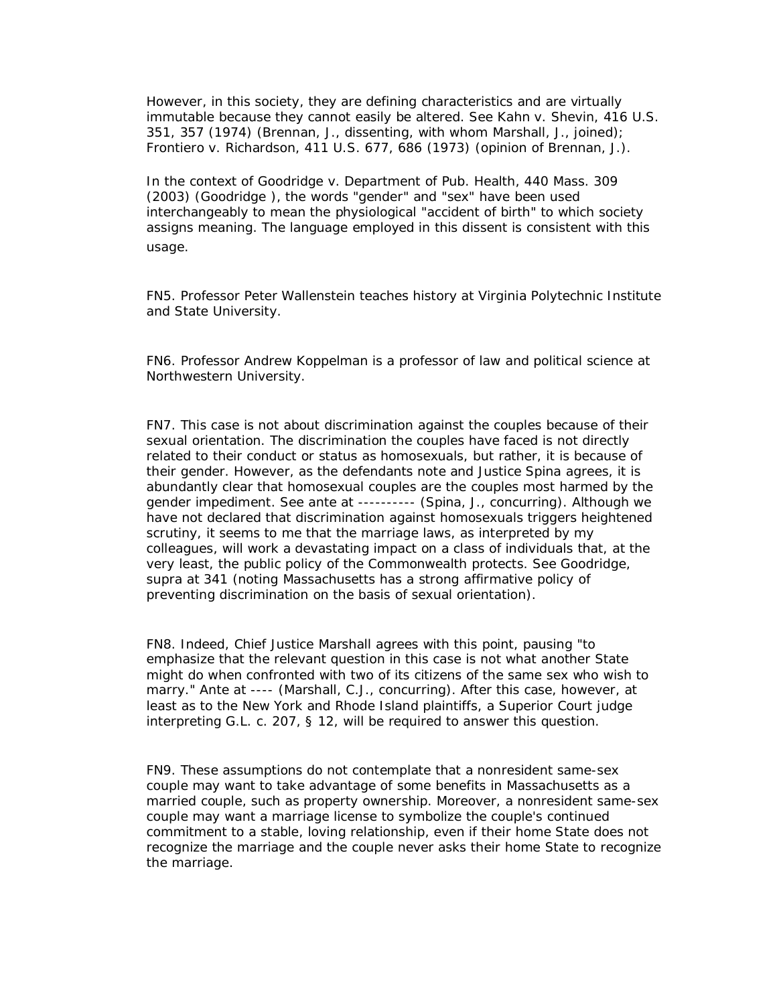However, in this society, they are defining characteristics and are virtually immutable because they cannot easily be altered. See *Kahn v. Shevin,* 416 U.S. 351, 357 (1974) (Brennan, J., dissenting, with whom Marshall, J., joined); *Frontiero v. Richardson,* 411 U.S. 677, 686 (1973) (opinion of Brennan, J.).

In the context of *Goodridge v. Department of Pub. Health,* 440 Mass. 309 (2003) (*Goodridge* ), the words "gender" and "sex" have been used interchangeably to mean the physiological "accident of birth" to which society assigns meaning. The language employed in this dissent is consistent with this usage.

FN5. Professor Peter Wallenstein teaches history at Virginia Polytechnic Institute and State University.

FN6. Professor Andrew Koppelman is a professor of law and political science at Northwestern University.

FN7. This case is not about discrimination against the couples because of their sexual orientation. The discrimination the couples have faced is not directly related to their conduct or status as homosexuals, but rather, it is because of their gender. However, as the defendants note and Justice Spina agrees, it is abundantly clear that homosexual couples are the couples most harmed by the gender impediment. See *ante* at ---------- (Spina, J., concurring). Although we have not declared that discrimination against homosexuals triggers heightened scrutiny, it seems to me that the marriage laws, as interpreted by my colleagues, will work a devastating impact on a class of individuals that, at the very least, the public policy of the Commonwealth protects. See *Goodridge, supra* at 341 (noting Massachusetts has a strong affirmative policy of preventing discrimination on the basis of sexual orientation).

FN8. Indeed, Chief Justice Marshall agrees with this point, pausing "to emphasize that the relevant question in this case is not what another State might do when confronted with two of its citizens of the same sex who wish to marry." *Ante* at ---- (Marshall, C.J., concurring). After this case, however, at least as to the New York and Rhode Island plaintiffs, a Superior Court judge interpreting G.L. c. 207, § 12, will be required to answer this question.

FN9. These assumptions do not contemplate that a nonresident same-sex couple may want to take advantage of some benefits in Massachusetts as a married couple, such as property ownership. Moreover, a nonresident same-sex couple may want a marriage license to symbolize the couple's continued commitment to a stable, loving relationship, even if their home State does not recognize the marriage and the couple never asks their home State to recognize the marriage.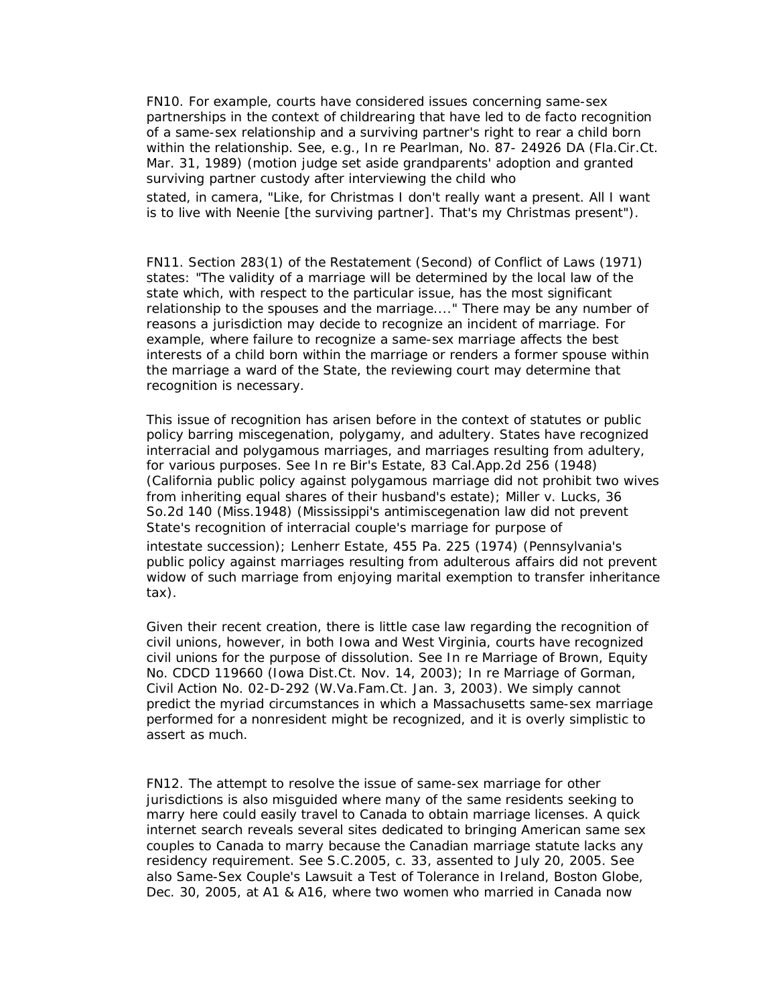FN10. For example, courts have considered issues concerning same-sex partnerships in the context of childrearing that have led to de facto recognition of a same-sex relationship and a surviving partner's right to rear a child born within the relationship. See, e.g., In re Pearlman, No. 87- 24926 DA (Fla.Cir.Ct. Mar. 31, 1989) (motion judge set aside grandparents' adoption and granted surviving partner custody after interviewing the child who

stated, in camera, "Like, for Christmas I don't really want a present. All I want is to live with Neenie [the surviving partner]. That's my Christmas present").

FN11. Section 283(1) of the Restatement (Second) of Conflict of Laws (1971) states: "The validity of a marriage will be determined by the local law of the state which, with respect to the particular issue, has the most significant relationship to the spouses and the marriage...." There may be any number of reasons a jurisdiction may decide to recognize an incident of marriage. For example, where failure to recognize a same-sex marriage affects the best interests of a child born within the marriage or renders a former spouse within the marriage a ward of the State, the reviewing court may determine that recognition is necessary.

This issue of recognition has arisen before in the context of statutes or public policy barring miscegenation, polygamy, and adultery. States have recognized interracial and polygamous marriages, and marriages resulting from adultery, for various purposes. See *In re Bir's Estate,* 83 Cal.App.2d 256 (1948) (California public policy against polygamous marriage did not prohibit two wives from inheriting equal shares of their husband's estate); *Miller v. Lucks,* 36 So.2d 140 (Miss.1948) (Mississippi's antimiscegenation law did not prevent State's recognition of interracial couple's marriage for purpose of intestate succession); *Lenherr Estate,* 455 Pa. 225 (1974) (Pennsylvania's public policy against marriages resulting from adulterous affairs did not prevent widow of such marriage from enjoying marital exemption to transfer inheritance tax).

Given their recent creation, there is little case law regarding the recognition of civil unions, however, in both Iowa and West Virginia, courts have recognized civil unions for the purpose of dissolution. See In re Marriage of Brown, Equity No. CDCD 119660 (Iowa Dist.Ct. Nov. 14, 2003); In re Marriage of Gorman, Civil Action No. 02-D-292 (W.Va.Fam.Ct. Jan. 3, 2003). We simply cannot predict the myriad circumstances in which a Massachusetts same-sex marriage performed for a nonresident might be recognized, and it is overly simplistic to assert as much.

FN12. The attempt to resolve the issue of same-sex marriage for other jurisdictions is also misguided where many of the same residents seeking to marry here could easily travel to Canada to obtain marriage licenses. A quick internet search reveals several sites dedicated to bringing American same sex couples to Canada to marry because the Canadian marriage statute lacks any residency requirement. See S.C.2005, c. 33, assented to July 20, 2005. See also Same-Sex Couple's Lawsuit a Test of Tolerance in Ireland, Boston Globe, Dec. 30, 2005, at A1 & A16, where two women who married in Canada now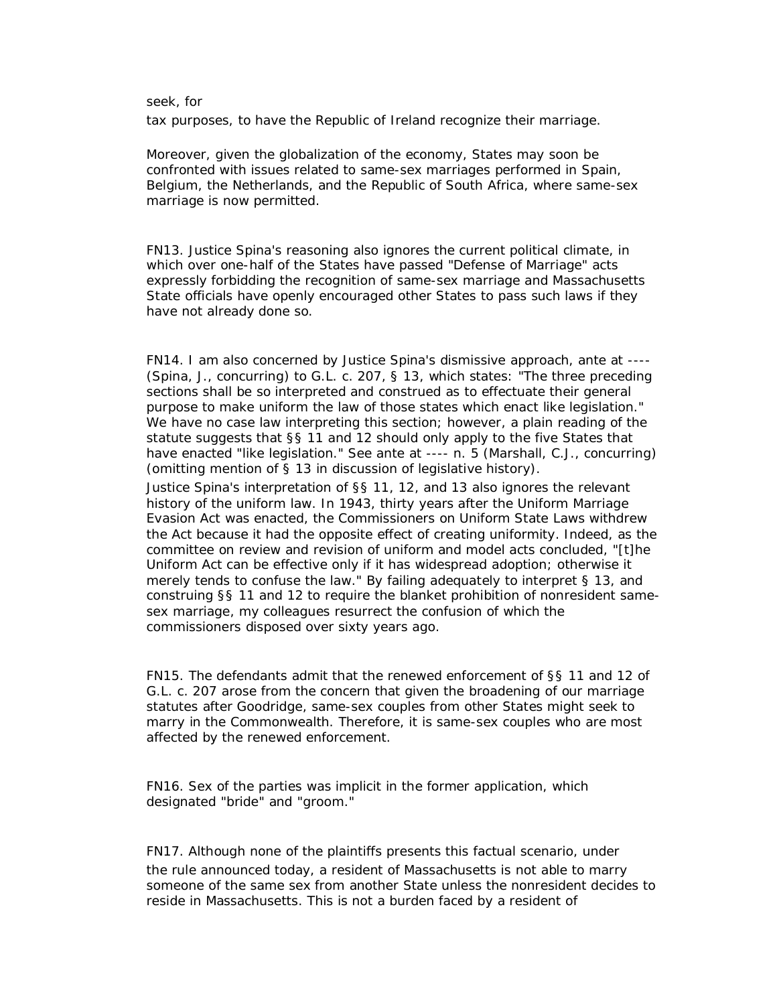#### seek, for

tax purposes, to have the Republic of Ireland recognize their marriage.

Moreover, given the globalization of the economy, States may soon be confronted with issues related to same-sex marriages performed in Spain, Belgium, the Netherlands, and the Republic of South Africa, where same-sex marriage is now permitted.

FN13. Justice Spina's reasoning also ignores the current political climate, in which over one-half of the States have passed "Defense of Marriage" acts expressly forbidding the recognition of same-sex marriage and Massachusetts State officials have openly encouraged other States to pass such laws if they have not already done so.

FN14. I am also concerned by Justice Spina's dismissive approach, *ante* at ---- (Spina, J., concurring) to G.L. c. 207, § 13, which states: "The three preceding sections shall be so interpreted and construed as to effectuate their general purpose to make uniform the law of those states which enact like legislation." We have no case law interpreting this section; however, a plain reading of the statute suggests that §§ 11 and 12 should only apply to the five States that have enacted "like legislation." See *ante* at ---- n. 5 (Marshall, C.J., concurring) (omitting mention of § 13 in discussion of legislative history).

Justice Spina's interpretation of §§ 11, 12, and 13 also ignores the relevant history of the uniform law. In 1943, thirty years after the Uniform Marriage Evasion Act was enacted, the Commissioners on Uniform State Laws withdrew the Act because it had the opposite effect of creating uniformity. Indeed, as the committee on review and revision of uniform and model acts concluded, "[t]he Uniform Act can be effective only if it has widespread adoption; otherwise it merely tends to confuse the law." By failing adequately to interpret § 13, and construing §§ 11 and 12 to require the blanket prohibition of nonresident samesex marriage, my colleagues resurrect the confusion of which the commissioners disposed over sixty years ago.

FN15. The defendants admit that the renewed enforcement of §§ 11 and 12 of G.L. c. 207 arose from the concern that given the broadening of our marriage statutes after *Goodridge,* same-sex couples from other States might seek to marry in the Commonwealth. Therefore, it is same-sex couples who are most affected by the renewed enforcement.

FN16. Sex of the parties was implicit in the former application, which designated "bride" and "groom."

FN17. Although none of the plaintiffs presents this factual scenario, under the rule announced today, a resident of Massachusetts is not able to marry someone of the same sex from another State unless the nonresident decides to reside in Massachusetts. This is not a burden faced by a resident of